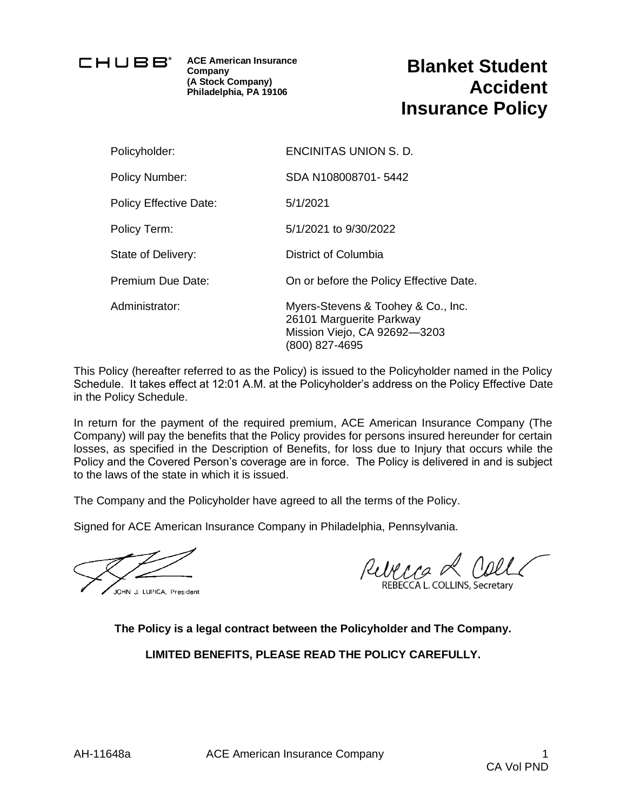

**ACE American Insurance Company (A Stock Company) Philadelphia, PA 19106**

**Blanket Student Accident Insurance Policy**

| Policyholder:                 | <b>ENCINITAS UNION S. D.</b>                                                                                     |
|-------------------------------|------------------------------------------------------------------------------------------------------------------|
| <b>Policy Number:</b>         | SDA N108008701-5442                                                                                              |
| <b>Policy Effective Date:</b> | 5/1/2021                                                                                                         |
| Policy Term:                  | 5/1/2021 to 9/30/2022                                                                                            |
| State of Delivery:            | District of Columbia                                                                                             |
| <b>Premium Due Date:</b>      | On or before the Policy Effective Date.                                                                          |
| Administrator:                | Myers-Stevens & Toohey & Co., Inc.<br>26101 Marguerite Parkway<br>Mission Viejo, CA 92692-3203<br>(800) 827-4695 |
|                               |                                                                                                                  |

This Policy (hereafter referred to as the Policy) is issued to the Policyholder named in the Policy Schedule. It takes effect at 12:01 A.M. at the Policyholder's address on the Policy Effective Date in the Policy Schedule.

In return for the payment of the required premium, ACE American Insurance Company (The Company) will pay the benefits that the Policy provides for persons insured hereunder for certain losses, as specified in the Description of Benefits, for loss due to Injury that occurs while the Policy and the Covered Person's coverage are in force. The Policy is delivered in and is subject to the laws of the state in which it is issued.

The Company and the Policyholder have agreed to all the terms of the Policy.

Signed for ACE American Insurance Company in Philadelphia, Pennsylvania.

JOHN J. LUPICA, President

Reverca 0

# **The Policy is a legal contract between the Policyholder and The Company.**

**LIMITED BENEFITS, PLEASE READ THE POLICY CAREFULLY.**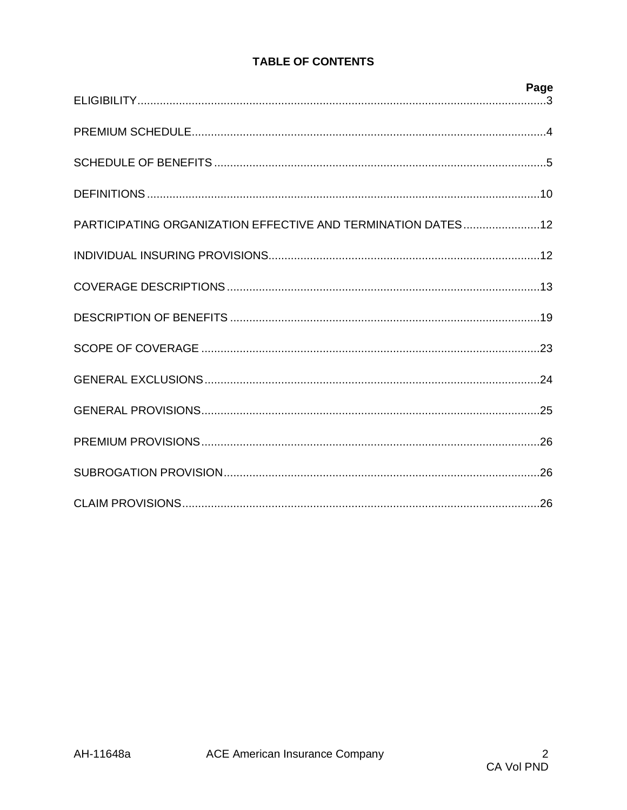# **TABLE OF CONTENTS**

|                                                               | Page |
|---------------------------------------------------------------|------|
|                                                               |      |
|                                                               |      |
|                                                               |      |
|                                                               |      |
| PARTICIPATING ORGANIZATION EFFECTIVE AND TERMINATION DATES 12 |      |
|                                                               |      |
|                                                               |      |
|                                                               |      |
|                                                               |      |
|                                                               |      |
|                                                               |      |
|                                                               |      |
|                                                               |      |
|                                                               |      |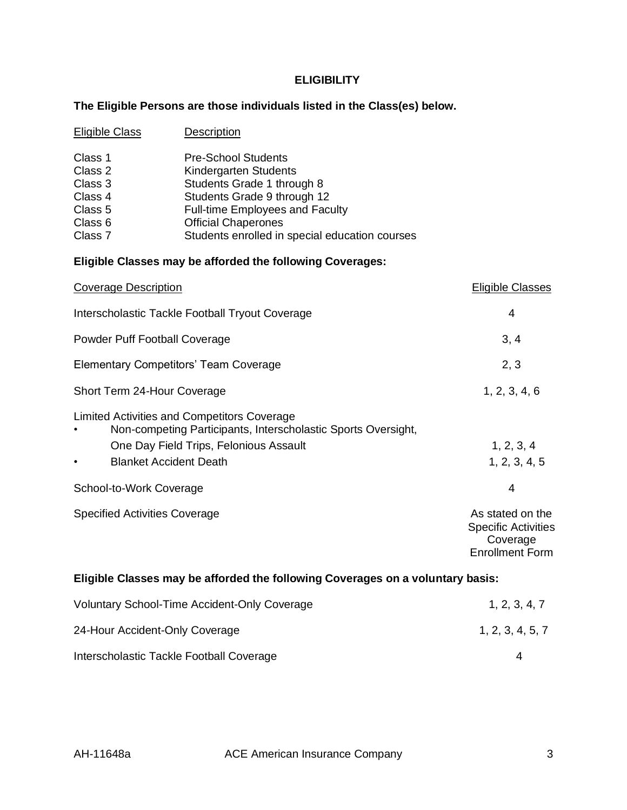# **ELIGIBILITY**

# <span id="page-2-0"></span>**The Eligible Persons are those individuals listed in the Class(es) below.**

| <b>Eligible Class</b> | <b>Description</b>                             |
|-----------------------|------------------------------------------------|
| Class 1               | <b>Pre-School Students</b>                     |
| Class 2               | Kindergarten Students                          |
| Class 3               | Students Grade 1 through 8                     |
| Class 4               | Students Grade 9 through 12                    |
| Class 5               | <b>Full-time Employees and Faculty</b>         |
| Class 6               | <b>Official Chaperones</b>                     |
| Class 7               | Students enrolled in special education courses |

# **Eligible Classes may be afforded the following Coverages:**

| <b>Coverage Description</b>                                                                                                                                                                          | <b>Eligible Classes</b>                                                              |  |
|------------------------------------------------------------------------------------------------------------------------------------------------------------------------------------------------------|--------------------------------------------------------------------------------------|--|
| Interscholastic Tackle Football Tryout Coverage                                                                                                                                                      | 4                                                                                    |  |
| Powder Puff Football Coverage                                                                                                                                                                        | 3, 4                                                                                 |  |
| <b>Elementary Competitors' Team Coverage</b>                                                                                                                                                         | 2, 3                                                                                 |  |
| Short Term 24-Hour Coverage                                                                                                                                                                          | 1, 2, 3, 4, 6                                                                        |  |
| Limited Activities and Competitors Coverage<br>Non-competing Participants, Interscholastic Sports Oversight,<br>One Day Field Trips, Felonious Assault<br><b>Blanket Accident Death</b><br>$\bullet$ | 1, 2, 3, 4<br>1, 2, 3, 4, 5                                                          |  |
| School-to-Work Coverage                                                                                                                                                                              | 4                                                                                    |  |
| <b>Specified Activities Coverage</b>                                                                                                                                                                 | As stated on the<br><b>Specific Activities</b><br>Coverage<br><b>Enrollment Form</b> |  |
| Eligible Classes may be afforded the following Coverages on a voluntary basis:                                                                                                                       |                                                                                      |  |
| <b>Voluntary School-Time Accident-Only Coverage</b>                                                                                                                                                  | 1, 2, 3, 4, 7                                                                        |  |

| <b>VUILLIGHT OUTFOUR ACCIDENT ONLY COVETAGE</b> | <b>ا, ∠, ∪, <del>⊣</del>,</b> ا |
|-------------------------------------------------|---------------------------------|
| 24-Hour Accident-Only Coverage                  | 1, 2, 3, 4, 5, 7                |
| Interscholastic Tackle Football Coverage        |                                 |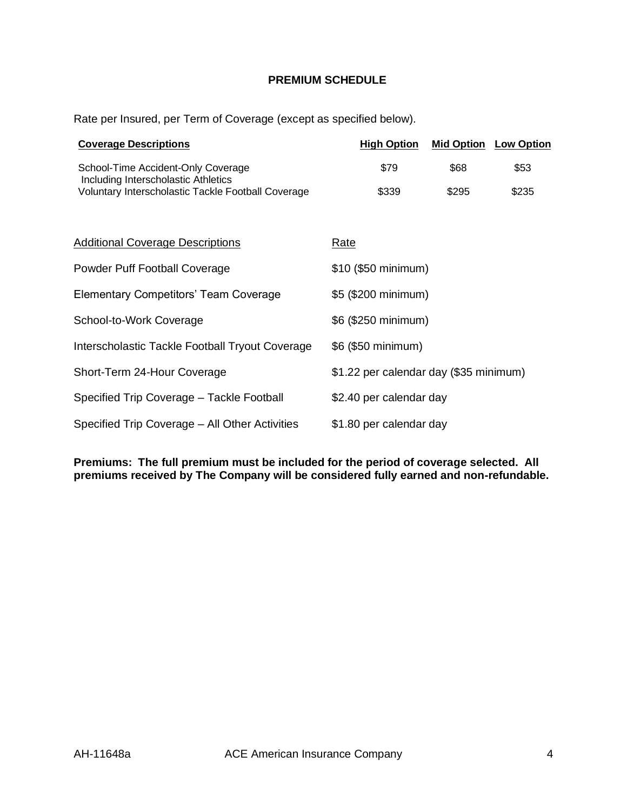# **PREMIUM SCHEDULE**

<span id="page-3-0"></span>Rate per Insured, per Term of Coverage (except as specified below).

| <b>Coverage Descriptions</b>                                              | <b>High Option</b>                     |       | <b>Mid Option Low Option</b> |
|---------------------------------------------------------------------------|----------------------------------------|-------|------------------------------|
| School-Time Accident-Only Coverage<br>Including Interscholastic Athletics | \$79                                   | \$68  | \$53                         |
| Voluntary Interscholastic Tackle Football Coverage                        | \$339                                  | \$295 | \$235                        |
| <b>Additional Coverage Descriptions</b>                                   | <u>Rate</u>                            |       |                              |
|                                                                           |                                        |       |                              |
| Powder Puff Football Coverage                                             | \$10 (\$50 minimum)                    |       |                              |
| <b>Elementary Competitors' Team Coverage</b>                              | \$5 (\$200 minimum)                    |       |                              |
| School-to-Work Coverage                                                   | \$6 (\$250 minimum)                    |       |                              |
| Interscholastic Tackle Football Tryout Coverage                           | \$6 (\$50 minimum)                     |       |                              |
| Short-Term 24-Hour Coverage                                               | \$1.22 per calendar day (\$35 minimum) |       |                              |
| Specified Trip Coverage - Tackle Football                                 | \$2.40 per calendar day                |       |                              |
| Specified Trip Coverage - All Other Activities                            | \$1.80 per calendar day                |       |                              |

**Premiums: The full premium must be included for the period of coverage selected. All premiums received by The Company will be considered fully earned and non-refundable.**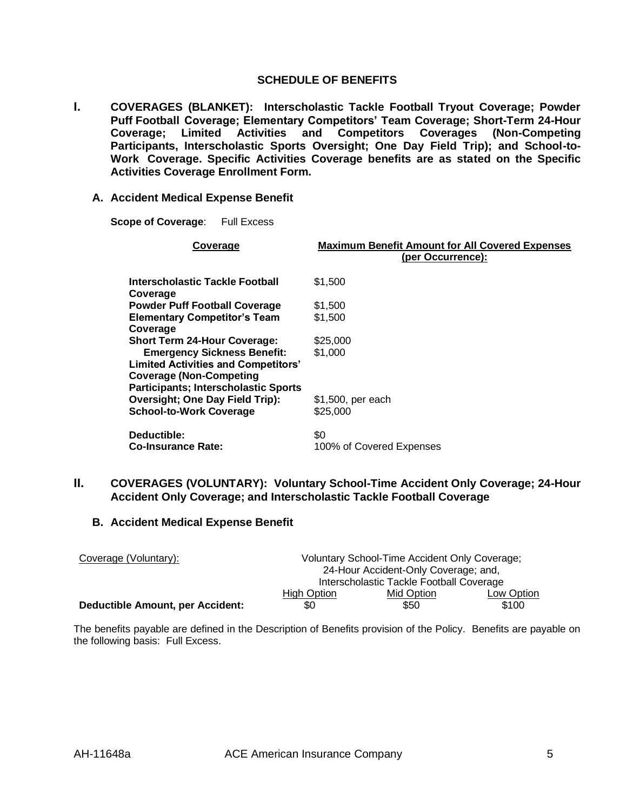### **SCHEDULE OF BENEFITS**

- <span id="page-4-0"></span>**I. COVERAGES (BLANKET): Interscholastic Tackle Football Tryout Coverage; Powder Puff Football Coverage; Elementary Competitors' Team Coverage; Short-Term 24-Hour Coverage; Limited Activities and Competitors Coverages (Non-Competing Participants, Interscholastic Sports Oversight; One Day Field Trip); and School-to-Work Coverage. Specific Activities Coverage benefits are as stated on the Specific Activities Coverage Enrollment Form.** 
	- **A. Accident Medical Expense Benefit**

| Coverage                                        | <b>Maximum Benefit Amount for All Covered Expenses</b><br>(per Occurrence): |
|-------------------------------------------------|-----------------------------------------------------------------------------|
| Interscholastic Tackle Football<br>Coverage     | \$1,500                                                                     |
| <b>Powder Puff Football Coverage</b>            | \$1,500                                                                     |
| <b>Elementary Competitor's Team</b><br>Coverage | \$1,500                                                                     |
| <b>Short Term 24-Hour Coverage:</b>             | \$25,000                                                                    |
| <b>Emergency Sickness Benefit:</b>              | \$1.000                                                                     |
| <b>Limited Activities and Competitors'</b>      |                                                                             |
| <b>Coverage (Non-Competing</b>                  |                                                                             |
| <b>Participants; Interscholastic Sports</b>     |                                                                             |
| <b>Oversight; One Day Field Trip):</b>          | \$1,500, per each                                                           |
| <b>School-to-Work Coverage</b>                  | \$25,000                                                                    |
| Deductible:                                     | \$0                                                                         |
| <b>Co-Insurance Rate:</b>                       | 100% of Covered Expenses                                                    |

**Scope of Coverage:** Full Excess

# **II. COVERAGES (VOLUNTARY): Voluntary School-Time Accident Only Coverage; 24-Hour Accident Only Coverage; and Interscholastic Tackle Football Coverage**

# **B. Accident Medical Expense Benefit**

| Coverage (Voluntary):                   | Voluntary School-Time Accident Only Coverage;<br>24-Hour Accident-Only Coverage; and, |            |            |
|-----------------------------------------|---------------------------------------------------------------------------------------|------------|------------|
|                                         | Interscholastic Tackle Football Coverage                                              |            |            |
|                                         | <b>High Option</b>                                                                    | Mid Option | Low Option |
| <b>Deductible Amount, per Accident:</b> | \$0                                                                                   | \$50       | \$100      |

The benefits payable are defined in the Description of Benefits provision of the Policy. Benefits are payable on the following basis: Full Excess.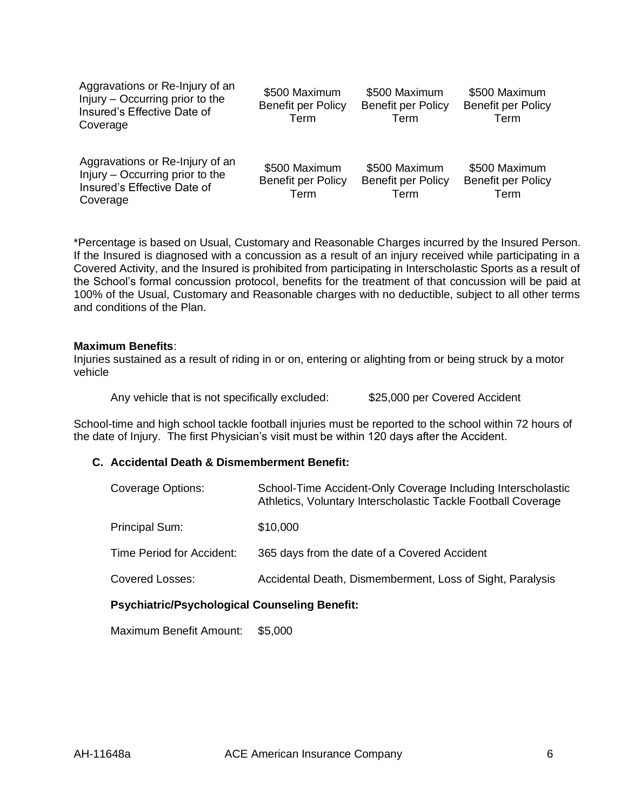| Aggravations or Re-Injury of an<br>Injury – Occurring prior to the<br>Insured's Effective Date of<br>Coverage | \$500 Maximum<br><b>Benefit per Policy</b><br>Term | \$500 Maximum<br><b>Benefit per Policy</b><br>Term | \$500 Maximum<br><b>Benefit per Policy</b><br>Term |
|---------------------------------------------------------------------------------------------------------------|----------------------------------------------------|----------------------------------------------------|----------------------------------------------------|
| Aggravations or Re-Injury of an<br>Injury - Occurring prior to the<br>Insured's Effective Date of<br>Coverage | \$500 Maximum<br><b>Benefit per Policy</b><br>Term | \$500 Maximum<br><b>Benefit per Policy</b><br>Term | \$500 Maximum<br><b>Benefit per Policy</b><br>Term |

\*Percentage is based on Usual, Customary and Reasonable Charges incurred by the Insured Person. If the Insured is diagnosed with a concussion as a result of an injury received while participating in a Covered Activity, and the Insured is prohibited from participating in Interscholastic Sports as a result of the School's formal concussion protocol, benefits for the treatment of that concussion will be paid at 100% of the Usual, Customary and Reasonable charges with no deductible, subject to all other terms and conditions of the Plan.

### **Maximum Benefits**:

Injuries sustained as a result of riding in or on, entering or alighting from or being struck by a motor vehicle

Any vehicle that is not specifically excluded: \$25,000 per Covered Accident

School-time and high school tackle football injuries must be reported to the school within 72 hours of the date of Injury. The first Physician's visit must be within 120 days after the Accident.

### **C. Accidental Death & Dismemberment Benefit:**

| <b>Coverage Options:</b>                             | School-Time Accident-Only Coverage Including Interscholastic<br>Athletics, Voluntary Interscholastic Tackle Football Coverage |  |
|------------------------------------------------------|-------------------------------------------------------------------------------------------------------------------------------|--|
| Principal Sum:                                       | \$10,000                                                                                                                      |  |
| Time Period for Accident:                            | 365 days from the date of a Covered Accident                                                                                  |  |
| <b>Covered Losses:</b>                               | Accidental Death, Dismemberment, Loss of Sight, Paralysis                                                                     |  |
| <b>Psychiatric/Psychological Counseling Benefit:</b> |                                                                                                                               |  |

Maximum Benefit Amount: \$5,000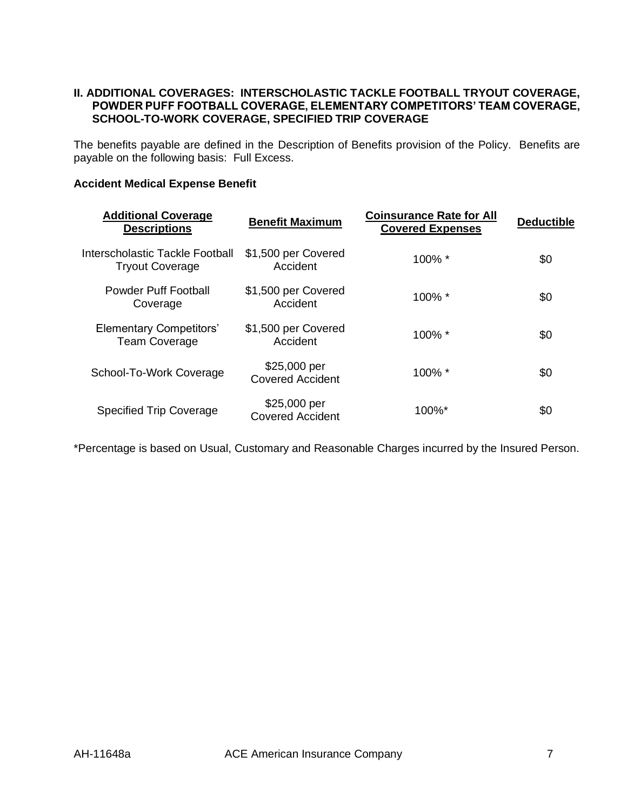# **II. ADDITIONAL COVERAGES: INTERSCHOLASTIC TACKLE FOOTBALL TRYOUT COVERAGE, POWDER PUFF FOOTBALL COVERAGE, ELEMENTARY COMPETITORS' TEAM COVERAGE, SCHOOL-TO-WORK COVERAGE, SPECIFIED TRIP COVERAGE**

The benefits payable are defined in the Description of Benefits provision of the Policy. Benefits are payable on the following basis: Full Excess.

### **Accident Medical Expense Benefit**

| <b>Additional Coverage</b><br><b>Descriptions</b>         | <b>Benefit Maximum</b>                  | <b>Coinsurance Rate for All</b><br><b>Covered Expenses</b> | <b>Deductible</b> |
|-----------------------------------------------------------|-----------------------------------------|------------------------------------------------------------|-------------------|
| Interscholastic Tackle Football<br><b>Tryout Coverage</b> | \$1,500 per Covered<br>Accident         | 100% *                                                     | \$0               |
| <b>Powder Puff Football</b><br>Coverage                   | \$1,500 per Covered<br>Accident         | 100% *                                                     | \$0               |
| <b>Elementary Competitors'</b><br><b>Team Coverage</b>    | \$1,500 per Covered<br>Accident         | 100% *                                                     | \$0               |
| School-To-Work Coverage                                   | \$25,000 per<br><b>Covered Accident</b> | 100% *                                                     | \$0               |
| <b>Specified Trip Coverage</b>                            | \$25,000 per<br><b>Covered Accident</b> | $100\%$ <sup>*</sup>                                       | \$0               |

\*Percentage is based on Usual, Customary and Reasonable Charges incurred by the Insured Person.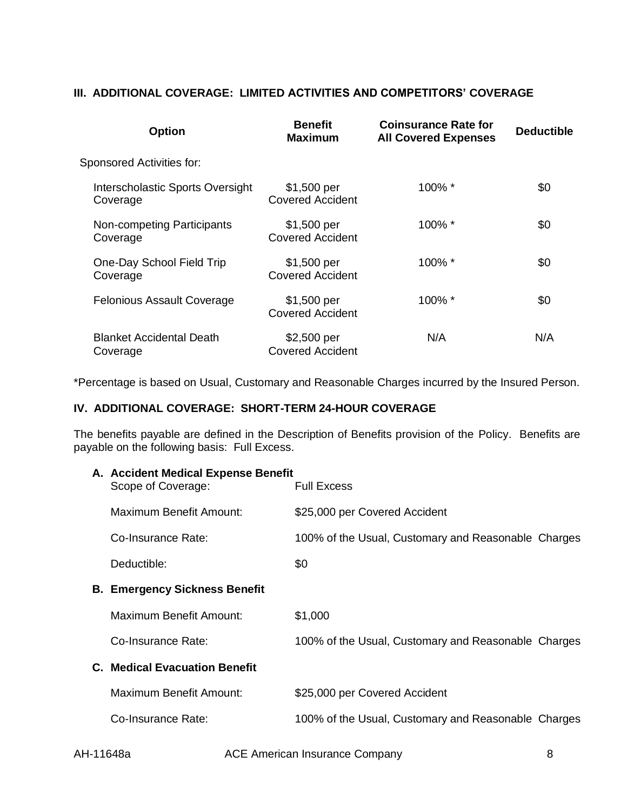# **III. ADDITIONAL COVERAGE: LIMITED ACTIVITIES AND COMPETITORS' COVERAGE**

| <b>Option</b>                                | <b>Benefit</b><br><b>Maximum</b>       | <b>Coinsurance Rate for</b><br><b>All Covered Expenses</b> | <b>Deductible</b> |
|----------------------------------------------|----------------------------------------|------------------------------------------------------------|-------------------|
| Sponsored Activities for:                    |                                        |                                                            |                   |
| Interscholastic Sports Oversight<br>Coverage | \$1,500 per<br><b>Covered Accident</b> | 100% *                                                     | \$0               |
| Non-competing Participants<br>Coverage       | \$1,500 per<br><b>Covered Accident</b> | $100\%$ *                                                  | \$0               |
| One-Day School Field Trip<br>Coverage        | \$1,500 per<br><b>Covered Accident</b> | 100% *                                                     | \$0               |
| <b>Felonious Assault Coverage</b>            | \$1,500 per<br><b>Covered Accident</b> | 100% *                                                     | \$0               |
| <b>Blanket Accidental Death</b><br>Coverage  | \$2,500 per<br>Covered Accident        | N/A                                                        | N/A               |

\*Percentage is based on Usual, Customary and Reasonable Charges incurred by the Insured Person.

# **IV. ADDITIONAL COVERAGE: SHORT-TERM 24-HOUR COVERAGE**

The benefits payable are defined in the Description of Benefits provision of the Policy. Benefits are payable on the following basis: Full Excess.

| A. Accident Medical Expense Benefit<br>Scope of Coverage: | <b>Full Excess</b>                                  |  |
|-----------------------------------------------------------|-----------------------------------------------------|--|
| Maximum Benefit Amount:                                   | \$25,000 per Covered Accident                       |  |
| Co-Insurance Rate:                                        | 100% of the Usual, Customary and Reasonable Charges |  |
| Deductible:                                               | \$0                                                 |  |
| <b>B. Emergency Sickness Benefit</b>                      |                                                     |  |
| Maximum Benefit Amount:                                   | \$1,000                                             |  |
| Co-Insurance Rate:                                        | 100% of the Usual, Customary and Reasonable Charges |  |
| <b>C. Medical Evacuation Benefit</b>                      |                                                     |  |
| Maximum Benefit Amount:                                   | \$25,000 per Covered Accident                       |  |
| Co-Insurance Rate:                                        | 100% of the Usual, Customary and Reasonable Charges |  |
|                                                           |                                                     |  |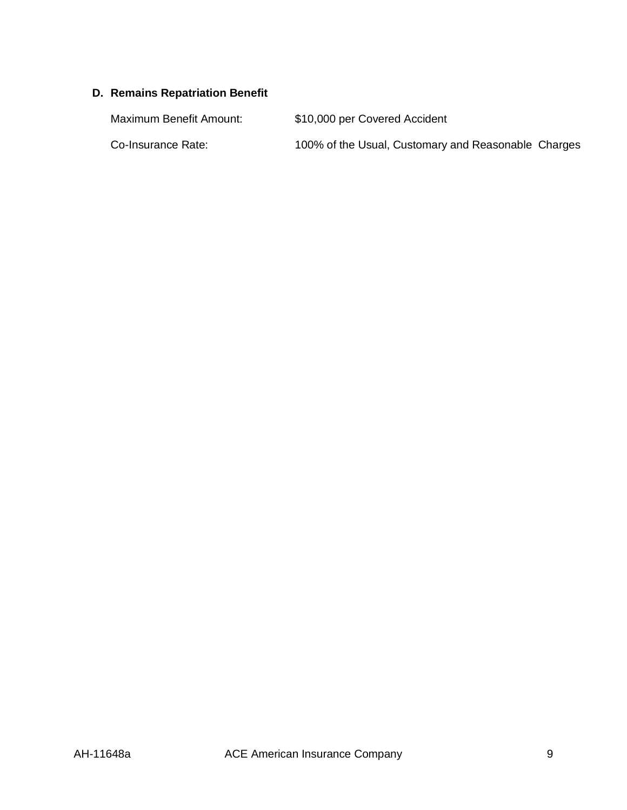# **D. Remains Repatriation Benefit**

Maximum Benefit Amount: \$10,000 per Covered Accident Co-Insurance Rate: 100% of the Usual, Customary and Reasonable Charges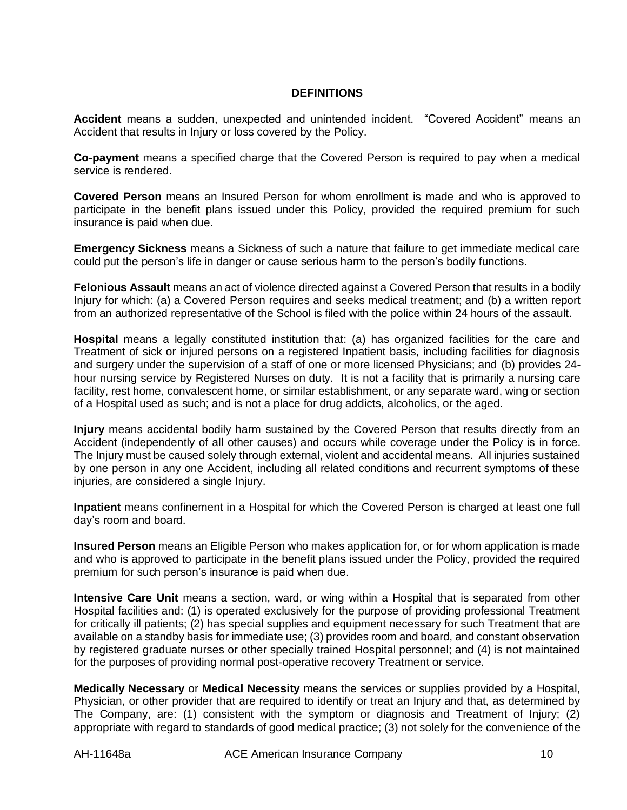# **DEFINITIONS**

<span id="page-9-0"></span>**Accident** means a sudden, unexpected and unintended incident. "Covered Accident" means an Accident that results in Injury or loss covered by the Policy.

**Co-payment** means a specified charge that the Covered Person is required to pay when a medical service is rendered.

**Covered Person** means an Insured Person for whom enrollment is made and who is approved to participate in the benefit plans issued under this Policy, provided the required premium for such insurance is paid when due.

**Emergency Sickness** means a Sickness of such a nature that failure to get immediate medical care could put the person's life in danger or cause serious harm to the person's bodily functions.

**Felonious Assault** means an act of violence directed against a Covered Person that results in a bodily Injury for which: (a) a Covered Person requires and seeks medical treatment; and (b) a written report from an authorized representative of the School is filed with the police within 24 hours of the assault.

**Hospital** means a legally constituted institution that: (a) has organized facilities for the care and Treatment of sick or injured persons on a registered Inpatient basis, including facilities for diagnosis and surgery under the supervision of a staff of one or more licensed Physicians; and (b) provides 24 hour nursing service by Registered Nurses on duty. It is not a facility that is primarily a nursing care facility, rest home, convalescent home, or similar establishment, or any separate ward, wing or section of a Hospital used as such; and is not a place for drug addicts, alcoholics, or the aged.

**Injury** means accidental bodily harm sustained by the Covered Person that results directly from an Accident (independently of all other causes) and occurs while coverage under the Policy is in force. The Injury must be caused solely through external, violent and accidental means. All injuries sustained by one person in any one Accident, including all related conditions and recurrent symptoms of these injuries, are considered a single Injury.

**Inpatient** means confinement in a Hospital for which the Covered Person is charged at least one full day's room and board.

**Insured Person** means an Eligible Person who makes application for, or for whom application is made and who is approved to participate in the benefit plans issued under the Policy, provided the required premium for such person's insurance is paid when due.

**Intensive Care Unit** means a section, ward, or wing within a Hospital that is separated from other Hospital facilities and: (1) is operated exclusively for the purpose of providing professional Treatment for critically ill patients; (2) has special supplies and equipment necessary for such Treatment that are available on a standby basis for immediate use; (3) provides room and board, and constant observation by registered graduate nurses or other specially trained Hospital personnel; and (4) is not maintained for the purposes of providing normal post-operative recovery Treatment or service.

**Medically Necessary** or **Medical Necessity** means the services or supplies provided by a Hospital, Physician, or other provider that are required to identify or treat an Injury and that, as determined by The Company, are: (1) consistent with the symptom or diagnosis and Treatment of Injury; (2) appropriate with regard to standards of good medical practice; (3) not solely for the convenience of the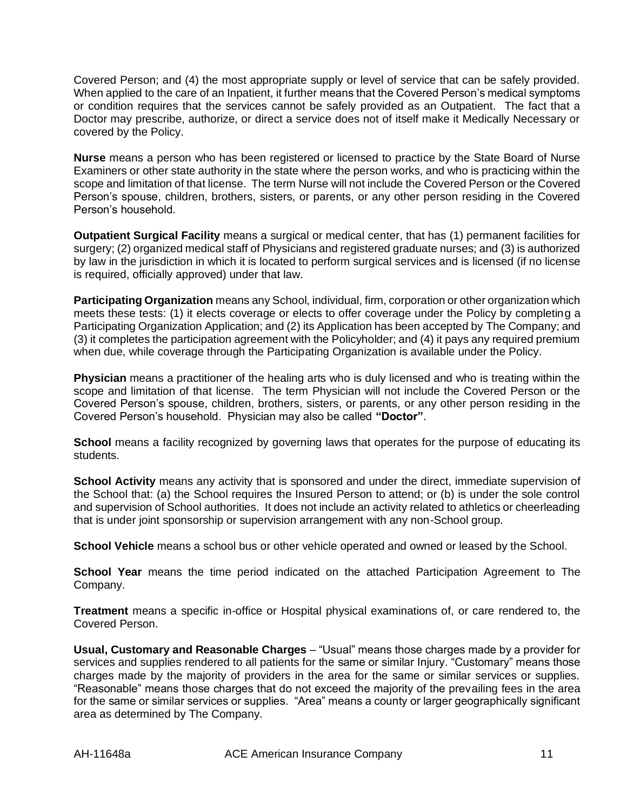Covered Person; and (4) the most appropriate supply or level of service that can be safely provided. When applied to the care of an Inpatient, it further means that the Covered Person's medical symptoms or condition requires that the services cannot be safely provided as an Outpatient. The fact that a Doctor may prescribe, authorize, or direct a service does not of itself make it Medically Necessary or covered by the Policy.

**Nurse** means a person who has been registered or licensed to practice by the State Board of Nurse Examiners or other state authority in the state where the person works, and who is practicing within the scope and limitation of that license. The term Nurse will not include the Covered Person or the Covered Person's spouse, children, brothers, sisters, or parents, or any other person residing in the Covered Person's household.

**Outpatient Surgical Facility** means a surgical or medical center, that has (1) permanent facilities for surgery; (2) organized medical staff of Physicians and registered graduate nurses; and (3) is authorized by law in the jurisdiction in which it is located to perform surgical services and is licensed (if no license is required, officially approved) under that law.

**Participating Organization** means any School, individual, firm, corporation or other organization which meets these tests: (1) it elects coverage or elects to offer coverage under the Policy by completing a Participating Organization Application; and (2) its Application has been accepted by The Company; and (3) it completes the participation agreement with the Policyholder; and (4) it pays any required premium when due, while coverage through the Participating Organization is available under the Policy.

**Physician** means a practitioner of the healing arts who is duly licensed and who is treating within the scope and limitation of that license. The term Physician will not include the Covered Person or the Covered Person's spouse, children, brothers, sisters, or parents, or any other person residing in the Covered Person's household. Physician may also be called **"Doctor"**.

**School** means a facility recognized by governing laws that operates for the purpose of educating its students.

**School Activity** means any activity that is sponsored and under the direct, immediate supervision of the School that: (a) the School requires the Insured Person to attend; or (b) is under the sole control and supervision of School authorities. It does not include an activity related to athletics or cheerleading that is under joint sponsorship or supervision arrangement with any non-School group.

**School Vehicle** means a school bus or other vehicle operated and owned or leased by the School.

**School Year** means the time period indicated on the attached Participation Agreement to The Company.

**Treatment** means a specific in-office or Hospital physical examinations of, or care rendered to, the Covered Person.

**Usual, Customary and Reasonable Charges** – "Usual" means those charges made by a provider for services and supplies rendered to all patients for the same or similar Injury. "Customary" means those charges made by the majority of providers in the area for the same or similar services or supplies. "Reasonable" means those charges that do not exceed the majority of the prevailing fees in the area for the same or similar services or supplies. "Area" means a county or larger geographically significant area as determined by The Company.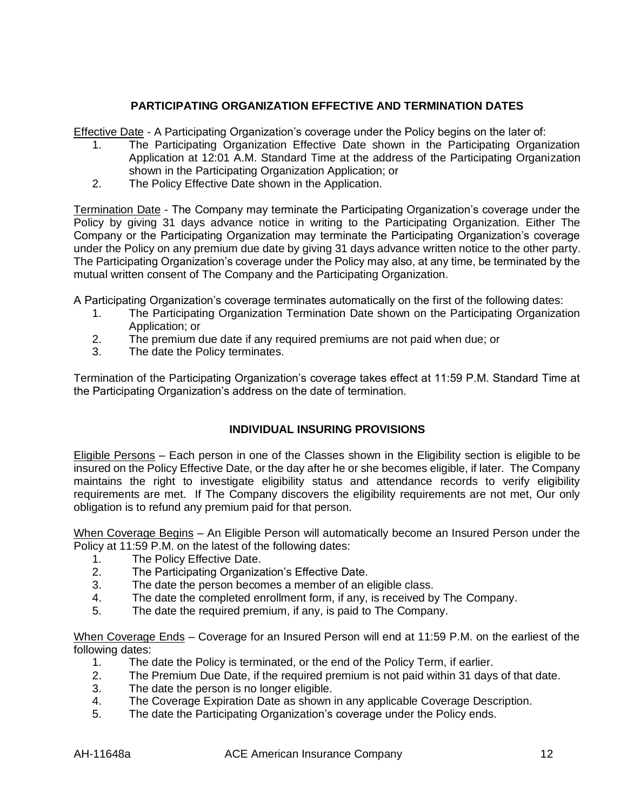# **PARTICIPATING ORGANIZATION EFFECTIVE AND TERMINATION DATES**

<span id="page-11-0"></span>Effective Date - A Participating Organization's coverage under the Policy begins on the later of:

- 1. The Participating Organization Effective Date shown in the Participating Organization Application at 12:01 A.M. Standard Time at the address of the Participating Organization shown in the Participating Organization Application; or
- 2. The Policy Effective Date shown in the Application.

Termination Date - The Company may terminate the Participating Organization's coverage under the Policy by giving 31 days advance notice in writing to the Participating Organization. Either The Company or the Participating Organization may terminate the Participating Organization's coverage under the Policy on any premium due date by giving 31 days advance written notice to the other party. The Participating Organization's coverage under the Policy may also, at any time, be terminated by the mutual written consent of The Company and the Participating Organization.

A Participating Organization's coverage terminates automatically on the first of the following dates:

- 1. The Participating Organization Termination Date shown on the Participating Organization Application; or
- 2. The premium due date if any required premiums are not paid when due; or
- 3. The date the Policy terminates.

Termination of the Participating Organization's coverage takes effect at 11:59 P.M. Standard Time at the Participating Organization's address on the date of termination.

# **INDIVIDUAL INSURING PROVISIONS**

<span id="page-11-1"></span>Eligible Persons – Each person in one of the Classes shown in the Eligibility section is eligible to be insured on the Policy Effective Date, or the day after he or she becomes eligible, if later. The Company maintains the right to investigate eligibility status and attendance records to verify eligibility requirements are met. If The Company discovers the eligibility requirements are not met, Our only obligation is to refund any premium paid for that person.

When Coverage Begins – An Eligible Person will automatically become an Insured Person under the Policy at 11:59 P.M. on the latest of the following dates:

- 1. The Policy Effective Date.
- 2. The Participating Organization's Effective Date.
- 3. The date the person becomes a member of an eligible class.
- 4. The date the completed enrollment form, if any, is received by The Company.
- 5. The date the required premium, if any, is paid to The Company.

When Coverage Ends – Coverage for an Insured Person will end at 11:59 P.M. on the earliest of the following dates:

- 1. The date the Policy is terminated, or the end of the Policy Term, if earlier.
- 2. The Premium Due Date, if the required premium is not paid within 31 days of that date.
- 3. The date the person is no longer eligible.
- 4. The Coverage Expiration Date as shown in any applicable Coverage Description.
- 5. The date the Participating Organization's coverage under the Policy ends.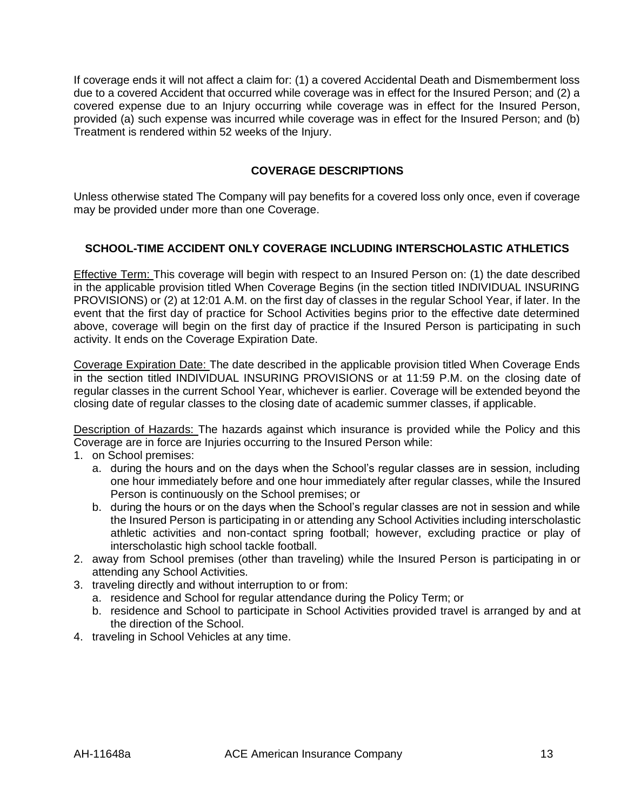If coverage ends it will not affect a claim for: (1) a covered Accidental Death and Dismemberment loss due to a covered Accident that occurred while coverage was in effect for the Insured Person; and (2) a covered expense due to an Injury occurring while coverage was in effect for the Insured Person, provided (a) such expense was incurred while coverage was in effect for the Insured Person; and (b) Treatment is rendered within 52 weeks of the Injury.

# **COVERAGE DESCRIPTIONS**

<span id="page-12-0"></span>Unless otherwise stated The Company will pay benefits for a covered loss only once, even if coverage may be provided under more than one Coverage.

# **SCHOOL-TIME ACCIDENT ONLY COVERAGE INCLUDING INTERSCHOLASTIC ATHLETICS**

Effective Term: This coverage will begin with respect to an Insured Person on: (1) the date described in the applicable provision titled When Coverage Begins (in the section titled INDIVIDUAL INSURING PROVISIONS) or (2) at 12:01 A.M. on the first day of classes in the regular School Year, if later. In the event that the first day of practice for School Activities begins prior to the effective date determined above, coverage will begin on the first day of practice if the Insured Person is participating in such activity. It ends on the Coverage Expiration Date.

Coverage Expiration Date: The date described in the applicable provision titled When Coverage Ends in the section titled INDIVIDUAL INSURING PROVISIONS or at 11:59 P.M. on the closing date of regular classes in the current School Year, whichever is earlier. Coverage will be extended beyond the closing date of regular classes to the closing date of academic summer classes, if applicable.

Description of Hazards: The hazards against which insurance is provided while the Policy and this Coverage are in force are Injuries occurring to the Insured Person while:

- 1. on School premises:
	- a. during the hours and on the days when the School's regular classes are in session, including one hour immediately before and one hour immediately after regular classes, while the Insured Person is continuously on the School premises; or
	- b. during the hours or on the days when the School's regular classes are not in session and while the Insured Person is participating in or attending any School Activities including interscholastic athletic activities and non-contact spring football; however, excluding practice or play of interscholastic high school tackle football.
- 2. away from School premises (other than traveling) while the Insured Person is participating in or attending any School Activities.
- 3. traveling directly and without interruption to or from:
	- a. residence and School for regular attendance during the Policy Term; or
	- b. residence and School to participate in School Activities provided travel is arranged by and at the direction of the School.
- 4. traveling in School Vehicles at any time.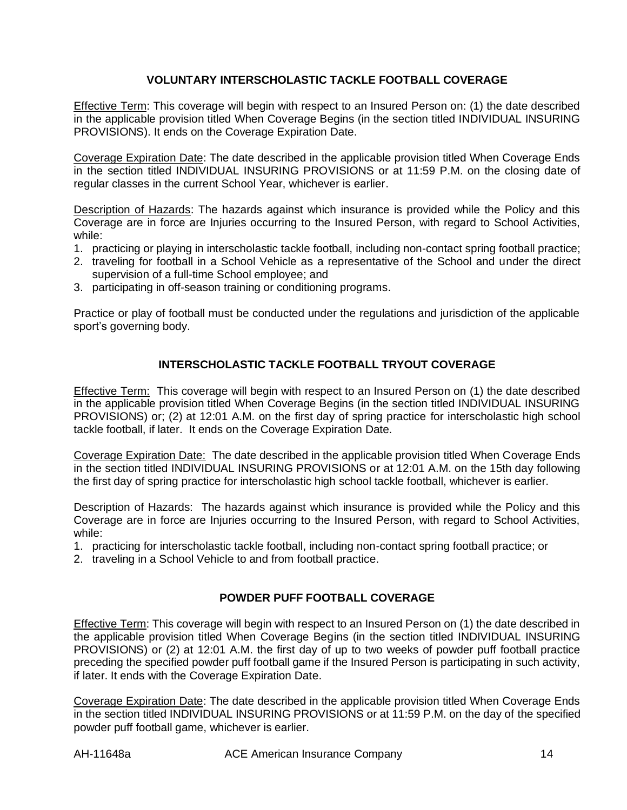# **VOLUNTARY INTERSCHOLASTIC TACKLE FOOTBALL COVERAGE**

Effective Term: This coverage will begin with respect to an Insured Person on: (1) the date described in the applicable provision titled When Coverage Begins (in the section titled INDIVIDUAL INSURING PROVISIONS). It ends on the Coverage Expiration Date.

Coverage Expiration Date: The date described in the applicable provision titled When Coverage Ends in the section titled INDIVIDUAL INSURING PROVISIONS or at 11:59 P.M. on the closing date of regular classes in the current School Year, whichever is earlier.

Description of Hazards: The hazards against which insurance is provided while the Policy and this Coverage are in force are Injuries occurring to the Insured Person, with regard to School Activities, while:

- 1. practicing or playing in interscholastic tackle football, including non-contact spring football practice;
- 2. traveling for football in a School Vehicle as a representative of the School and under the direct supervision of a full-time School employee; and
- 3. participating in off-season training or conditioning programs.

Practice or play of football must be conducted under the regulations and jurisdiction of the applicable sport's governing body.

# **INTERSCHOLASTIC TACKLE FOOTBALL TRYOUT COVERAGE**

Effective Term: This coverage will begin with respect to an Insured Person on (1) the date described in the applicable provision titled When Coverage Begins (in the section titled INDIVIDUAL INSURING PROVISIONS) or; (2) at 12:01 A.M. on the first day of spring practice for interscholastic high school tackle football, if later. It ends on the Coverage Expiration Date.

Coverage Expiration Date: The date described in the applicable provision titled When Coverage Ends in the section titled INDIVIDUAL INSURING PROVISIONS or at 12:01 A.M. on the 15th day following the first day of spring practice for interscholastic high school tackle football, whichever is earlier.

Description of Hazards: The hazards against which insurance is provided while the Policy and this Coverage are in force are Injuries occurring to the Insured Person, with regard to School Activities, while:

- 1. practicing for interscholastic tackle football, including non-contact spring football practice; or
- 2. traveling in a School Vehicle to and from football practice.

# **POWDER PUFF FOOTBALL COVERAGE**

Effective Term: This coverage will begin with respect to an Insured Person on (1) the date described in the applicable provision titled When Coverage Begins (in the section titled INDIVIDUAL INSURING PROVISIONS) or (2) at 12:01 A.M. the first day of up to two weeks of powder puff football practice preceding the specified powder puff football game if the Insured Person is participating in such activity, if later. It ends with the Coverage Expiration Date.

Coverage Expiration Date: The date described in the applicable provision titled When Coverage Ends in the section titled INDIVIDUAL INSURING PROVISIONS or at 11:59 P.M. on the day of the specified powder puff football game, whichever is earlier.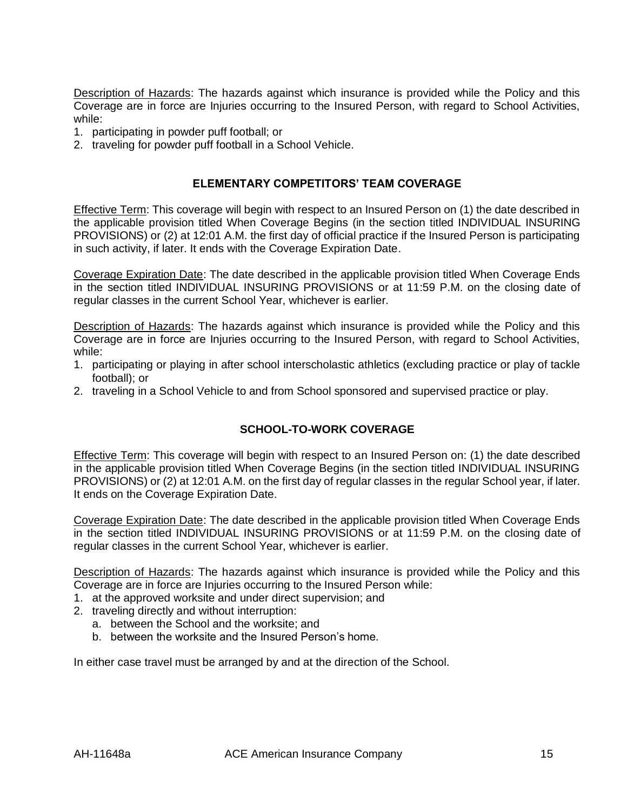Description of Hazards: The hazards against which insurance is provided while the Policy and this Coverage are in force are Injuries occurring to the Insured Person, with regard to School Activities, while:

- 1. participating in powder puff football; or
- 2. traveling for powder puff football in a School Vehicle.

### **ELEMENTARY COMPETITORS' TEAM COVERAGE**

Effective Term: This coverage will begin with respect to an Insured Person on (1) the date described in the applicable provision titled When Coverage Begins (in the section titled INDIVIDUAL INSURING PROVISIONS) or (2) at 12:01 A.M. the first day of official practice if the Insured Person is participating in such activity, if later. It ends with the Coverage Expiration Date.

Coverage Expiration Date: The date described in the applicable provision titled When Coverage Ends in the section titled INDIVIDUAL INSURING PROVISIONS or at 11:59 P.M. on the closing date of regular classes in the current School Year, whichever is earlier.

Description of Hazards: The hazards against which insurance is provided while the Policy and this Coverage are in force are Injuries occurring to the Insured Person, with regard to School Activities, while:

- 1. participating or playing in after school interscholastic athletics (excluding practice or play of tackle football); or
- 2. traveling in a School Vehicle to and from School sponsored and supervised practice or play.

# **SCHOOL-TO-WORK COVERAGE**

Effective Term: This coverage will begin with respect to an Insured Person on: (1) the date described in the applicable provision titled When Coverage Begins (in the section titled INDIVIDUAL INSURING PROVISIONS) or (2) at 12:01 A.M. on the first day of regular classes in the regular School year, if later. It ends on the Coverage Expiration Date.

Coverage Expiration Date: The date described in the applicable provision titled When Coverage Ends in the section titled INDIVIDUAL INSURING PROVISIONS or at 11:59 P.M. on the closing date of regular classes in the current School Year, whichever is earlier.

Description of Hazards: The hazards against which insurance is provided while the Policy and this Coverage are in force are Injuries occurring to the Insured Person while:

- 1. at the approved worksite and under direct supervision; and
- 2. traveling directly and without interruption:
	- a. between the School and the worksite; and
	- b. between the worksite and the Insured Person's home.

In either case travel must be arranged by and at the direction of the School.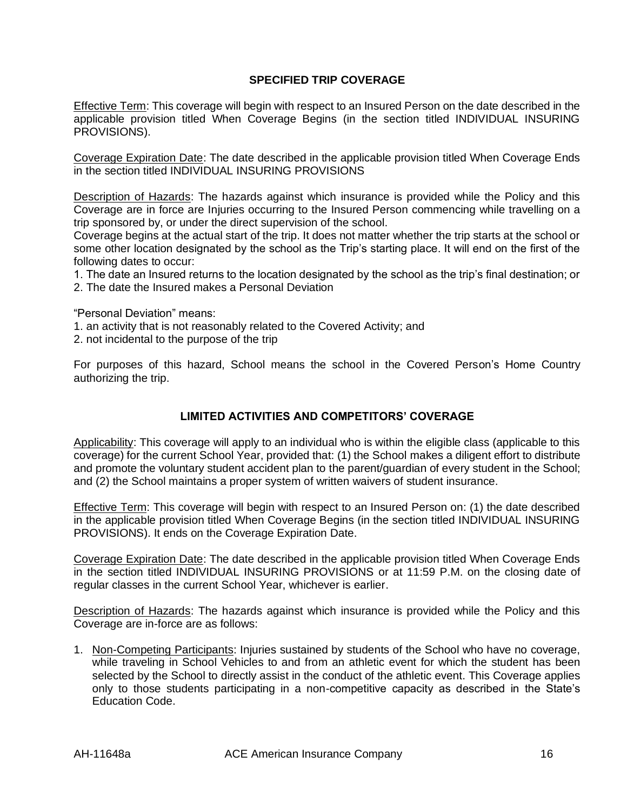# **SPECIFIED TRIP COVERAGE**

Effective Term: This coverage will begin with respect to an Insured Person on the date described in the applicable provision titled When Coverage Begins (in the section titled INDIVIDUAL INSURING PROVISIONS).

Coverage Expiration Date: The date described in the applicable provision titled When Coverage Ends in the section titled INDIVIDUAL INSURING PROVISIONS

Description of Hazards: The hazards against which insurance is provided while the Policy and this Coverage are in force are Injuries occurring to the Insured Person commencing while travelling on a trip sponsored by, or under the direct supervision of the school.

Coverage begins at the actual start of the trip. It does not matter whether the trip starts at the school or some other location designated by the school as the Trip's starting place. It will end on the first of the following dates to occur:

1. The date an Insured returns to the location designated by the school as the trip's final destination; or 2. The date the Insured makes a Personal Deviation

"Personal Deviation" means:

1. an activity that is not reasonably related to the Covered Activity; and

2. not incidental to the purpose of the trip

For purposes of this hazard, School means the school in the Covered Person's Home Country authorizing the trip.

# **LIMITED ACTIVITIES AND COMPETITORS' COVERAGE**

Applicability: This coverage will apply to an individual who is within the eligible class (applicable to this coverage) for the current School Year, provided that: (1) the School makes a diligent effort to distribute and promote the voluntary student accident plan to the parent/guardian of every student in the School; and (2) the School maintains a proper system of written waivers of student insurance.

Effective Term: This coverage will begin with respect to an Insured Person on: (1) the date described in the applicable provision titled When Coverage Begins (in the section titled INDIVIDUAL INSURING PROVISIONS). It ends on the Coverage Expiration Date.

Coverage Expiration Date: The date described in the applicable provision titled When Coverage Ends in the section titled INDIVIDUAL INSURING PROVISIONS or at 11:59 P.M. on the closing date of regular classes in the current School Year, whichever is earlier.

Description of Hazards: The hazards against which insurance is provided while the Policy and this Coverage are in-force are as follows:

1. Non-Competing Participants: Injuries sustained by students of the School who have no coverage, while traveling in School Vehicles to and from an athletic event for which the student has been selected by the School to directly assist in the conduct of the athletic event. This Coverage applies only to those students participating in a non-competitive capacity as described in the State's Education Code.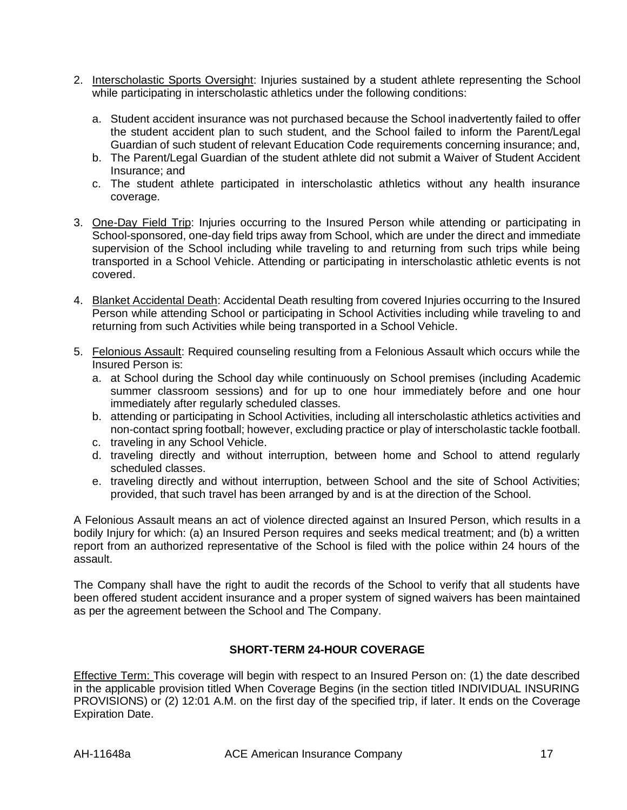- 2. Interscholastic Sports Oversight: Injuries sustained by a student athlete representing the School while participating in interscholastic athletics under the following conditions:
	- a. Student accident insurance was not purchased because the School inadvertently failed to offer the student accident plan to such student, and the School failed to inform the Parent/Legal Guardian of such student of relevant Education Code requirements concerning insurance; and,
	- b. The Parent/Legal Guardian of the student athlete did not submit a Waiver of Student Accident Insurance; and
	- c. The student athlete participated in interscholastic athletics without any health insurance coverage.
- 3. One-Day Field Trip: Injuries occurring to the Insured Person while attending or participating in School-sponsored, one-day field trips away from School, which are under the direct and immediate supervision of the School including while traveling to and returning from such trips while being transported in a School Vehicle. Attending or participating in interscholastic athletic events is not covered.
- 4. Blanket Accidental Death: Accidental Death resulting from covered Injuries occurring to the Insured Person while attending School or participating in School Activities including while traveling to and returning from such Activities while being transported in a School Vehicle.
- 5. Felonious Assault: Required counseling resulting from a Felonious Assault which occurs while the Insured Person is:
	- a. at School during the School day while continuously on School premises (including Academic summer classroom sessions) and for up to one hour immediately before and one hour immediately after regularly scheduled classes.
	- b. attending or participating in School Activities, including all interscholastic athletics activities and non-contact spring football; however, excluding practice or play of interscholastic tackle football.
	- c. traveling in any School Vehicle.
	- d. traveling directly and without interruption, between home and School to attend regularly scheduled classes.
	- e. traveling directly and without interruption, between School and the site of School Activities; provided, that such travel has been arranged by and is at the direction of the School.

A Felonious Assault means an act of violence directed against an Insured Person, which results in a bodily Injury for which: (a) an Insured Person requires and seeks medical treatment; and (b) a written report from an authorized representative of the School is filed with the police within 24 hours of the assault.

The Company shall have the right to audit the records of the School to verify that all students have been offered student accident insurance and a proper system of signed waivers has been maintained as per the agreement between the School and The Company.

# **SHORT-TERM 24-HOUR COVERAGE**

Effective Term: This coverage will begin with respect to an Insured Person on: (1) the date described in the applicable provision titled When Coverage Begins (in the section titled INDIVIDUAL INSURING PROVISIONS) or (2) 12:01 A.M. on the first day of the specified trip, if later. It ends on the Coverage Expiration Date.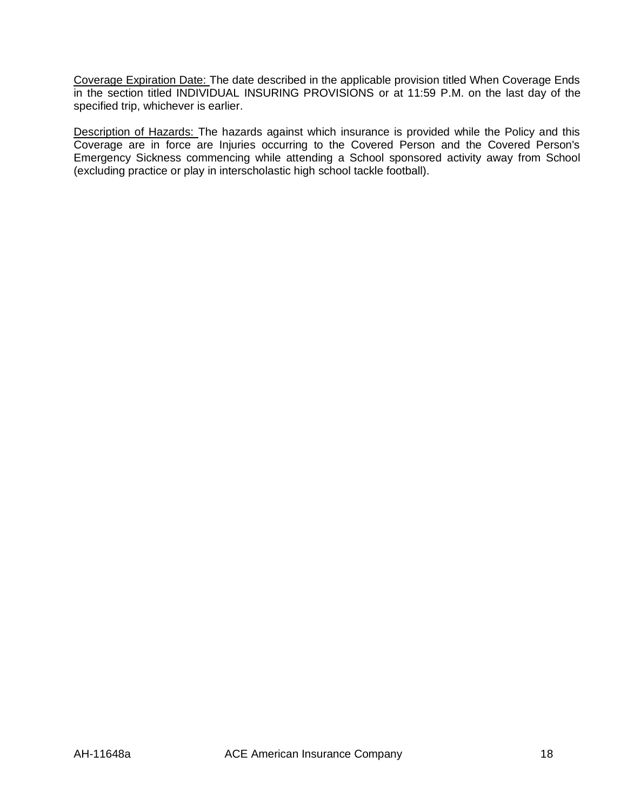Coverage Expiration Date: The date described in the applicable provision titled When Coverage Ends in the section titled INDIVIDUAL INSURING PROVISIONS or at 11:59 P.M. on the last day of the specified trip, whichever is earlier.

Description of Hazards: The hazards against which insurance is provided while the Policy and this Coverage are in force are Injuries occurring to the Covered Person and the Covered Person's Emergency Sickness commencing while attending a School sponsored activity away from School (excluding practice or play in interscholastic high school tackle football).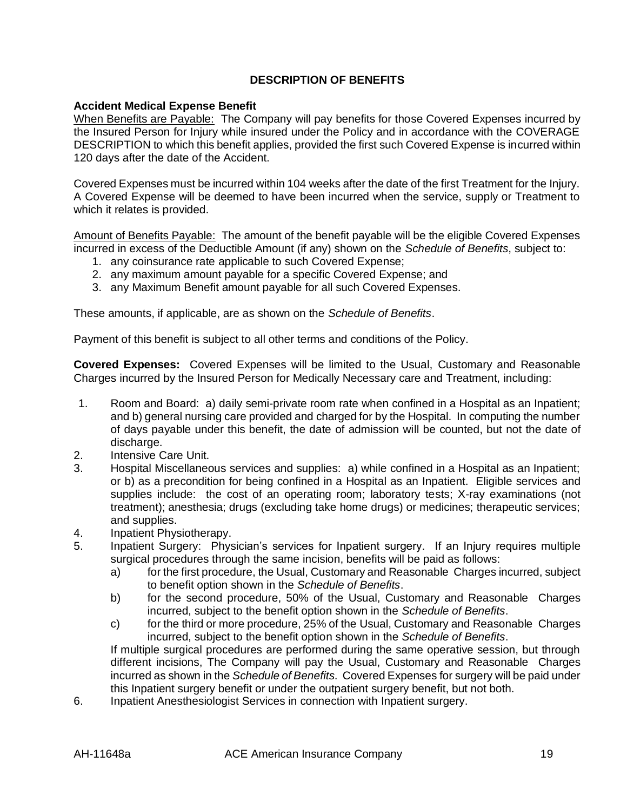# **DESCRIPTION OF BENEFITS**

### <span id="page-18-0"></span>**Accident Medical Expense Benefit**

When Benefits are Payable: The Company will pay benefits for those Covered Expenses incurred by the Insured Person for Injury while insured under the Policy and in accordance with the COVERAGE DESCRIPTION to which this benefit applies, provided the first such Covered Expense is incurred within 120 days after the date of the Accident.

Covered Expenses must be incurred within 104 weeks after the date of the first Treatment for the Injury. A Covered Expense will be deemed to have been incurred when the service, supply or Treatment to which it relates is provided.

Amount of Benefits Payable: The amount of the benefit payable will be the eligible Covered Expenses incurred in excess of the Deductible Amount (if any) shown on the *Schedule of Benefits*, subject to:

- 1. any coinsurance rate applicable to such Covered Expense;
- 2. any maximum amount payable for a specific Covered Expense; and
- 3. any Maximum Benefit amount payable for all such Covered Expenses.

These amounts, if applicable, are as shown on the *Schedule of Benefits*.

Payment of this benefit is subject to all other terms and conditions of the Policy.

**Covered Expenses:** Covered Expenses will be limited to the Usual, Customary and Reasonable Charges incurred by the Insured Person for Medically Necessary care and Treatment, including:

- 1. Room and Board: a) daily semi-private room rate when confined in a Hospital as an Inpatient; and b) general nursing care provided and charged for by the Hospital. In computing the number of days payable under this benefit, the date of admission will be counted, but not the date of discharge.
- 2. Intensive Care Unit.
- 3. Hospital Miscellaneous services and supplies: a) while confined in a Hospital as an Inpatient; or b) as a precondition for being confined in a Hospital as an Inpatient. Eligible services and supplies include: the cost of an operating room; laboratory tests; X-ray examinations (not treatment); anesthesia; drugs (excluding take home drugs) or medicines; therapeutic services; and supplies.
- 4. Inpatient Physiotherapy.
- 5. Inpatient Surgery: Physician's services for Inpatient surgery. If an Injury requires multiple surgical procedures through the same incision, benefits will be paid as follows:
	- a) for the first procedure, the Usual, Customary and Reasonable Charges incurred, subject to benefit option shown in the *Schedule of Benefits*.
	- b) for the second procedure, 50% of the Usual, Customary and Reasonable Charges incurred, subject to the benefit option shown in the *Schedule of Benefits*.
	- c) for the third or more procedure, 25% of the Usual, Customary and Reasonable Charges incurred, subject to the benefit option shown in the *Schedule of Benefits*.

If multiple surgical procedures are performed during the same operative session, but through different incisions, The Company will pay the Usual, Customary and Reasonable Charges incurred as shown in the *Schedule of Benefits*. Covered Expenses for surgery will be paid under this Inpatient surgery benefit or under the outpatient surgery benefit, but not both.

6. Inpatient Anesthesiologist Services in connection with Inpatient surgery.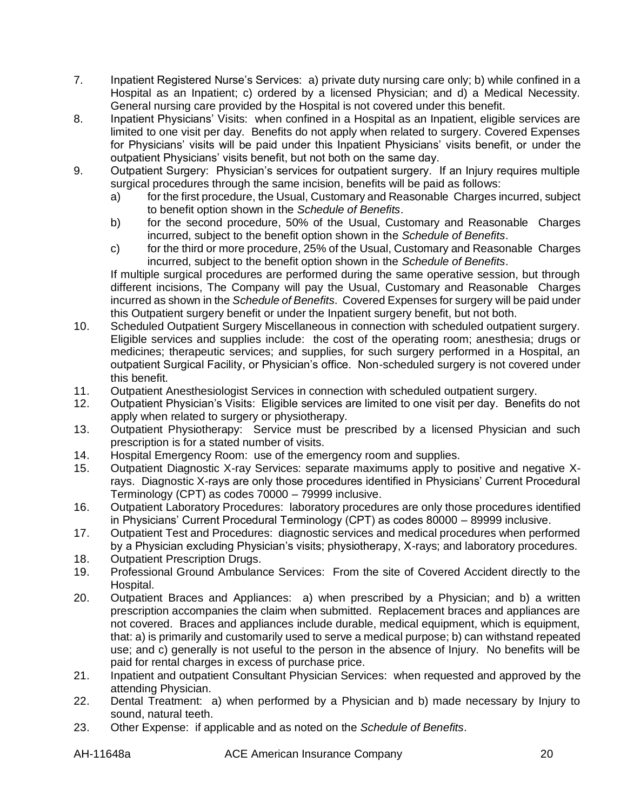- 7. Inpatient Registered Nurse's Services: a) private duty nursing care only; b) while confined in a Hospital as an Inpatient; c) ordered by a licensed Physician; and d) a Medical Necessity. General nursing care provided by the Hospital is not covered under this benefit.
- 8. Inpatient Physicians' Visits: when confined in a Hospital as an Inpatient, eligible services are limited to one visit per day. Benefits do not apply when related to surgery. Covered Expenses for Physicians' visits will be paid under this Inpatient Physicians' visits benefit, or under the outpatient Physicians' visits benefit, but not both on the same day.
- 9. Outpatient Surgery: Physician's services for outpatient surgery. If an Injury requires multiple surgical procedures through the same incision, benefits will be paid as follows:
	- a) for the first procedure, the Usual, Customary and Reasonable Charges incurred, subject to benefit option shown in the *Schedule of Benefits*.
	- b) for the second procedure, 50% of the Usual, Customary and Reasonable Charges incurred, subject to the benefit option shown in the *Schedule of Benefits*.
	- c) for the third or more procedure, 25% of the Usual, Customary and Reasonable Charges incurred, subject to the benefit option shown in the *Schedule of Benefits*.

If multiple surgical procedures are performed during the same operative session, but through different incisions, The Company will pay the Usual, Customary and Reasonable Charges incurred as shown in the *Schedule of Benefits*. Covered Expenses for surgery will be paid under this Outpatient surgery benefit or under the Inpatient surgery benefit, but not both.

- 10. Scheduled Outpatient Surgery Miscellaneous in connection with scheduled outpatient surgery. Eligible services and supplies include: the cost of the operating room; anesthesia; drugs or medicines; therapeutic services; and supplies, for such surgery performed in a Hospital, an outpatient Surgical Facility, or Physician's office. Non-scheduled surgery is not covered under this benefit.
- 11. Outpatient Anesthesiologist Services in connection with scheduled outpatient surgery.
- 12. Outpatient Physician's Visits: Eligible services are limited to one visit per day. Benefits do not apply when related to surgery or physiotherapy.
- 13. Outpatient Physiotherapy: Service must be prescribed by a licensed Physician and such prescription is for a stated number of visits.
- 14. Hospital Emergency Room: use of the emergency room and supplies.
- 15. Outpatient Diagnostic X-ray Services: separate maximums apply to positive and negative Xrays. Diagnostic X-rays are only those procedures identified in Physicians' Current Procedural Terminology (CPT) as codes 70000 – 79999 inclusive.
- 16. Outpatient Laboratory Procedures: laboratory procedures are only those procedures identified in Physicians' Current Procedural Terminology (CPT) as codes 80000 – 89999 inclusive.
- 17. Outpatient Test and Procedures: diagnostic services and medical procedures when performed by a Physician excluding Physician's visits; physiotherapy, X-rays; and laboratory procedures.
- 18. Outpatient Prescription Drugs.
- 19. Professional Ground Ambulance Services: From the site of Covered Accident directly to the Hospital.
- 20. Outpatient Braces and Appliances: a) when prescribed by a Physician; and b) a written prescription accompanies the claim when submitted. Replacement braces and appliances are not covered. Braces and appliances include durable, medical equipment, which is equipment, that: a) is primarily and customarily used to serve a medical purpose; b) can withstand repeated use; and c) generally is not useful to the person in the absence of Injury. No benefits will be paid for rental charges in excess of purchase price.
- 21. Inpatient and outpatient Consultant Physician Services: when requested and approved by the attending Physician.
- 22. Dental Treatment: a) when performed by a Physician and b) made necessary by Injury to sound, natural teeth.
- 23. Other Expense: if applicable and as noted on the *Schedule of Benefits*.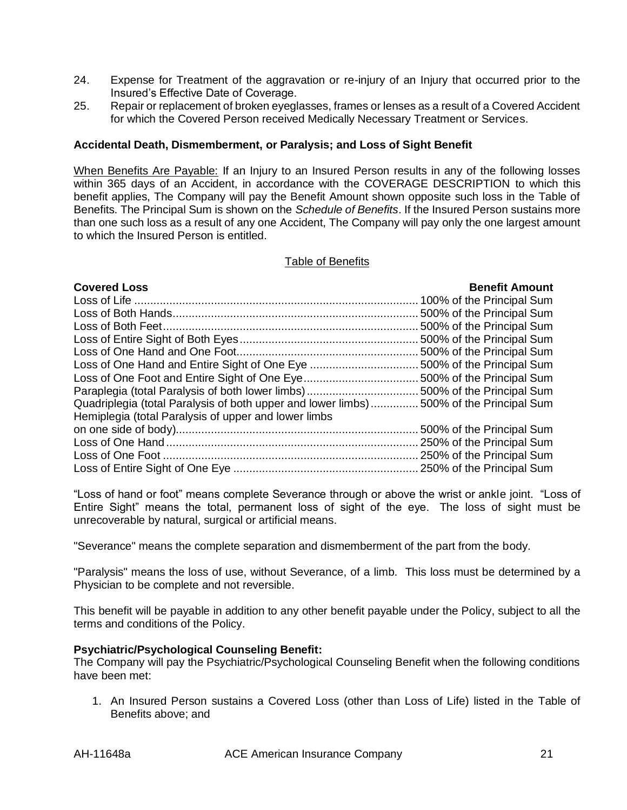- 24. Expense for Treatment of the aggravation or re-injury of an Injury that occurred prior to the Insured's Effective Date of Coverage.
- 25. Repair or replacement of broken eyeglasses, frames or lenses as a result of a Covered Accident for which the Covered Person received Medically Necessary Treatment or Services.

### **Accidental Death, Dismemberment, or Paralysis; and Loss of Sight Benefit**

When Benefits Are Payable: If an Injury to an Insured Person results in any of the following losses within 365 days of an Accident, in accordance with the COVERAGE DESCRIPTION to which this benefit applies, The Company will pay the Benefit Amount shown opposite such loss in the Table of Benefits. The Principal Sum is shown on the *Schedule of Benefits*. If the Insured Person sustains more than one such loss as a result of any one Accident, The Company will pay only the one largest amount to which the Insured Person is entitled.

### Table of Benefits

| <b>Covered Loss</b>                                                                   | <b>Benefit Amount</b>      |
|---------------------------------------------------------------------------------------|----------------------------|
|                                                                                       |                            |
|                                                                                       |                            |
|                                                                                       | 500% of the Principal Sum  |
|                                                                                       |                            |
|                                                                                       | 500% of the Principal Sum  |
|                                                                                       |                            |
|                                                                                       |                            |
|                                                                                       |                            |
| Quadriplegia (total Paralysis of both upper and lower limbs)500% of the Principal Sum |                            |
| Hemiplegia (total Paralysis of upper and lower limbs                                  |                            |
|                                                                                       |                            |
|                                                                                       | .250% of the Principal Sum |
|                                                                                       |                            |
|                                                                                       |                            |

"Loss of hand or foot" means complete Severance through or above the wrist or ankle joint. "Loss of Entire Sight" means the total, permanent loss of sight of the eye. The loss of sight must be unrecoverable by natural, surgical or artificial means.

"Severance" means the complete separation and dismemberment of the part from the body.

"Paralysis" means the loss of use, without Severance, of a limb. This loss must be determined by a Physician to be complete and not reversible.

This benefit will be payable in addition to any other benefit payable under the Policy, subject to all the terms and conditions of the Policy.

### **Psychiatric/Psychological Counseling Benefit:**

The Company will pay the Psychiatric/Psychological Counseling Benefit when the following conditions have been met:

1. An Insured Person sustains a Covered Loss (other than Loss of Life) listed in the Table of Benefits above; and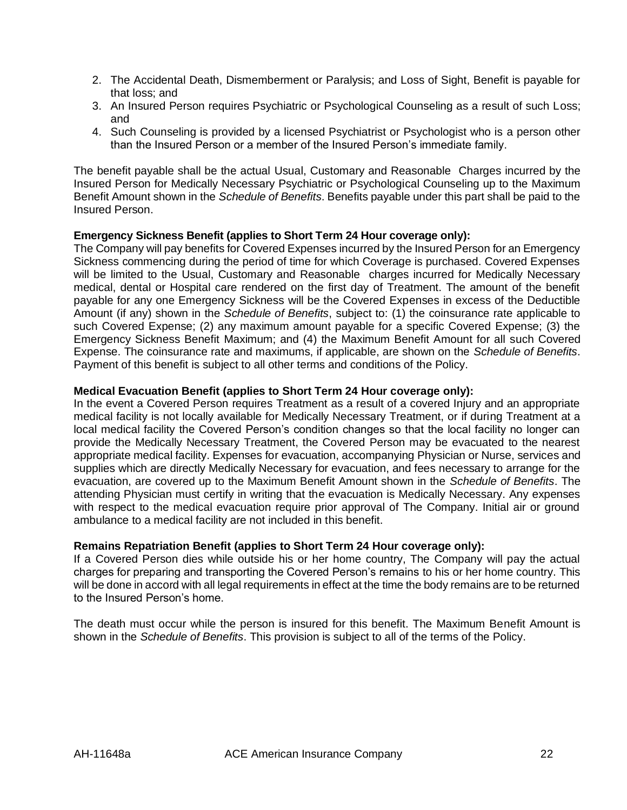- 2. The Accidental Death, Dismemberment or Paralysis; and Loss of Sight, Benefit is payable for that loss; and
- 3. An Insured Person requires Psychiatric or Psychological Counseling as a result of such Loss; and
- 4. Such Counseling is provided by a licensed Psychiatrist or Psychologist who is a person other than the Insured Person or a member of the Insured Person's immediate family.

The benefit payable shall be the actual Usual, Customary and Reasonable Charges incurred by the Insured Person for Medically Necessary Psychiatric or Psychological Counseling up to the Maximum Benefit Amount shown in the *Schedule of Benefits*. Benefits payable under this part shall be paid to the Insured Person.

# **Emergency Sickness Benefit (applies to Short Term 24 Hour coverage only):**

The Company will pay benefits for Covered Expenses incurred by the Insured Person for an Emergency Sickness commencing during the period of time for which Coverage is purchased. Covered Expenses will be limited to the Usual, Customary and Reasonable charges incurred for Medically Necessary medical, dental or Hospital care rendered on the first day of Treatment. The amount of the benefit payable for any one Emergency Sickness will be the Covered Expenses in excess of the Deductible Amount (if any) shown in the *Schedule of Benefits*, subject to: (1) the coinsurance rate applicable to such Covered Expense; (2) any maximum amount payable for a specific Covered Expense; (3) the Emergency Sickness Benefit Maximum; and (4) the Maximum Benefit Amount for all such Covered Expense. The coinsurance rate and maximums, if applicable, are shown on the *Schedule of Benefits*. Payment of this benefit is subject to all other terms and conditions of the Policy.

# **Medical Evacuation Benefit (applies to Short Term 24 Hour coverage only):**

In the event a Covered Person requires Treatment as a result of a covered Injury and an appropriate medical facility is not locally available for Medically Necessary Treatment, or if during Treatment at a local medical facility the Covered Person's condition changes so that the local facility no longer can provide the Medically Necessary Treatment, the Covered Person may be evacuated to the nearest appropriate medical facility. Expenses for evacuation, accompanying Physician or Nurse, services and supplies which are directly Medically Necessary for evacuation, and fees necessary to arrange for the evacuation, are covered up to the Maximum Benefit Amount shown in the *Schedule of Benefits*. The attending Physician must certify in writing that the evacuation is Medically Necessary. Any expenses with respect to the medical evacuation require prior approval of The Company. Initial air or ground ambulance to a medical facility are not included in this benefit.

# **Remains Repatriation Benefit (applies to Short Term 24 Hour coverage only):**

If a Covered Person dies while outside his or her home country, The Company will pay the actual charges for preparing and transporting the Covered Person's remains to his or her home country. This will be done in accord with all legal requirements in effect at the time the body remains are to be returned to the Insured Person's home.

The death must occur while the person is insured for this benefit. The Maximum Benefit Amount is shown in the *Schedule of Benefits*. This provision is subject to all of the terms of the Policy.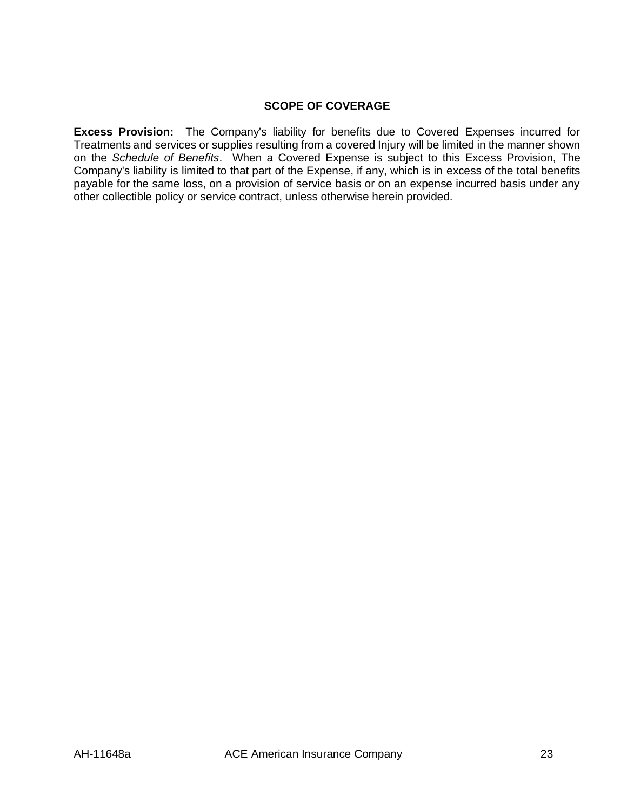# **SCOPE OF COVERAGE**

<span id="page-22-0"></span>**Excess Provision:** The Company's liability for benefits due to Covered Expenses incurred for Treatments and services or supplies resulting from a covered Injury will be limited in the manner shown on the *Schedule of Benefits*. When a Covered Expense is subject to this Excess Provision, The Company's liability is limited to that part of the Expense, if any, which is in excess of the total benefits payable for the same loss, on a provision of service basis or on an expense incurred basis under any other collectible policy or service contract, unless otherwise herein provided.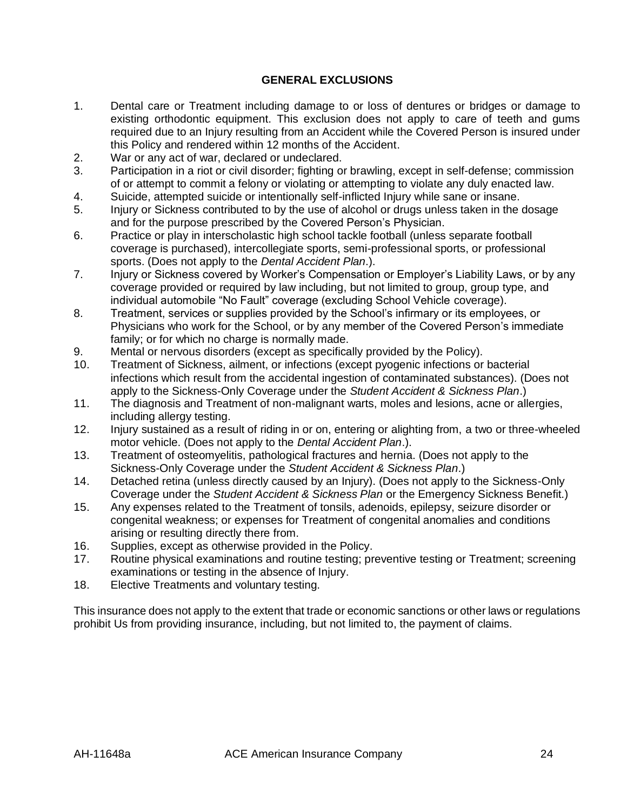# **GENERAL EXCLUSIONS**

- <span id="page-23-0"></span>1. Dental care or Treatment including damage to or loss of dentures or bridges or damage to existing orthodontic equipment. This exclusion does not apply to care of teeth and gums required due to an Injury resulting from an Accident while the Covered Person is insured under this Policy and rendered within 12 months of the Accident.
- 2. War or any act of war, declared or undeclared.
- 3. Participation in a riot or civil disorder; fighting or brawling, except in self-defense; commission of or attempt to commit a felony or violating or attempting to violate any duly enacted law.
- 4. Suicide, attempted suicide or intentionally self-inflicted Injury while sane or insane.
- 5. Injury or Sickness contributed to by the use of alcohol or drugs unless taken in the dosage and for the purpose prescribed by the Covered Person's Physician.
- 6. Practice or play in interscholastic high school tackle football (unless separate football coverage is purchased), intercollegiate sports, semi-professional sports, or professional sports. (Does not apply to the *Dental Accident Plan*.).
- 7. Injury or Sickness covered by Worker's Compensation or Employer's Liability Laws, or by any coverage provided or required by law including, but not limited to group, group type, and individual automobile "No Fault" coverage (excluding School Vehicle coverage).
- 8. Treatment, services or supplies provided by the School's infirmary or its employees, or Physicians who work for the School, or by any member of the Covered Person's immediate family; or for which no charge is normally made.
- 9. Mental or nervous disorders (except as specifically provided by the Policy).
- 10. Treatment of Sickness, ailment, or infections (except pyogenic infections or bacterial infections which result from the accidental ingestion of contaminated substances). (Does not apply to the Sickness-Only Coverage under the *Student Accident & Sickness Plan*.)
- 11. The diagnosis and Treatment of non-malignant warts, moles and lesions, acne or allergies, including allergy testing.
- 12. Injury sustained as a result of riding in or on, entering or alighting from, a two or three-wheeled motor vehicle. (Does not apply to the *Dental Accident Plan*.).
- 13. Treatment of osteomyelitis, pathological fractures and hernia. (Does not apply to the Sickness-Only Coverage under the *Student Accident & Sickness Plan*.)
- 14. Detached retina (unless directly caused by an Injury). (Does not apply to the Sickness-Only Coverage under the *Student Accident & Sickness Plan* or the Emergency Sickness Benefit.)
- 15. Any expenses related to the Treatment of tonsils, adenoids, epilepsy, seizure disorder or congenital weakness; or expenses for Treatment of congenital anomalies and conditions arising or resulting directly there from.
- 16. Supplies, except as otherwise provided in the Policy.
- 17. Routine physical examinations and routine testing; preventive testing or Treatment; screening examinations or testing in the absence of Injury.
- 18. Elective Treatments and voluntary testing.

This insurance does not apply to the extent that trade or economic sanctions or other laws or regulations prohibit Us from providing insurance, including, but not limited to, the payment of claims.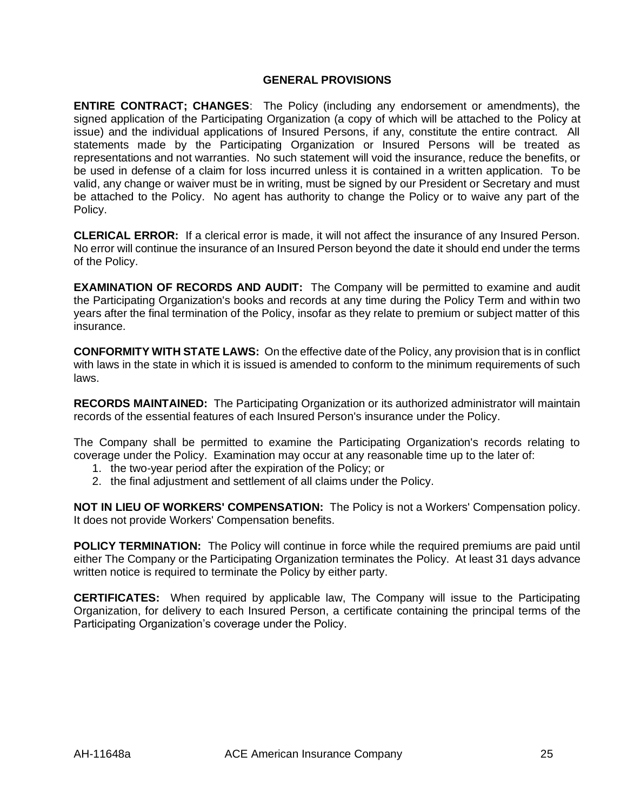# **GENERAL PROVISIONS**

<span id="page-24-0"></span>**ENTIRE CONTRACT; CHANGES**: The Policy (including any endorsement or amendments), the signed application of the Participating Organization (a copy of which will be attached to the Policy at issue) and the individual applications of Insured Persons, if any, constitute the entire contract. All statements made by the Participating Organization or Insured Persons will be treated as representations and not warranties. No such statement will void the insurance, reduce the benefits, or be used in defense of a claim for loss incurred unless it is contained in a written application. To be valid, any change or waiver must be in writing, must be signed by our President or Secretary and must be attached to the Policy. No agent has authority to change the Policy or to waive any part of the Policy.

**CLERICAL ERROR:** If a clerical error is made, it will not affect the insurance of any Insured Person. No error will continue the insurance of an Insured Person beyond the date it should end under the terms of the Policy.

**EXAMINATION OF RECORDS AND AUDIT:** The Company will be permitted to examine and audit the Participating Organization's books and records at any time during the Policy Term and within two years after the final termination of the Policy, insofar as they relate to premium or subject matter of this insurance.

**CONFORMITY WITH STATE LAWS:** On the effective date of the Policy, any provision that is in conflict with laws in the state in which it is issued is amended to conform to the minimum requirements of such laws.

**RECORDS MAINTAINED:** The Participating Organization or its authorized administrator will maintain records of the essential features of each Insured Person's insurance under the Policy.

The Company shall be permitted to examine the Participating Organization's records relating to coverage under the Policy. Examination may occur at any reasonable time up to the later of:

- 1. the two-year period after the expiration of the Policy; or
- 2. the final adjustment and settlement of all claims under the Policy.

**NOT IN LIEU OF WORKERS' COMPENSATION:** The Policy is not a Workers' Compensation policy. It does not provide Workers' Compensation benefits.

**POLICY TERMINATION:** The Policy will continue in force while the required premiums are paid until either The Company or the Participating Organization terminates the Policy. At least 31 days advance written notice is required to terminate the Policy by either party.

**CERTIFICATES:** When required by applicable law, The Company will issue to the Participating Organization, for delivery to each Insured Person, a certificate containing the principal terms of the Participating Organization's coverage under the Policy.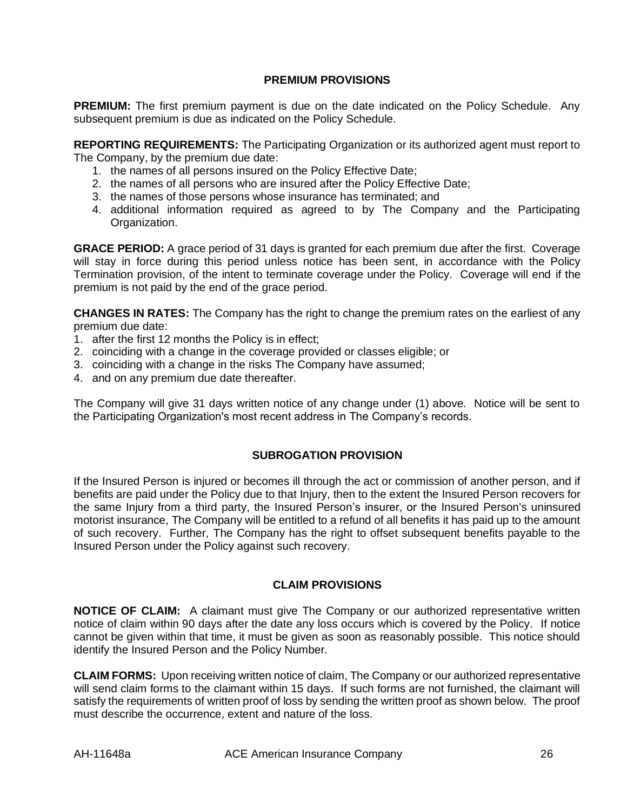# **PREMIUM PROVISIONS**

<span id="page-25-0"></span>**PREMIUM:** The first premium payment is due on the date indicated on the Policy Schedule. Any subsequent premium is due as indicated on the Policy Schedule.

**REPORTING REQUIREMENTS:** The Participating Organization or its authorized agent must report to The Company, by the premium due date:

- 1. the names of all persons insured on the Policy Effective Date;
- 2. the names of all persons who are insured after the Policy Effective Date;
- 3. the names of those persons whose insurance has terminated; and
- 4. additional information required as agreed to by The Company and the Participating Organization.

**GRACE PERIOD:** A grace period of 31 days is granted for each premium due after the first. Coverage will stay in force during this period unless notice has been sent, in accordance with the Policy Termination provision, of the intent to terminate coverage under the Policy. Coverage will end if the premium is not paid by the end of the grace period.

**CHANGES IN RATES:** The Company has the right to change the premium rates on the earliest of any premium due date:

- 1. after the first 12 months the Policy is in effect;
- 2. coinciding with a change in the coverage provided or classes eligible; or
- 3. coinciding with a change in the risks The Company have assumed;
- 4. and on any premium due date thereafter.

The Company will give 31 days written notice of any change under (1) above. Notice will be sent to the Participating Organization's most recent address in The Company's records.

# **SUBROGATION PROVISION**

If the Insured Person is injured or becomes ill through the act or commission of another person, and if benefits are paid under the Policy due to that Injury, then to the extent the Insured Person recovers for the same Injury from a third party, the Insured Person's insurer, or the Insured Person's uninsured motorist insurance, The Company will be entitled to a refund of all benefits it has paid up to the amount of such recovery. Further, The Company has the right to offset subsequent benefits payable to the Insured Person under the Policy against such recovery.

# **CLAIM PROVISIONS**

<span id="page-25-1"></span>**NOTICE OF CLAIM:** A claimant must give The Company or our authorized representative written notice of claim within 90 days after the date any loss occurs which is covered by the Policy. If notice cannot be given within that time, it must be given as soon as reasonably possible. This notice should identify the Insured Person and the Policy Number.

**CLAIM FORMS:** Upon receiving written notice of claim, The Company or our authorized representative will send claim forms to the claimant within 15 days. If such forms are not furnished, the claimant will satisfy the requirements of written proof of loss by sending the written proof as shown below. The proof must describe the occurrence, extent and nature of the loss.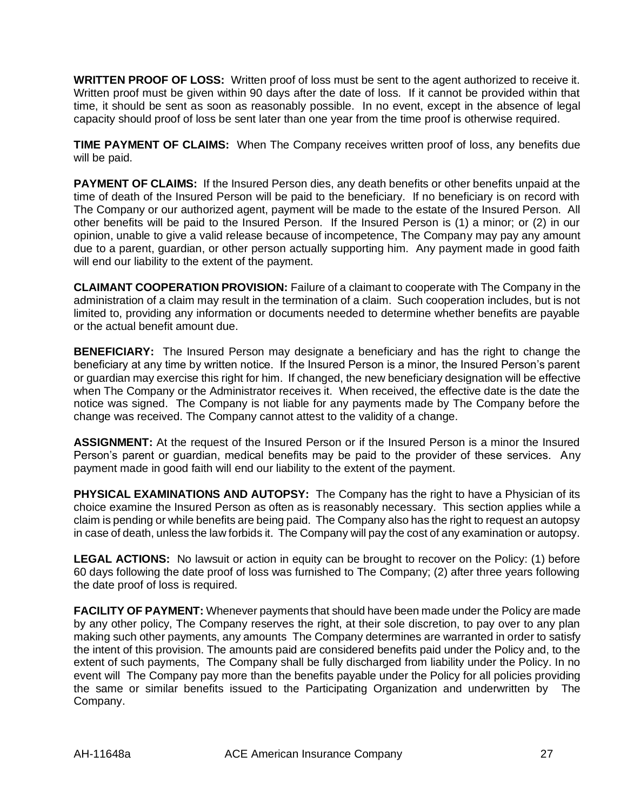**WRITTEN PROOF OF LOSS:** Written proof of loss must be sent to the agent authorized to receive it. Written proof must be given within 90 days after the date of loss. If it cannot be provided within that time, it should be sent as soon as reasonably possible. In no event, except in the absence of legal capacity should proof of loss be sent later than one year from the time proof is otherwise required.

**TIME PAYMENT OF CLAIMS:** When The Company receives written proof of loss, any benefits due will be paid.

**PAYMENT OF CLAIMS:** If the Insured Person dies, any death benefits or other benefits unpaid at the time of death of the Insured Person will be paid to the beneficiary. If no beneficiary is on record with The Company or our authorized agent, payment will be made to the estate of the Insured Person. All other benefits will be paid to the Insured Person. If the Insured Person is (1) a minor; or (2) in our opinion, unable to give a valid release because of incompetence, The Company may pay any amount due to a parent, guardian, or other person actually supporting him. Any payment made in good faith will end our liability to the extent of the payment.

**CLAIMANT COOPERATION PROVISION:** Failure of a claimant to cooperate with The Company in the administration of a claim may result in the termination of a claim. Such cooperation includes, but is not limited to, providing any information or documents needed to determine whether benefits are payable or the actual benefit amount due.

**BENEFICIARY:** The Insured Person may designate a beneficiary and has the right to change the beneficiary at any time by written notice. If the Insured Person is a minor, the Insured Person's parent or guardian may exercise this right for him. If changed, the new beneficiary designation will be effective when The Company or the Administrator receives it. When received, the effective date is the date the notice was signed. The Company is not liable for any payments made by The Company before the change was received. The Company cannot attest to the validity of a change.

**ASSIGNMENT:** At the request of the Insured Person or if the Insured Person is a minor the Insured Person's parent or guardian, medical benefits may be paid to the provider of these services. Any payment made in good faith will end our liability to the extent of the payment.

**PHYSICAL EXAMINATIONS AND AUTOPSY:** The Company has the right to have a Physician of its choice examine the Insured Person as often as is reasonably necessary. This section applies while a claim is pending or while benefits are being paid. The Company also has the right to request an autopsy in case of death, unless the law forbids it. The Company will pay the cost of any examination or autopsy.

**LEGAL ACTIONS:** No lawsuit or action in equity can be brought to recover on the Policy: (1) before 60 days following the date proof of loss was furnished to The Company; (2) after three years following the date proof of loss is required.

**FACILITY OF PAYMENT:** Whenever payments that should have been made under the Policy are made by any other policy, The Company reserves the right, at their sole discretion, to pay over to any plan making such other payments, any amounts The Company determines are warranted in order to satisfy the intent of this provision. The amounts paid are considered benefits paid under the Policy and, to the extent of such payments, The Company shall be fully discharged from liability under the Policy. In no event will The Company pay more than the benefits payable under the Policy for all policies providing the same or similar benefits issued to the Participating Organization and underwritten by The Company.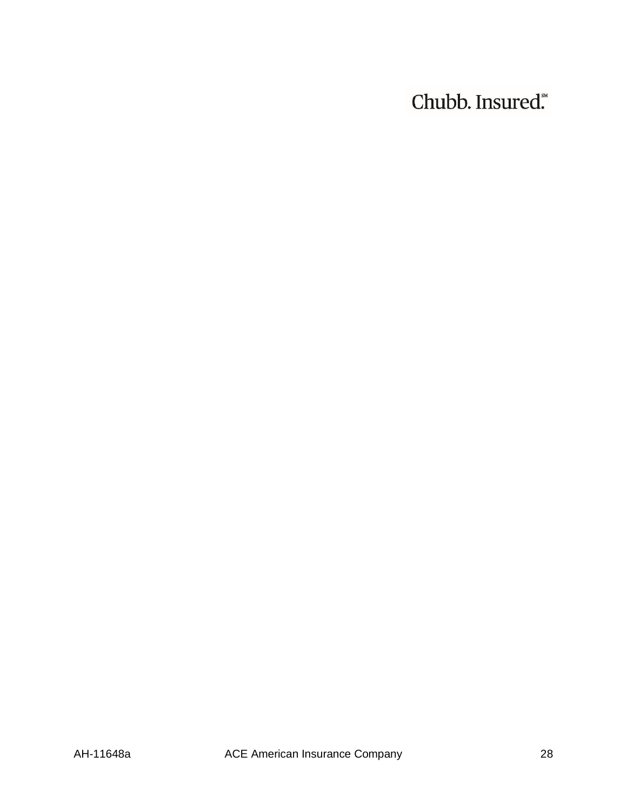Chubb. Insured."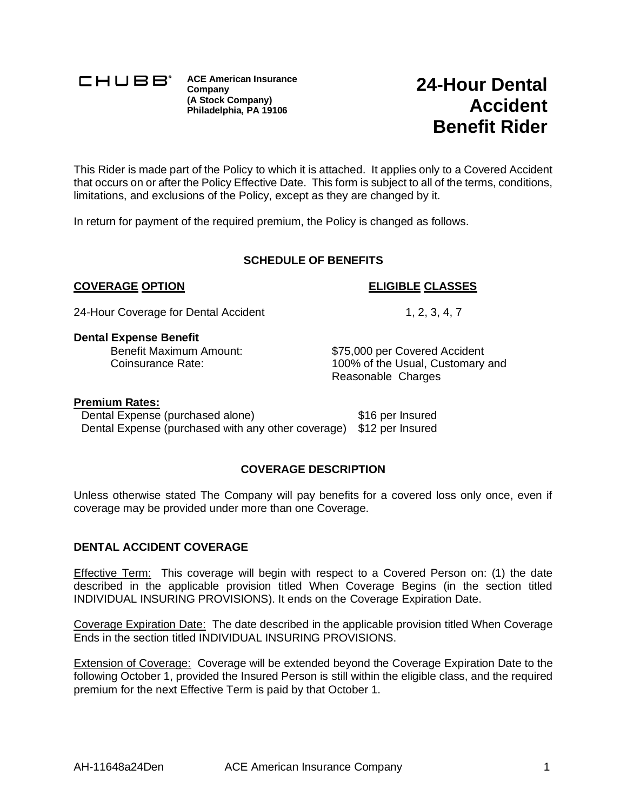

**ACE American Insurance Company (A Stock Company) Philadelphia, PA 19106**

# **24-Hour Dental Accident Benefit Rider**

This Rider is made part of the Policy to which it is attached. It applies only to a Covered Accident that occurs on or after the Policy Effective Date. This form is subject to all of the terms, conditions, limitations, and exclusions of the Policy, except as they are changed by it.

In return for payment of the required premium, the Policy is changed as follows.

# **SCHEDULE OF BENEFITS**

# **COVERAGE OPTION ELIGIBLE CLASSES**

24-Hour Coverage for Dental Accident 1, 2, 3, 4, 7

### **Dental Expense Benefit**

Benefit Maximum Amount: \$75,000 per Covered Accident Coinsurance Rate: 100% of the Usual, Customary and Reasonable Charges

# **Premium Rates:**

Dental Expense (purchased alone) Dental Expense (purchased with any other coverage) \$12 per Insured \$16 per Insured

# **COVERAGE DESCRIPTION**

Unless otherwise stated The Company will pay benefits for a covered loss only once, even if coverage may be provided under more than one Coverage.

# **DENTAL ACCIDENT COVERAGE**

Effective Term: This coverage will begin with respect to a Covered Person on: (1) the date described in the applicable provision titled When Coverage Begins (in the section titled INDIVIDUAL INSURING PROVISIONS). It ends on the Coverage Expiration Date.

Coverage Expiration Date: The date described in the applicable provision titled When Coverage Ends in the section titled INDIVIDUAL INSURING PROVISIONS.

**Extension of Coverage: Coverage will be extended beyond the Coverage Expiration Date to the** following October 1, provided the Insured Person is still within the eligible class, and the required premium for the next Effective Term is paid by that October 1.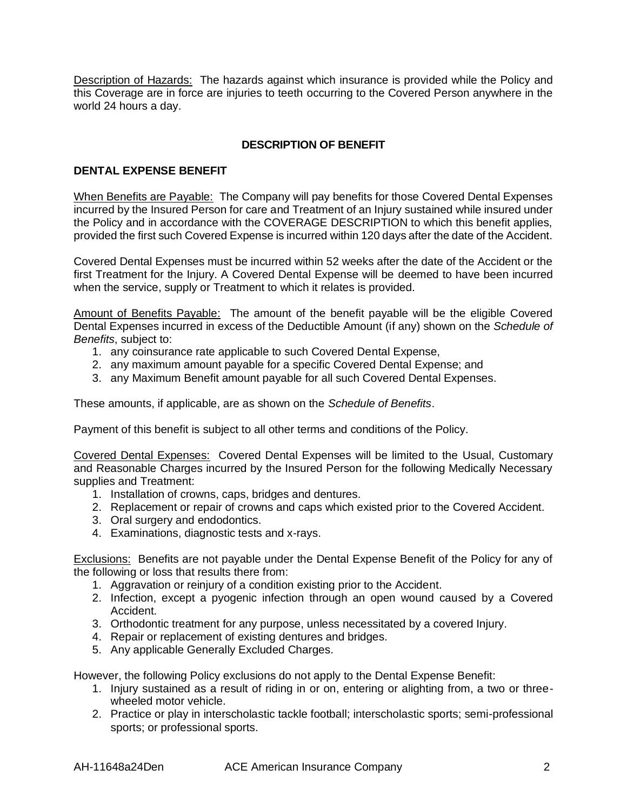Description of Hazards: The hazards against which insurance is provided while the Policy and this Coverage are in force are injuries to teeth occurring to the Covered Person anywhere in the world 24 hours a day.

# **DESCRIPTION OF BENEFIT**

# **DENTAL EXPENSE BENEFIT**

When Benefits are Payable: The Company will pay benefits for those Covered Dental Expenses incurred by the Insured Person for care and Treatment of an Injury sustained while insured under the Policy and in accordance with the COVERAGE DESCRIPTION to which this benefit applies, provided the first such Covered Expense is incurred within 120 days after the date of the Accident.

Covered Dental Expenses must be incurred within 52 weeks after the date of the Accident or the first Treatment for the Injury. A Covered Dental Expense will be deemed to have been incurred when the service, supply or Treatment to which it relates is provided.

Amount of Benefits Payable: The amount of the benefit payable will be the eligible Covered Dental Expenses incurred in excess of the Deductible Amount (if any) shown on the *Schedule of Benefits*, subject to:

- 1. any coinsurance rate applicable to such Covered Dental Expense,
- 2. any maximum amount payable for a specific Covered Dental Expense; and
- 3. any Maximum Benefit amount payable for all such Covered Dental Expenses.

These amounts, if applicable, are as shown on the *Schedule of Benefits*.

Payment of this benefit is subject to all other terms and conditions of the Policy.

Covered Dental Expenses: Covered Dental Expenses will be limited to the Usual, Customary and Reasonable Charges incurred by the Insured Person for the following Medically Necessary supplies and Treatment:

- 1. Installation of crowns, caps, bridges and dentures.
- 2. Replacement or repair of crowns and caps which existed prior to the Covered Accident.
- 3. Oral surgery and endodontics.
- 4. Examinations, diagnostic tests and x-rays.

Exclusions: Benefits are not payable under the Dental Expense Benefit of the Policy for any of the following or loss that results there from:

- 1. Aggravation or reinjury of a condition existing prior to the Accident.
- 2. Infection, except a pyogenic infection through an open wound caused by a Covered Accident.
- 3. Orthodontic treatment for any purpose, unless necessitated by a covered Injury.
- 4. Repair or replacement of existing dentures and bridges.
- 5. Any applicable Generally Excluded Charges.

However, the following Policy exclusions do not apply to the Dental Expense Benefit:

- 1. Injury sustained as a result of riding in or on, entering or alighting from, a two or threewheeled motor vehicle.
- 2. Practice or play in interscholastic tackle football; interscholastic sports; semi-professional sports; or professional sports.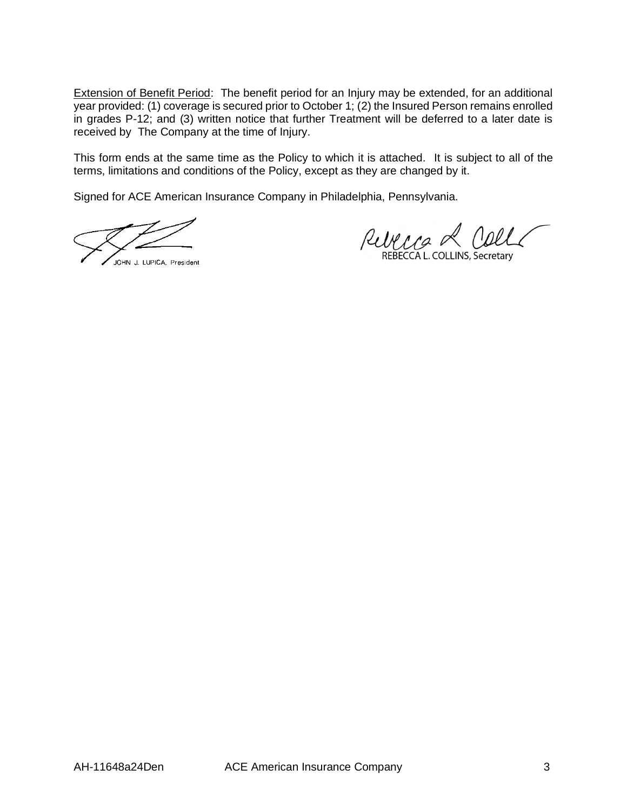Extension of Benefit Period: The benefit period for an Injury may be extended, for an additional year provided: (1) coverage is secured prior to October 1; (2) the Insured Person remains enrolled in grades P-12; and (3) written notice that further Treatment will be deferred to a later date is received by The Company at the time of Injury.

This form ends at the same time as the Policy to which it is attached. It is subject to all of the terms, limitations and conditions of the Policy, except as they are changed by it.

Signed for ACE American Insurance Company in Philadelphia, Pennsylvania.

.<br>JOHN J. LUPICA, President

Reversed Coll

**ECCA L. COLLINS, Secretary**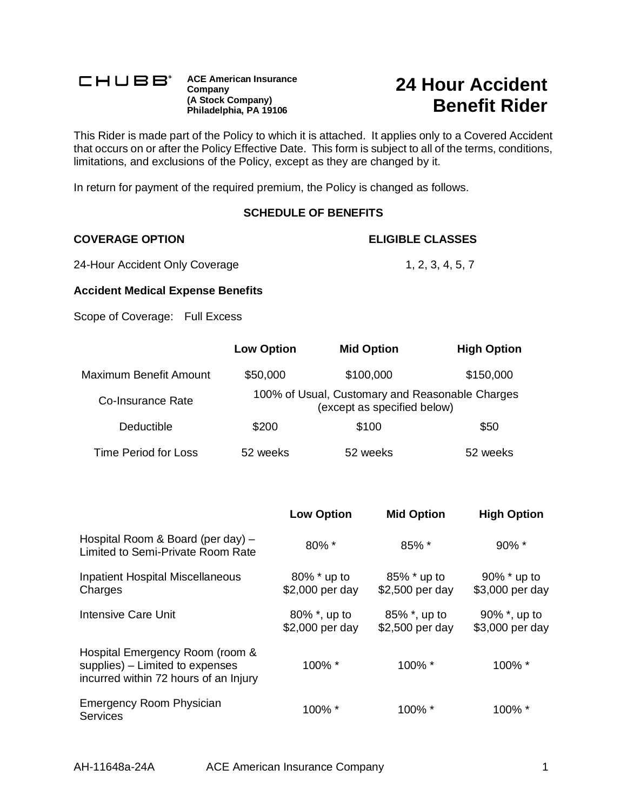# **CHUBB**®

**ACE American Insurance Company (A Stock Company) Philadelphia, PA 19106**

# **24 Hour Accident Benefit Rider**

This Rider is made part of the Policy to which it is attached. It applies only to a Covered Accident that occurs on or after the Policy Effective Date. This form is subject to all of the terms, conditions, limitations, and exclusions of the Policy, except as they are changed by it.

In return for payment of the required premium, the Policy is changed as follows.

# **SCHEDULE OF BENEFITS**

# **COVERAGE OPTION ELIGIBLE CLASSES**

24-Hour Accident Only Coverage 1, 2, 3, 4, 5, 7

# **Accident Medical Expense Benefits**

Scope of Coverage: Full Excess

|                                                                                                             | <b>Low Option</b> |                                                                                |                 | <b>Mid Option</b>               | <b>High Option</b>              |  |
|-------------------------------------------------------------------------------------------------------------|-------------------|--------------------------------------------------------------------------------|-----------------|---------------------------------|---------------------------------|--|
| <b>Maximum Benefit Amount</b><br>\$50,000                                                                   |                   |                                                                                | \$100,000       |                                 | \$150,000                       |  |
| <b>Co-Insurance Rate</b>                                                                                    |                   | 100% of Usual, Customary and Reasonable Charges<br>(except as specified below) |                 |                                 |                                 |  |
| Deductible                                                                                                  | \$200             |                                                                                |                 | \$100                           | \$50                            |  |
| <b>Time Period for Loss</b>                                                                                 | 52 weeks          |                                                                                |                 | 52 weeks                        | 52 weeks                        |  |
|                                                                                                             |                   | <b>Low Option</b>                                                              |                 | <b>Mid Option</b>               | <b>High Option</b>              |  |
| Hospital Room & Board (per day) -<br>Limited to Semi-Private Room Rate                                      |                   | 80% *                                                                          |                 | 85% *                           | 90% *                           |  |
| <b>Inpatient Hospital Miscellaneous</b><br>Charges                                                          |                   | 80% * up to<br>\$2,000 per day                                                 |                 | 85% * up to<br>\$2,500 per day  | 90% * up to<br>\$3,000 per day  |  |
| <b>Intensive Care Unit</b>                                                                                  |                   | 80% *, up to                                                                   | \$2,000 per day | 85% *, up to<br>\$2,500 per day | 90% *, up to<br>\$3,000 per day |  |
| Hospital Emergency Room (room &<br>supplies) - Limited to expenses<br>incurred within 72 hours of an Injury |                   | 100% *                                                                         |                 | 100% *                          | 100% *                          |  |
| <b>Emergency Room Physician</b><br><b>Services</b>                                                          |                   | 100% *                                                                         |                 | 100% *                          | 100% *                          |  |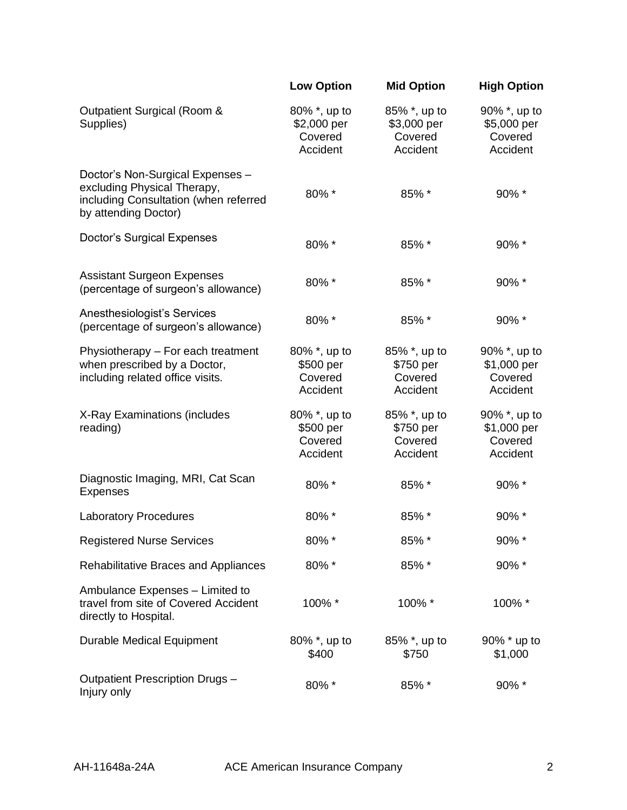|                                                                                                                                  | <b>Low Option</b>                                  | <b>Mid Option</b>                                  | <b>High Option</b>                                 |
|----------------------------------------------------------------------------------------------------------------------------------|----------------------------------------------------|----------------------------------------------------|----------------------------------------------------|
| Outpatient Surgical (Room &<br>Supplies)                                                                                         | 80% *, up to<br>\$2,000 per<br>Covered<br>Accident | 85% *, up to<br>\$3,000 per<br>Covered<br>Accident | 90% *, up to<br>\$5,000 per<br>Covered<br>Accident |
| Doctor's Non-Surgical Expenses -<br>excluding Physical Therapy,<br>including Consultation (when referred<br>by attending Doctor) | 80% *                                              | 85% *                                              | 90% *                                              |
| <b>Doctor's Surgical Expenses</b>                                                                                                | 80% *                                              | 85% *                                              | 90% *                                              |
| <b>Assistant Surgeon Expenses</b><br>(percentage of surgeon's allowance)                                                         | 80% *                                              | 85% *                                              | 90% *                                              |
| Anesthesiologist's Services<br>(percentage of surgeon's allowance)                                                               | 80% *                                              | 85% *                                              | 90% *                                              |
| Physiotherapy - For each treatment<br>when prescribed by a Doctor,<br>including related office visits.                           | 80% *, up to<br>\$500 per<br>Covered<br>Accident   | 85% *, up to<br>\$750 per<br>Covered<br>Accident   | 90% *, up to<br>\$1,000 per<br>Covered<br>Accident |
| X-Ray Examinations (includes<br>reading)                                                                                         | 80% *, up to<br>\$500 per<br>Covered<br>Accident   | 85% *, up to<br>\$750 per<br>Covered<br>Accident   | 90% *, up to<br>\$1,000 per<br>Covered<br>Accident |
| Diagnostic Imaging, MRI, Cat Scan<br><b>Expenses</b>                                                                             | 80% *                                              | 85% *                                              | 90% *                                              |
| <b>Laboratory Procedures</b>                                                                                                     | 80% *                                              | 85% *                                              | 90% *                                              |
| <b>Registered Nurse Services</b>                                                                                                 | 80% *                                              | 85% *                                              | 90% *                                              |
| Rehabilitative Braces and Appliances                                                                                             | 80% *                                              | 85% *                                              | 90% *                                              |
| Ambulance Expenses - Limited to<br>travel from site of Covered Accident<br>directly to Hospital.                                 | 100% *                                             | 100% *                                             | 100% *                                             |
| <b>Durable Medical Equipment</b>                                                                                                 | 80% *, up to<br>\$400                              | 85% *, up to<br>\$750                              | 90% * up to<br>\$1,000                             |
| Outpatient Prescription Drugs -<br>Injury only                                                                                   | 80% *                                              | 85% *                                              | 90% *                                              |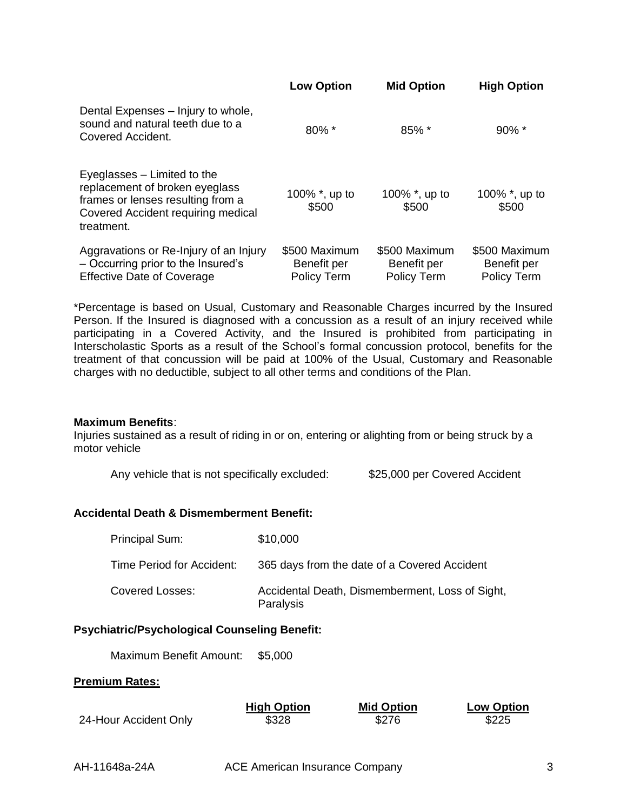|                                                                                                                                                        | <b>Low Option</b>                                  | <b>Mid Option</b>                                  | <b>High Option</b>                                 |
|--------------------------------------------------------------------------------------------------------------------------------------------------------|----------------------------------------------------|----------------------------------------------------|----------------------------------------------------|
| Dental Expenses - Injury to whole,<br>sound and natural teeth due to a<br>Covered Accident.                                                            | 80% *                                              | 85% *                                              | $90\%$ *                                           |
| Eyeglasses – Limited to the<br>replacement of broken eyeglass<br>frames or lenses resulting from a<br>Covered Accident requiring medical<br>treatment. | 100% *, up to<br>\$500                             | 100% *, up to<br>\$500                             | 100% *, up to<br>\$500                             |
| Aggravations or Re-Injury of an Injury<br>- Occurring prior to the Insured's<br><b>Effective Date of Coverage</b>                                      | \$500 Maximum<br>Benefit per<br><b>Policy Term</b> | \$500 Maximum<br>Benefit per<br><b>Policy Term</b> | \$500 Maximum<br>Benefit per<br><b>Policy Term</b> |

\*Percentage is based on Usual, Customary and Reasonable Charges incurred by the Insured Person. If the Insured is diagnosed with a concussion as a result of an injury received while participating in a Covered Activity, and the Insured is prohibited from participating in Interscholastic Sports as a result of the School's formal concussion protocol, benefits for the treatment of that concussion will be paid at 100% of the Usual, Customary and Reasonable charges with no deductible, subject to all other terms and conditions of the Plan.

### **Maximum Benefits**:

Injuries sustained as a result of riding in or on, entering or alighting from or being struck by a motor vehicle

| Any vehicle that is not specifically excluded: | \$25,000 per Covered Accident |
|------------------------------------------------|-------------------------------|
|------------------------------------------------|-------------------------------|

### **Accidental Death & Dismemberment Benefit:**

| \$10,000 |
|----------|
|          |

Time Period for Accident: 365 days from the date of a Covered Accident

| Covered Losses: | Accidental Death, Dismemberment, Loss of Sight, |
|-----------------|-------------------------------------------------|
|                 | Paralysis                                       |

### **Psychiatric/Psychological Counseling Benefit:**

Maximum Benefit Amount: \$5,000

### **Premium Rates:**

|                       | <b>High Option</b> | <b>Mid Option</b> | <b>Low Option</b> |
|-----------------------|--------------------|-------------------|-------------------|
| 24-Hour Accident Only | \$328              | \$276             | \$225             |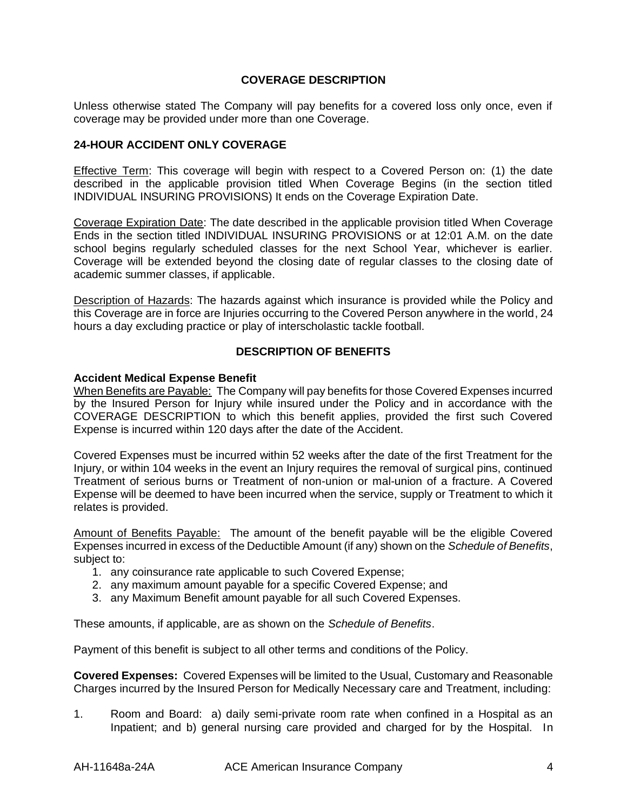### **COVERAGE DESCRIPTION**

Unless otherwise stated The Company will pay benefits for a covered loss only once, even if coverage may be provided under more than one Coverage.

### **24-HOUR ACCIDENT ONLY COVERAGE**

Effective Term: This coverage will begin with respect to a Covered Person on: (1) the date described in the applicable provision titled When Coverage Begins (in the section titled INDIVIDUAL INSURING PROVISIONS) It ends on the Coverage Expiration Date.

Coverage Expiration Date: The date described in the applicable provision titled When Coverage Ends in the section titled INDIVIDUAL INSURING PROVISIONS or at 12:01 A.M. on the date school begins regularly scheduled classes for the next School Year, whichever is earlier. Coverage will be extended beyond the closing date of regular classes to the closing date of academic summer classes, if applicable.

Description of Hazards: The hazards against which insurance is provided while the Policy and this Coverage are in force are Injuries occurring to the Covered Person anywhere in the world, 24 hours a day excluding practice or play of interscholastic tackle football.

### **DESCRIPTION OF BENEFITS**

### **Accident Medical Expense Benefit**

When Benefits are Payable: The Company will pay benefits for those Covered Expenses incurred by the Insured Person for Injury while insured under the Policy and in accordance with the COVERAGE DESCRIPTION to which this benefit applies, provided the first such Covered Expense is incurred within 120 days after the date of the Accident.

Covered Expenses must be incurred within 52 weeks after the date of the first Treatment for the Injury, or within 104 weeks in the event an Injury requires the removal of surgical pins, continued Treatment of serious burns or Treatment of non-union or mal-union of a fracture. A Covered Expense will be deemed to have been incurred when the service, supply or Treatment to which it relates is provided.

Amount of Benefits Payable: The amount of the benefit payable will be the eligible Covered Expenses incurred in excess of the Deductible Amount (if any) shown on the *Schedule of Benefits*, subject to:

- 1. any coinsurance rate applicable to such Covered Expense;
- 2. any maximum amount payable for a specific Covered Expense; and
- 3. any Maximum Benefit amount payable for all such Covered Expenses.

These amounts, if applicable, are as shown on the *Schedule of Benefits*.

Payment of this benefit is subject to all other terms and conditions of the Policy.

**Covered Expenses:** Covered Expenses will be limited to the Usual, Customary and Reasonable Charges incurred by the Insured Person for Medically Necessary care and Treatment, including:

1. Room and Board: a) daily semi-private room rate when confined in a Hospital as an Inpatient; and b) general nursing care provided and charged for by the Hospital. In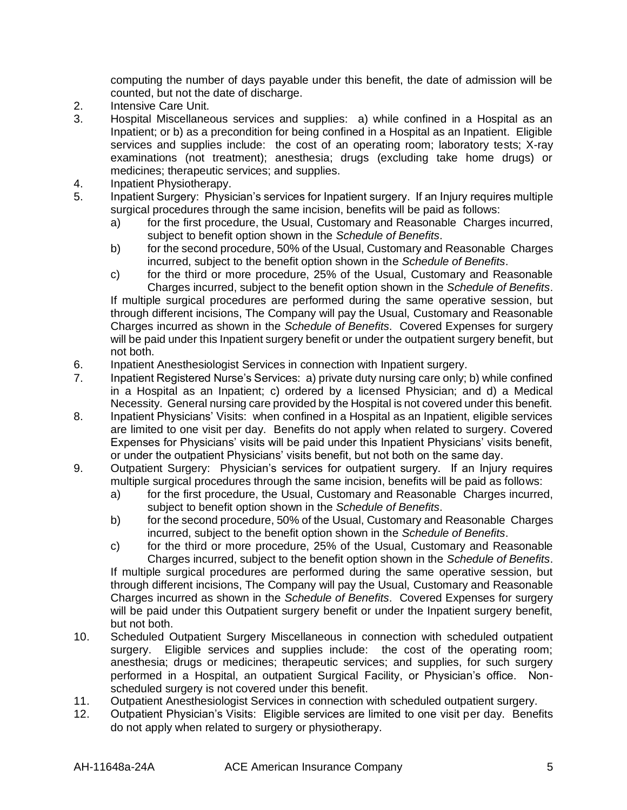computing the number of days payable under this benefit, the date of admission will be counted, but not the date of discharge.

- 2. Intensive Care Unit.<br>3. Hospital Miscellanee
- Hospital Miscellaneous services and supplies: a) while confined in a Hospital as an Inpatient; or b) as a precondition for being confined in a Hospital as an Inpatient. Eligible services and supplies include: the cost of an operating room; laboratory tests; X-ray examinations (not treatment); anesthesia; drugs (excluding take home drugs) or medicines; therapeutic services; and supplies.
- 4. Inpatient Physiotherapy.
- 5. Inpatient Surgery: Physician's services for Inpatient surgery. If an Injury requires multiple surgical procedures through the same incision, benefits will be paid as follows:
	- a) for the first procedure, the Usual, Customary and Reasonable Charges incurred, subject to benefit option shown in the *Schedule of Benefits*.
	- b) for the second procedure, 50% of the Usual, Customary and Reasonable Charges incurred, subject to the benefit option shown in the *Schedule of Benefits*.
	- c) for the third or more procedure, 25% of the Usual, Customary and Reasonable Charges incurred, subject to the benefit option shown in the *Schedule of Benefits*. If multiple surgical procedures are performed during the same operative session, but through different incisions, The Company will pay the Usual, Customary and Reasonable Charges incurred as shown in the *Schedule of Benefits*. Covered Expenses for surgery will be paid under this Inpatient surgery benefit or under the outpatient surgery benefit, but not both.
- 6. Inpatient Anesthesiologist Services in connection with Inpatient surgery.
- 7. Inpatient Registered Nurse's Services: a) private duty nursing care only; b) while confined in a Hospital as an Inpatient; c) ordered by a licensed Physician; and d) a Medical Necessity. General nursing care provided by the Hospital is not covered under this benefit.
- 8. Inpatient Physicians' Visits: when confined in a Hospital as an Inpatient, eligible services are limited to one visit per day. Benefits do not apply when related to surgery. Covered Expenses for Physicians' visits will be paid under this Inpatient Physicians' visits benefit, or under the outpatient Physicians' visits benefit, but not both on the same day.
- 9. Outpatient Surgery: Physician's services for outpatient surgery. If an Injury requires multiple surgical procedures through the same incision, benefits will be paid as follows:
	- a) for the first procedure, the Usual, Customary and Reasonable Charges incurred, subject to benefit option shown in the *Schedule of Benefits*.
	- b) for the second procedure, 50% of the Usual, Customary and Reasonable Charges incurred, subject to the benefit option shown in the *Schedule of Benefits*.
	- c) for the third or more procedure, 25% of the Usual, Customary and Reasonable Charges incurred, subject to the benefit option shown in the *Schedule of Benefits*. If multiple surgical procedures are performed during the same operative session, but through different incisions, The Company will pay the Usual, Customary and Reasonable Charges incurred as shown in the *Schedule of Benefits*. Covered Expenses for surgery
- will be paid under this Outpatient surgery benefit or under the Inpatient surgery benefit, but not both. 10. Scheduled Outpatient Surgery Miscellaneous in connection with scheduled outpatient
- surgery. Eligible services and supplies include: the cost of the operating room; anesthesia; drugs or medicines; therapeutic services; and supplies, for such surgery performed in a Hospital, an outpatient Surgical Facility, or Physician's office. Nonscheduled surgery is not covered under this benefit.
- 11. Outpatient Anesthesiologist Services in connection with scheduled outpatient surgery.
- 12. Outpatient Physician's Visits: Eligible services are limited to one visit per day. Benefits do not apply when related to surgery or physiotherapy.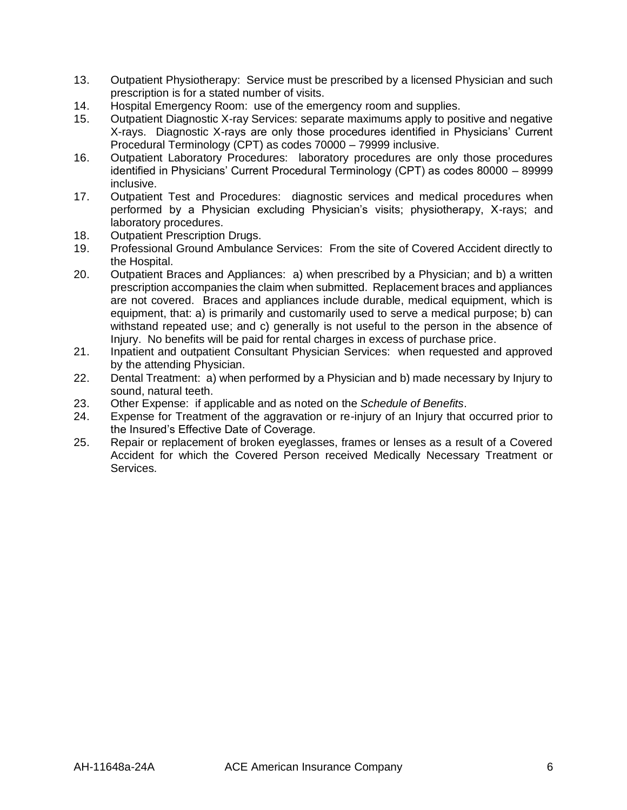- 13. Outpatient Physiotherapy: Service must be prescribed by a licensed Physician and such prescription is for a stated number of visits.
- 14. Hospital Emergency Room: use of the emergency room and supplies.
- 15. Outpatient Diagnostic X-ray Services: separate maximums apply to positive and negative X-rays. Diagnostic X-rays are only those procedures identified in Physicians' Current Procedural Terminology (CPT) as codes 70000 – 79999 inclusive.
- 16. Outpatient Laboratory Procedures: laboratory procedures are only those procedures identified in Physicians' Current Procedural Terminology (CPT) as codes 80000 – 89999 inclusive.
- 17. Outpatient Test and Procedures: diagnostic services and medical procedures when performed by a Physician excluding Physician's visits; physiotherapy, X-rays; and laboratory procedures.
- 18. Outpatient Prescription Drugs.
- 19. Professional Ground Ambulance Services: From the site of Covered Accident directly to the Hospital.
- 20. Outpatient Braces and Appliances: a) when prescribed by a Physician; and b) a written prescription accompanies the claim when submitted. Replacement braces and appliances are not covered. Braces and appliances include durable, medical equipment, which is equipment, that: a) is primarily and customarily used to serve a medical purpose; b) can withstand repeated use; and c) generally is not useful to the person in the absence of Injury. No benefits will be paid for rental charges in excess of purchase price.
- 21. Inpatient and outpatient Consultant Physician Services: when requested and approved by the attending Physician.
- 22. Dental Treatment: a) when performed by a Physician and b) made necessary by Injury to sound, natural teeth.
- 23. Other Expense: if applicable and as noted on the *Schedule of Benefits*.
- 24. Expense for Treatment of the aggravation or re-injury of an Injury that occurred prior to the Insured's Effective Date of Coverage.
- 25. Repair or replacement of broken eyeglasses, frames or lenses as a result of a Covered Accident for which the Covered Person received Medically Necessary Treatment or Services.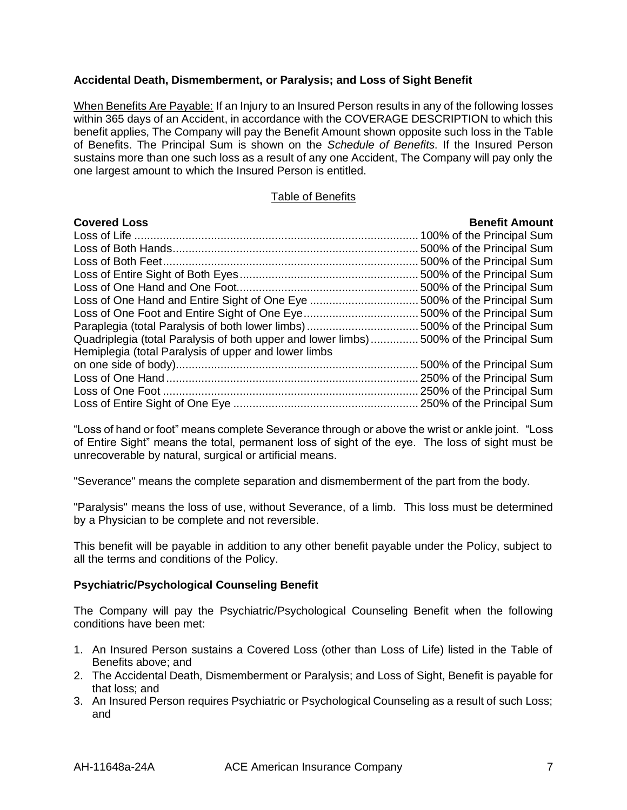# **Accidental Death, Dismemberment, or Paralysis; and Loss of Sight Benefit**

When Benefits Are Payable: If an Injury to an Insured Person results in any of the following losses within 365 days of an Accident, in accordance with the COVERAGE DESCRIPTION to which this benefit applies, The Company will pay the Benefit Amount shown opposite such loss in the Table of Benefits. The Principal Sum is shown on the *Schedule of Benefits*. If the Insured Person sustains more than one such loss as a result of any one Accident, The Company will pay only the one largest amount to which the Insured Person is entitled.

### Table of Benefits

| <b>Covered Loss</b>                                                                   | <b>Benefit Amount</b>     |
|---------------------------------------------------------------------------------------|---------------------------|
|                                                                                       |                           |
|                                                                                       | 500% of the Principal Sum |
|                                                                                       | 500% of the Principal Sum |
|                                                                                       | 500% of the Principal Sum |
|                                                                                       | 500% of the Principal Sum |
|                                                                                       |                           |
|                                                                                       |                           |
|                                                                                       |                           |
| Quadriplegia (total Paralysis of both upper and lower limbs)500% of the Principal Sum |                           |
| Hemiplegia (total Paralysis of upper and lower limbs                                  |                           |
|                                                                                       |                           |
|                                                                                       | 250% of the Principal Sum |
|                                                                                       |                           |
|                                                                                       |                           |

"Loss of hand or foot" means complete Severance through or above the wrist or ankle joint. "Loss of Entire Sight" means the total, permanent loss of sight of the eye. The loss of sight must be unrecoverable by natural, surgical or artificial means.

"Severance" means the complete separation and dismemberment of the part from the body.

"Paralysis" means the loss of use, without Severance, of a limb. This loss must be determined by a Physician to be complete and not reversible.

This benefit will be payable in addition to any other benefit payable under the Policy, subject to all the terms and conditions of the Policy.

### **Psychiatric/Psychological Counseling Benefit**

The Company will pay the Psychiatric/Psychological Counseling Benefit when the following conditions have been met:

- 1. An Insured Person sustains a Covered Loss (other than Loss of Life) listed in the Table of Benefits above; and
- 2. The Accidental Death, Dismemberment or Paralysis; and Loss of Sight, Benefit is payable for that loss; and
- 3. An Insured Person requires Psychiatric or Psychological Counseling as a result of such Loss; and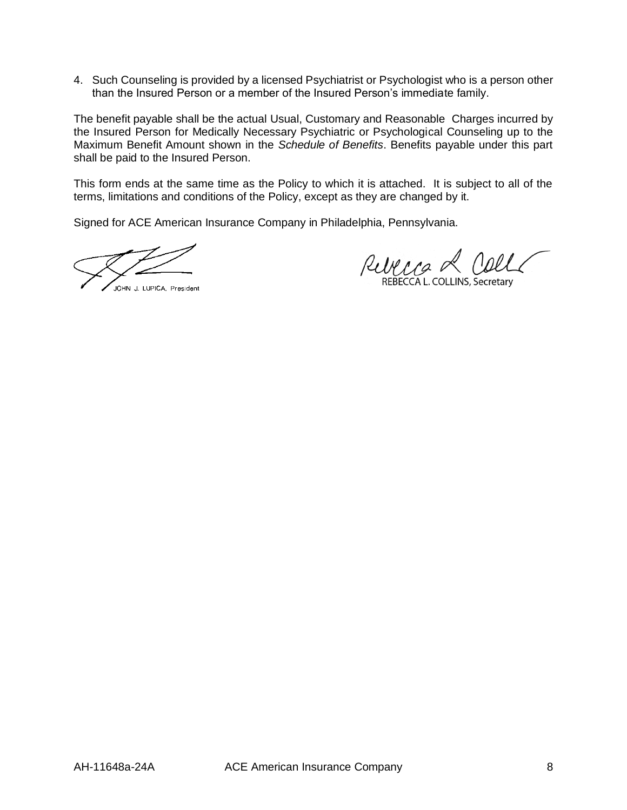4. Such Counseling is provided by a licensed Psychiatrist or Psychologist who is a person other than the Insured Person or a member of the Insured Person's immediate family.

The benefit payable shall be the actual Usual, Customary and Reasonable Charges incurred by the Insured Person for Medically Necessary Psychiatric or Psychological Counseling up to the Maximum Benefit Amount shown in the *Schedule of Benefits*. Benefits payable under this part shall be paid to the Insured Person.

This form ends at the same time as the Policy to which it is attached. It is subject to all of the terms, limitations and conditions of the Policy, except as they are changed by it.

Signed for ACE American Insurance Company in Philadelphia, Pennsylvania.

.<br>JOHN J. LUPICA, President

PUMICA ROLLINS, Secretary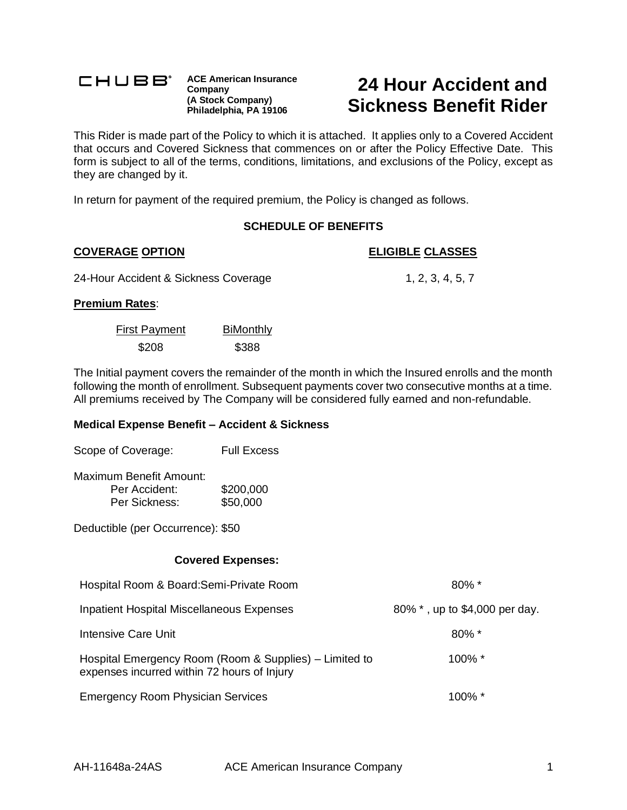# **CHUBB**®

**ACE American Insurance Company (A Stock Company) Philadelphia, PA 19106**

# **24 Hour Accident and Sickness Benefit Rider**

This Rider is made part of the Policy to which it is attached. It applies only to a Covered Accident that occurs and Covered Sickness that commences on or after the Policy Effective Date. This form is subject to all of the terms, conditions, limitations, and exclusions of the Policy, except as they are changed by it.

In return for payment of the required premium, the Policy is changed as follows.

# **SCHEDULE OF BENEFITS**

# **COVERAGE OPTION ELIGIBLE CLASSES**

24-Hour Accident & Sickness Coverage 1, 2, 3, 4, 5, 7

### **Premium Rates**:

| <b>First Payment</b> | <b>BiMonthly</b> |
|----------------------|------------------|
| \$208                | \$388            |

The Initial payment covers the remainder of the month in which the Insured enrolls and the month following the month of enrollment. Subsequent payments cover two consecutive months at a time. All premiums received by The Company will be considered fully earned and non-refundable.

# **Medical Expense Benefit – Accident & Sickness**

expenses incurred within 72 hours of Injury

| Scope of Coverage:<br><b>Full Excess</b>                                           |                               |       |
|------------------------------------------------------------------------------------|-------------------------------|-------|
| Maximum Benefit Amount:<br>\$200,000<br>Per Accident:<br>Per Sickness:<br>\$50,000 |                               |       |
| Deductible (per Occurrence): \$50                                                  |                               |       |
|                                                                                    | <b>Covered Expenses:</b>      |       |
| Hospital Room & Board: Semi-Private Room                                           |                               | 80% * |
| <b>Inpatient Hospital Miscellaneous Expenses</b>                                   | 80% *, up to \$4,000 per day. |       |
| <b>Intensive Care Unit</b>                                                         |                               | 80% * |
| Hospital Emergency Room (Room & Supplies) – Limited to                             | 100% *                        |       |

Emergency Room Physician Services 100% \*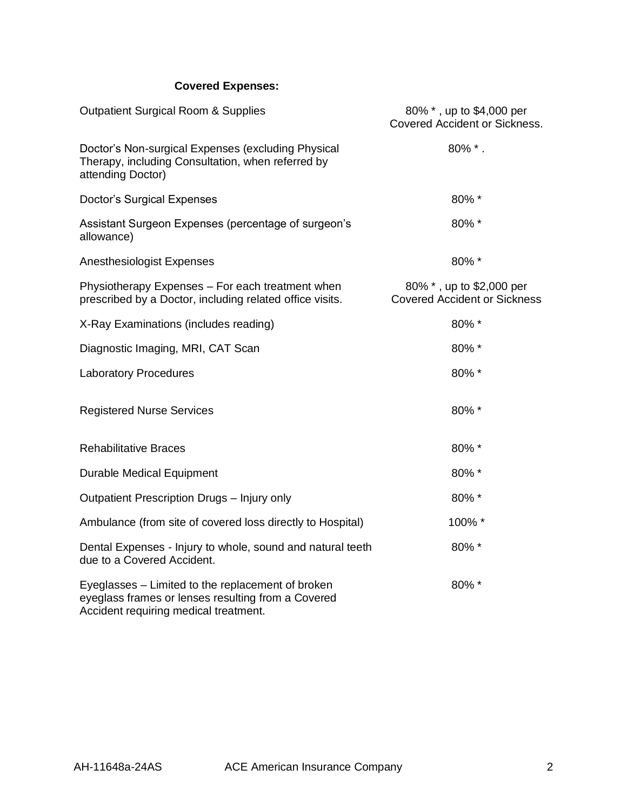# **Covered Expenses:**

| <b>Outpatient Surgical Room &amp; Supplies</b>                                                                                                   | 80% *, up to \$4,000 per<br><b>Covered Accident or Sickness.</b> |
|--------------------------------------------------------------------------------------------------------------------------------------------------|------------------------------------------------------------------|
| Doctor's Non-surgical Expenses (excluding Physical<br>Therapy, including Consultation, when referred by<br>attending Doctor)                     | $80\%$ $*$ .                                                     |
| <b>Doctor's Surgical Expenses</b>                                                                                                                | 80% *                                                            |
| Assistant Surgeon Expenses (percentage of surgeon's<br>allowance)                                                                                | 80% *                                                            |
| Anesthesiologist Expenses                                                                                                                        | 80% *                                                            |
| Physiotherapy Expenses – For each treatment when<br>prescribed by a Doctor, including related office visits.                                     | 80% *, up to \$2,000 per<br><b>Covered Accident or Sickness</b>  |
| X-Ray Examinations (includes reading)                                                                                                            | 80% *                                                            |
| Diagnostic Imaging, MRI, CAT Scan                                                                                                                | 80% *                                                            |
| <b>Laboratory Procedures</b>                                                                                                                     | 80% *                                                            |
| <b>Registered Nurse Services</b>                                                                                                                 | 80% *                                                            |
| <b>Rehabilitative Braces</b>                                                                                                                     | 80% *                                                            |
| <b>Durable Medical Equipment</b>                                                                                                                 | 80% *                                                            |
| Outpatient Prescription Drugs - Injury only                                                                                                      | 80% *                                                            |
| Ambulance (from site of covered loss directly to Hospital)                                                                                       | 100% *                                                           |
| Dental Expenses - Injury to whole, sound and natural teeth<br>due to a Covered Accident.                                                         | 80% *                                                            |
| Eyeglasses - Limited to the replacement of broken<br>eyeglass frames or lenses resulting from a Covered<br>Accident requiring medical treatment. | 80% *                                                            |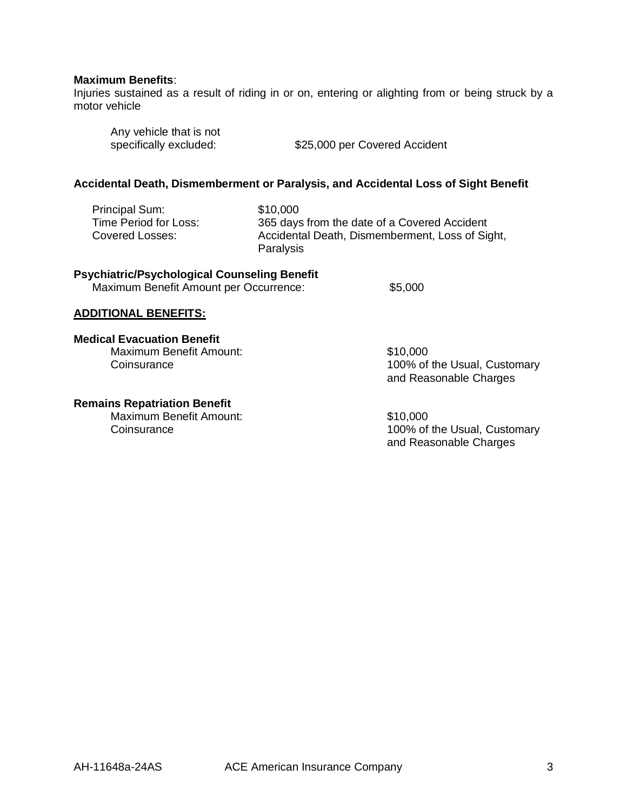### **Maximum Benefits**:

Injuries sustained as a result of riding in or on, entering or alighting from or being struck by a motor vehicle

| Any vehicle that is not |                               |
|-------------------------|-------------------------------|
| specifically excluded:  | \$25,000 per Covered Accident |

### **Accidental Death, Dismemberment or Paralysis, and Accidental Loss of Sight Benefit**

| Principal Sum:        | \$10,000                                        |
|-----------------------|-------------------------------------------------|
| Time Period for Loss: | 365 days from the date of a Covered Accident    |
| Covered Losses:       | Accidental Death, Dismemberment, Loss of Sight, |
|                       | Paralysis                                       |

### **Psychiatric/Psychological Counseling Benefit**

Maximum Benefit Amount per Occurrence: \$5,000

### **ADDITIONAL BENEFITS:**

### **Medical Evacuation Benefit**

Maximum Benefit Amount: \$10,000

### **Remains Repatriation Benefit**

Maximum Benefit Amount:<br>Coinsurance 100% of

Coinsurance 100% of the Usual, Customary and Reasonable Charges

> 100% of the Usual, Customary and Reasonable Charges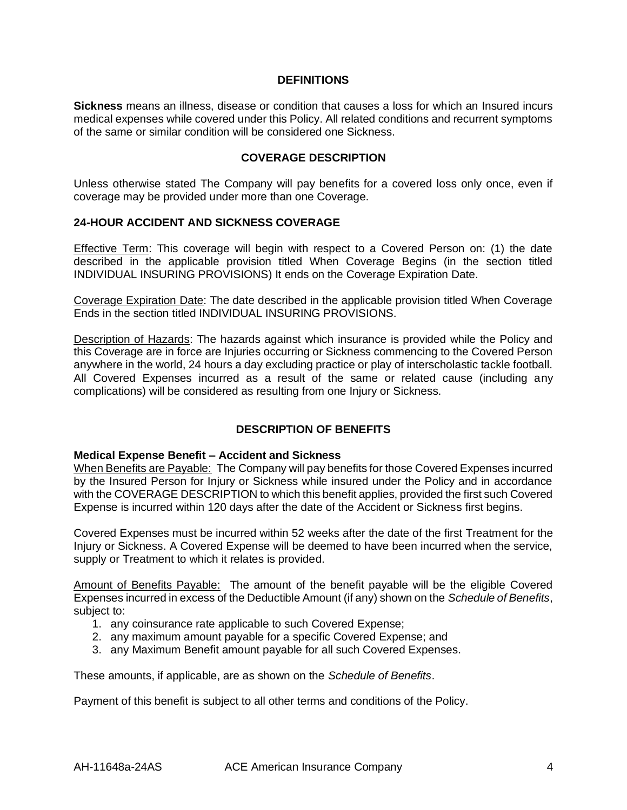### **DEFINITIONS**

**Sickness** means an illness, disease or condition that causes a loss for which an Insured incurs medical expenses while covered under this Policy. All related conditions and recurrent symptoms of the same or similar condition will be considered one Sickness.

# **COVERAGE DESCRIPTION**

Unless otherwise stated The Company will pay benefits for a covered loss only once, even if coverage may be provided under more than one Coverage.

### **24-HOUR ACCIDENT AND SICKNESS COVERAGE**

Effective Term: This coverage will begin with respect to a Covered Person on: (1) the date described in the applicable provision titled When Coverage Begins (in the section titled INDIVIDUAL INSURING PROVISIONS) It ends on the Coverage Expiration Date.

Coverage Expiration Date: The date described in the applicable provision titled When Coverage Ends in the section titled INDIVIDUAL INSURING PROVISIONS.

Description of Hazards: The hazards against which insurance is provided while the Policy and this Coverage are in force are Injuries occurring or Sickness commencing to the Covered Person anywhere in the world, 24 hours a day excluding practice or play of interscholastic tackle football. All Covered Expenses incurred as a result of the same or related cause (including any complications) will be considered as resulting from one Injury or Sickness.

# **DESCRIPTION OF BENEFITS**

### **Medical Expense Benefit – Accident and Sickness**

When Benefits are Payable: The Company will pay benefits for those Covered Expenses incurred by the Insured Person for Injury or Sickness while insured under the Policy and in accordance with the COVERAGE DESCRIPTION to which this benefit applies, provided the first such Covered Expense is incurred within 120 days after the date of the Accident or Sickness first begins.

Covered Expenses must be incurred within 52 weeks after the date of the first Treatment for the Injury or Sickness. A Covered Expense will be deemed to have been incurred when the service, supply or Treatment to which it relates is provided.

Amount of Benefits Payable: The amount of the benefit payable will be the eligible Covered Expenses incurred in excess of the Deductible Amount (if any) shown on the *Schedule of Benefits*, subject to:

- 1. any coinsurance rate applicable to such Covered Expense;
- 2. any maximum amount payable for a specific Covered Expense; and
- 3. any Maximum Benefit amount payable for all such Covered Expenses.

These amounts, if applicable, are as shown on the *Schedule of Benefits*.

Payment of this benefit is subject to all other terms and conditions of the Policy.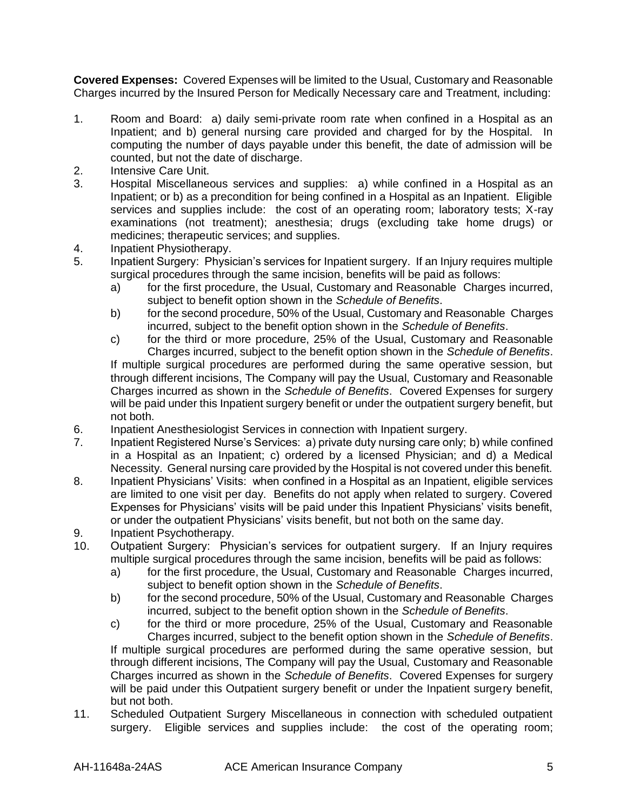**Covered Expenses:** Covered Expenses will be limited to the Usual, Customary and Reasonable Charges incurred by the Insured Person for Medically Necessary care and Treatment, including:

- 1. Room and Board: a) daily semi-private room rate when confined in a Hospital as an Inpatient; and b) general nursing care provided and charged for by the Hospital. In computing the number of days payable under this benefit, the date of admission will be counted, but not the date of discharge.
- 2. Intensive Care Unit.
- 3. Hospital Miscellaneous services and supplies: a) while confined in a Hospital as an Inpatient; or b) as a precondition for being confined in a Hospital as an Inpatient. Eligible services and supplies include: the cost of an operating room; laboratory tests; X-ray examinations (not treatment); anesthesia; drugs (excluding take home drugs) or medicines; therapeutic services; and supplies.
- 4. Inpatient Physiotherapy.
- 5. Inpatient Surgery: Physician's services for Inpatient surgery. If an Injury requires multiple surgical procedures through the same incision, benefits will be paid as follows:
	- a) for the first procedure, the Usual, Customary and Reasonable Charges incurred, subject to benefit option shown in the *Schedule of Benefits*.
	- b) for the second procedure, 50% of the Usual, Customary and Reasonable Charges incurred, subject to the benefit option shown in the *Schedule of Benefits*.
	- c) for the third or more procedure, 25% of the Usual, Customary and Reasonable Charges incurred, subject to the benefit option shown in the *Schedule of Benefits*. If multiple surgical procedures are performed during the same operative session, but through different incisions, The Company will pay the Usual, Customary and Reasonable Charges incurred as shown in the *Schedule of Benefits*. Covered Expenses for surgery will be paid under this Inpatient surgery benefit or under the outpatient surgery benefit, but not both.
- 6. Inpatient Anesthesiologist Services in connection with Inpatient surgery.
- 7. Inpatient Registered Nurse's Services: a) private duty nursing care only; b) while confined in a Hospital as an Inpatient; c) ordered by a licensed Physician; and d) a Medical Necessity. General nursing care provided by the Hospital is not covered under this benefit.
- 8. Inpatient Physicians' Visits: when confined in a Hospital as an Inpatient, eligible services are limited to one visit per day. Benefits do not apply when related to surgery. Covered Expenses for Physicians' visits will be paid under this Inpatient Physicians' visits benefit, or under the outpatient Physicians' visits benefit, but not both on the same day.
- 9. Inpatient Psychotherapy.
- 10. Outpatient Surgery: Physician's services for outpatient surgery. If an Injury requires multiple surgical procedures through the same incision, benefits will be paid as follows:
	- a) for the first procedure, the Usual, Customary and Reasonable Charges incurred, subject to benefit option shown in the *Schedule of Benefits*.
	- b) for the second procedure, 50% of the Usual, Customary and Reasonable Charges incurred, subject to the benefit option shown in the *Schedule of Benefits*.
	- c) for the third or more procedure, 25% of the Usual, Customary and Reasonable Charges incurred, subject to the benefit option shown in the *Schedule of Benefits*. If multiple surgical procedures are performed during the same operative session, but through different incisions, The Company will pay the Usual, Customary and Reasonable Charges incurred as shown in the *Schedule of Benefits*. Covered Expenses for surgery will be paid under this Outpatient surgery benefit or under the Inpatient surgery benefit, but not both.
- 11. Scheduled Outpatient Surgery Miscellaneous in connection with scheduled outpatient surgery. Eligible services and supplies include: the cost of the operating room;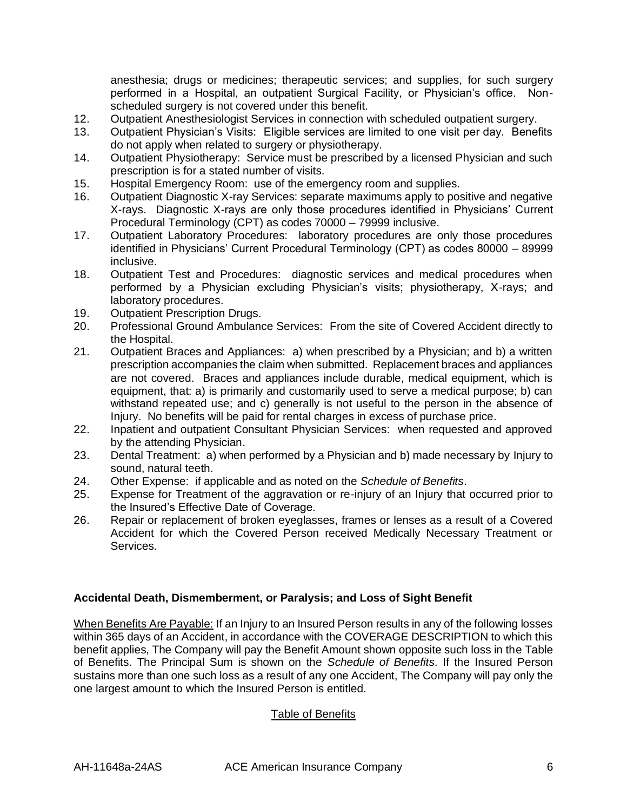anesthesia; drugs or medicines; therapeutic services; and supplies, for such surgery performed in a Hospital, an outpatient Surgical Facility, or Physician's office. Nonscheduled surgery is not covered under this benefit.

- 12. Outpatient Anesthesiologist Services in connection with scheduled outpatient surgery.
- 13. Outpatient Physician's Visits: Eligible services are limited to one visit per day. Benefits do not apply when related to surgery or physiotherapy.
- 14. Outpatient Physiotherapy: Service must be prescribed by a licensed Physician and such prescription is for a stated number of visits.
- 15. Hospital Emergency Room: use of the emergency room and supplies.
- 16. Outpatient Diagnostic X-ray Services: separate maximums apply to positive and negative X-rays. Diagnostic X-rays are only those procedures identified in Physicians' Current Procedural Terminology (CPT) as codes 70000 – 79999 inclusive.
- 17. Outpatient Laboratory Procedures: laboratory procedures are only those procedures identified in Physicians' Current Procedural Terminology (CPT) as codes 80000 – 89999 inclusive.
- 18. Outpatient Test and Procedures: diagnostic services and medical procedures when performed by a Physician excluding Physician's visits; physiotherapy, X-rays; and laboratory procedures.
- 19. Outpatient Prescription Drugs.
- 20. Professional Ground Ambulance Services: From the site of Covered Accident directly to the Hospital.
- 21. Outpatient Braces and Appliances: a) when prescribed by a Physician; and b) a written prescription accompanies the claim when submitted. Replacement braces and appliances are not covered. Braces and appliances include durable, medical equipment, which is equipment, that: a) is primarily and customarily used to serve a medical purpose; b) can withstand repeated use; and c) generally is not useful to the person in the absence of Injury. No benefits will be paid for rental charges in excess of purchase price.
- 22. Inpatient and outpatient Consultant Physician Services: when requested and approved by the attending Physician.
- 23. Dental Treatment: a) when performed by a Physician and b) made necessary by Injury to sound, natural teeth.
- 24. Other Expense: if applicable and as noted on the *Schedule of Benefits*.
- 25. Expense for Treatment of the aggravation or re-injury of an Injury that occurred prior to the Insured's Effective Date of Coverage.
- 26. Repair or replacement of broken eyeglasses, frames or lenses as a result of a Covered Accident for which the Covered Person received Medically Necessary Treatment or Services.

# **Accidental Death, Dismemberment, or Paralysis; and Loss of Sight Benefit**

When Benefits Are Payable: If an Injury to an Insured Person results in any of the following losses within 365 days of an Accident, in accordance with the COVERAGE DESCRIPTION to which this benefit applies, The Company will pay the Benefit Amount shown opposite such loss in the Table of Benefits. The Principal Sum is shown on the *Schedule of Benefits*. If the Insured Person sustains more than one such loss as a result of any one Accident, The Company will pay only the one largest amount to which the Insured Person is entitled.

# Table of Benefits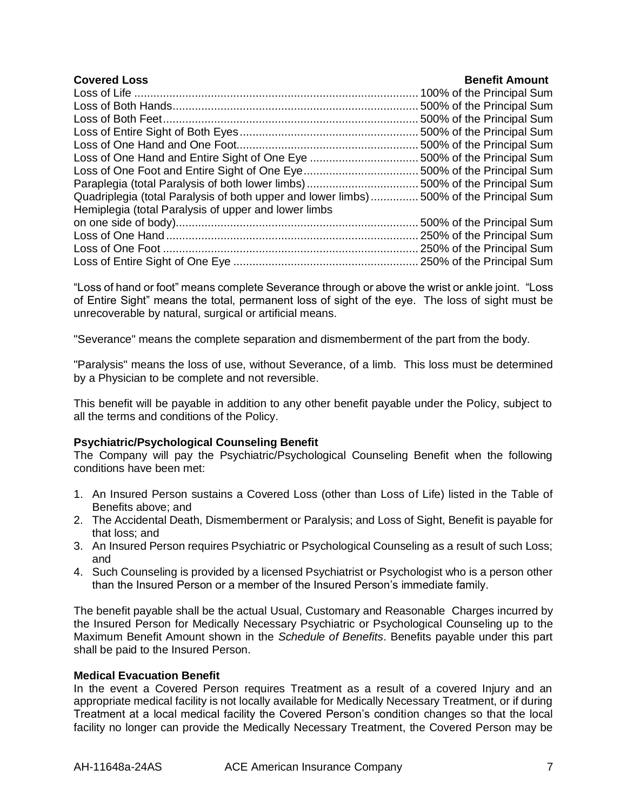| <b>Covered Loss</b>                                                                   | <b>Benefit Amount</b>     |
|---------------------------------------------------------------------------------------|---------------------------|
|                                                                                       |                           |
|                                                                                       |                           |
|                                                                                       | 500% of the Principal Sum |
|                                                                                       | 500% of the Principal Sum |
|                                                                                       | 500% of the Principal Sum |
|                                                                                       |                           |
|                                                                                       |                           |
|                                                                                       |                           |
| Quadriplegia (total Paralysis of both upper and lower limbs)500% of the Principal Sum |                           |
| Hemiplegia (total Paralysis of upper and lower limbs                                  |                           |
|                                                                                       |                           |
|                                                                                       |                           |
|                                                                                       |                           |
|                                                                                       |                           |

"Loss of hand or foot" means complete Severance through or above the wrist or ankle joint. "Loss of Entire Sight" means the total, permanent loss of sight of the eye. The loss of sight must be unrecoverable by natural, surgical or artificial means.

"Severance" means the complete separation and dismemberment of the part from the body.

"Paralysis" means the loss of use, without Severance, of a limb. This loss must be determined by a Physician to be complete and not reversible.

This benefit will be payable in addition to any other benefit payable under the Policy, subject to all the terms and conditions of the Policy.

### **Psychiatric/Psychological Counseling Benefit**

The Company will pay the Psychiatric/Psychological Counseling Benefit when the following conditions have been met:

- 1. An Insured Person sustains a Covered Loss (other than Loss of Life) listed in the Table of Benefits above; and
- 2. The Accidental Death, Dismemberment or Paralysis; and Loss of Sight, Benefit is payable for that loss; and
- 3. An Insured Person requires Psychiatric or Psychological Counseling as a result of such Loss; and
- 4. Such Counseling is provided by a licensed Psychiatrist or Psychologist who is a person other than the Insured Person or a member of the Insured Person's immediate family.

The benefit payable shall be the actual Usual, Customary and Reasonable Charges incurred by the Insured Person for Medically Necessary Psychiatric or Psychological Counseling up to the Maximum Benefit Amount shown in the *Schedule of Benefits*. Benefits payable under this part shall be paid to the Insured Person.

### **Medical Evacuation Benefit**

In the event a Covered Person requires Treatment as a result of a covered Injury and an appropriate medical facility is not locally available for Medically Necessary Treatment, or if during Treatment at a local medical facility the Covered Person's condition changes so that the local facility no longer can provide the Medically Necessary Treatment, the Covered Person may be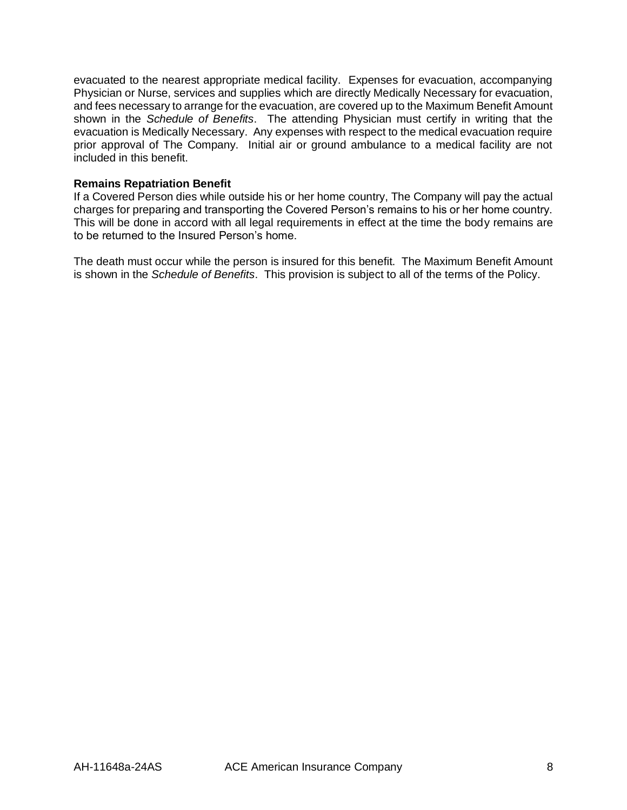evacuated to the nearest appropriate medical facility. Expenses for evacuation, accompanying Physician or Nurse, services and supplies which are directly Medically Necessary for evacuation, and fees necessary to arrange for the evacuation, are covered up to the Maximum Benefit Amount shown in the *Schedule of Benefits*. The attending Physician must certify in writing that the evacuation is Medically Necessary. Any expenses with respect to the medical evacuation require prior approval of The Company. Initial air or ground ambulance to a medical facility are not included in this benefit.

### **Remains Repatriation Benefit**

If a Covered Person dies while outside his or her home country, The Company will pay the actual charges for preparing and transporting the Covered Person's remains to his or her home country. This will be done in accord with all legal requirements in effect at the time the body remains are to be returned to the Insured Person's home.

The death must occur while the person is insured for this benefit. The Maximum Benefit Amount is shown in the *Schedule of Benefits*. This provision is subject to all of the terms of the Policy.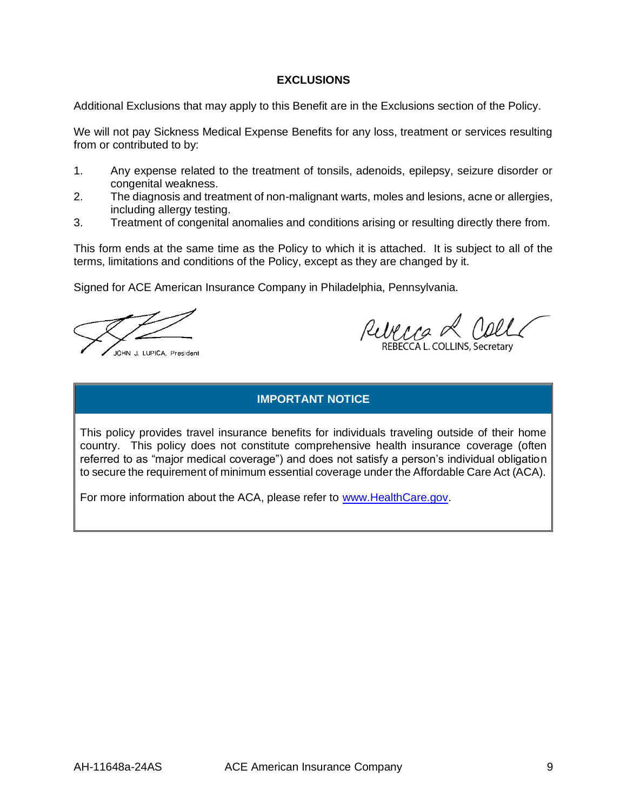## **EXCLUSIONS**

Additional Exclusions that may apply to this Benefit are in the Exclusions section of the Policy.

We will not pay Sickness Medical Expense Benefits for any loss, treatment or services resulting from or contributed to by:

- 1. Any expense related to the treatment of tonsils, adenoids, epilepsy, seizure disorder or congenital weakness.
- 2. The diagnosis and treatment of non-malignant warts, moles and lesions, acne or allergies, including allergy testing.
- 3. Treatment of congenital anomalies and conditions arising or resulting directly there from.

This form ends at the same time as the Policy to which it is attached. It is subject to all of the terms, limitations and conditions of the Policy, except as they are changed by it.

Signed for ACE American Insurance Company in Philadelphia, Pennsylvania.

JOHN J. LUPICA, President

PUMICA ROLL

# **IMPORTANT NOTICE**

This policy provides travel insurance benefits for individuals traveling outside of their home country. This policy does not constitute comprehensive health insurance coverage (often referred to as "major medical coverage") and does not satisfy a person's individual obligation to secure the requirement of minimum essential coverage under the Affordable Care Act (ACA).

For more information about the ACA, please refer to www.HealthCare.gov.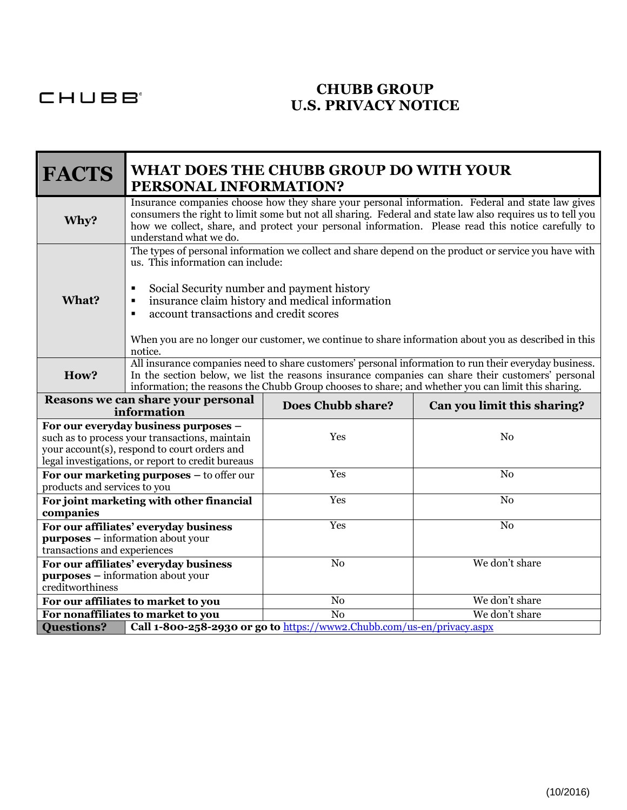**CHUBB** 

# **CHUBB GROUP U.S. PRIVACY NOTICE**

| WHAT DOES THE CHUBB GROUP DO WITH YOUR<br><b>FACTS</b><br>PERSONAL INFORMATION?                                                                                                                                                                                                                                                                                                                                                          |                                                                                                                                                                                                                                                                                                                                               |                                                                                           |                             |
|------------------------------------------------------------------------------------------------------------------------------------------------------------------------------------------------------------------------------------------------------------------------------------------------------------------------------------------------------------------------------------------------------------------------------------------|-----------------------------------------------------------------------------------------------------------------------------------------------------------------------------------------------------------------------------------------------------------------------------------------------------------------------------------------------|-------------------------------------------------------------------------------------------|-----------------------------|
| Why?                                                                                                                                                                                                                                                                                                                                                                                                                                     | Insurance companies choose how they share your personal information. Federal and state law gives<br>consumers the right to limit some but not all sharing. Federal and state law also requires us to tell you<br>how we collect, share, and protect your personal information. Please read this notice carefully to<br>understand what we do. |                                                                                           |                             |
| The types of personal information we collect and share depend on the product or service you have with<br>us. This information can include:<br>Social Security number and payment history<br>What?<br>insurance claim history and medical information<br>٠<br>account transactions and credit scores<br>$\blacksquare$<br>When you are no longer our customer, we continue to share information about you as described in this<br>notice. |                                                                                                                                                                                                                                                                                                                                               |                                                                                           |                             |
| All insurance companies need to share customers' personal information to run their everyday business.<br>How?<br>In the section below, we list the reasons insurance companies can share their customers' personal<br>information; the reasons the Chubb Group chooses to share; and whether you can limit this sharing.                                                                                                                 |                                                                                                                                                                                                                                                                                                                                               |                                                                                           |                             |
|                                                                                                                                                                                                                                                                                                                                                                                                                                          | Reasons we can share your personal<br>information                                                                                                                                                                                                                                                                                             | <b>Does Chubb share?</b>                                                                  | Can you limit this sharing? |
|                                                                                                                                                                                                                                                                                                                                                                                                                                          | For our everyday business purposes -<br>such as to process your transactions, maintain<br>your account(s), respond to court orders and<br>legal investigations, or report to credit bureaus                                                                                                                                                   | Yes                                                                                       | N <sub>o</sub>              |
| Yes<br>For our marketing purposes - to offer our<br>No<br>products and services to you                                                                                                                                                                                                                                                                                                                                                   |                                                                                                                                                                                                                                                                                                                                               |                                                                                           |                             |
|                                                                                                                                                                                                                                                                                                                                                                                                                                          |                                                                                                                                                                                                                                                                                                                                               |                                                                                           |                             |
|                                                                                                                                                                                                                                                                                                                                                                                                                                          | For joint marketing with other financial                                                                                                                                                                                                                                                                                                      | Yes                                                                                       | No                          |
| companies<br>transactions and experiences                                                                                                                                                                                                                                                                                                                                                                                                | For our affiliates' everyday business<br><b>purposes</b> – information about your                                                                                                                                                                                                                                                             | Yes                                                                                       | No                          |
| creditworthiness                                                                                                                                                                                                                                                                                                                                                                                                                         | For our affiliates' everyday business<br><b>purposes</b> – information about your                                                                                                                                                                                                                                                             | No                                                                                        | We don't share              |
|                                                                                                                                                                                                                                                                                                                                                                                                                                          | For our affiliates to market to you                                                                                                                                                                                                                                                                                                           | No                                                                                        | We don't share              |
| <b>Ouestions?</b>                                                                                                                                                                                                                                                                                                                                                                                                                        | For nonaffiliates to market to you                                                                                                                                                                                                                                                                                                            | $\overline{No}$<br>Call 1-800-258-2930 or go to https://www2.Chubb.com/us-en/privacy.aspx | We don't share              |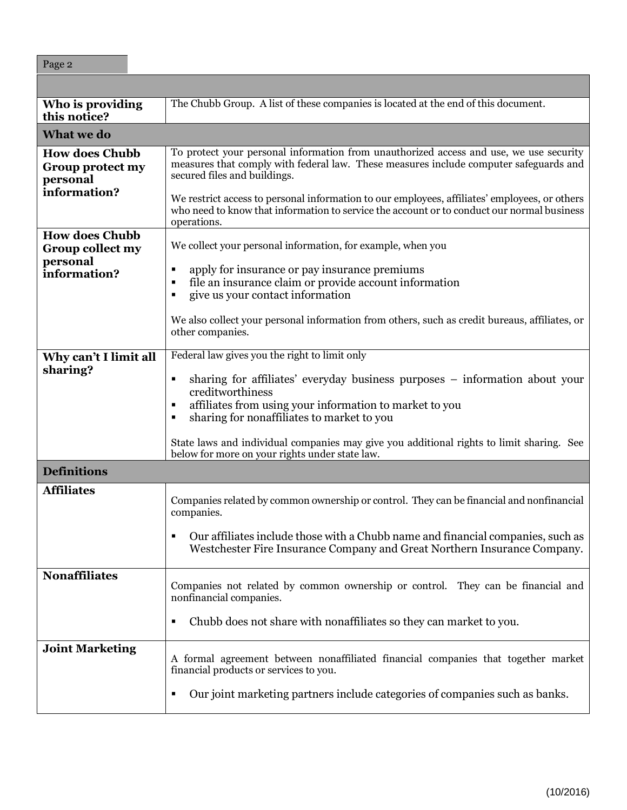| Page 2                                                                |                                                                                                                                                                                                                                                                                                                  |
|-----------------------------------------------------------------------|------------------------------------------------------------------------------------------------------------------------------------------------------------------------------------------------------------------------------------------------------------------------------------------------------------------|
|                                                                       |                                                                                                                                                                                                                                                                                                                  |
| Who is providing<br>this notice?                                      | The Chubb Group. A list of these companies is located at the end of this document.                                                                                                                                                                                                                               |
| What we do                                                            |                                                                                                                                                                                                                                                                                                                  |
| <b>How does Chubb</b><br>Group protect my<br>personal<br>information? | To protect your personal information from unauthorized access and use, we use security<br>measures that comply with federal law. These measures include computer safeguards and<br>secured files and buildings.<br>We restrict access to personal information to our employees, affiliates' employees, or others |
|                                                                       | who need to know that information to service the account or to conduct our normal business<br>operations.                                                                                                                                                                                                        |
| <b>How does Chubb</b><br><b>Group collect my</b><br>personal          | We collect your personal information, for example, when you                                                                                                                                                                                                                                                      |
| information?                                                          | apply for insurance or pay insurance premiums<br>٠<br>file an insurance claim or provide account information<br>Е<br>give us your contact information<br>Е                                                                                                                                                       |
|                                                                       | We also collect your personal information from others, such as credit bureaus, affiliates, or<br>other companies.                                                                                                                                                                                                |
| Why can't I limit all                                                 | Federal law gives you the right to limit only                                                                                                                                                                                                                                                                    |
| sharing?                                                              | sharing for affiliates' everyday business purposes – information about your<br>٠<br>creditworthiness<br>affiliates from using your information to market to you<br>п<br>sharing for nonaffiliates to market to you<br>Е                                                                                          |
|                                                                       | State laws and individual companies may give you additional rights to limit sharing. See<br>below for more on your rights under state law.                                                                                                                                                                       |
| <b>Definitions</b>                                                    |                                                                                                                                                                                                                                                                                                                  |
| <b>Affiliates</b>                                                     | Companies related by common ownership or control. They can be financial and nonfinancial<br>companies.                                                                                                                                                                                                           |
|                                                                       | Our affiliates include those with a Chubb name and financial companies, such as<br>$\blacksquare$<br>Westchester Fire Insurance Company and Great Northern Insurance Company.                                                                                                                                    |
| <b>Nonaffiliates</b>                                                  | Companies not related by common ownership or control. They can be financial and<br>nonfinancial companies.                                                                                                                                                                                                       |
|                                                                       | Chubb does not share with nonaffiliates so they can market to you.<br>$\blacksquare$                                                                                                                                                                                                                             |
| <b>Joint Marketing</b>                                                | A formal agreement between nonaffiliated financial companies that together market<br>financial products or services to you.                                                                                                                                                                                      |
|                                                                       | Our joint marketing partners include categories of companies such as banks.<br>٠                                                                                                                                                                                                                                 |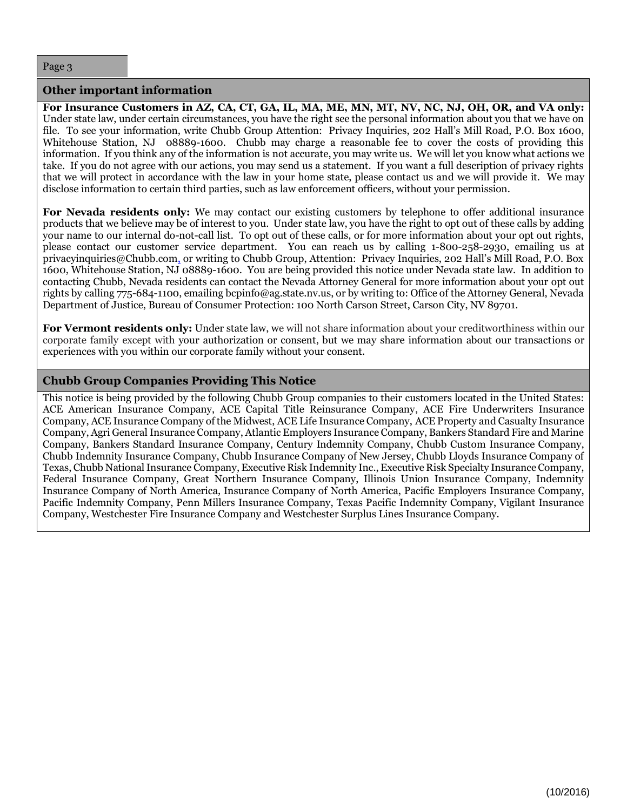### **Other important information**

**For Insurance Customers in AZ, CA, CT, GA, IL, MA, ME, MN, MT, NV, NC, NJ, OH, OR, and VA only:** Under state law, under certain circumstances, you have the right see the personal information about you that we have on file. To see your information, write Chubb Group Attention: Privacy Inquiries, 202 Hall's Mill Road, P.O. Box 1600, Whitehouse Station, NJ 08889-1600. Chubb may charge a reasonable fee to cover the costs of providing this information. If you think any of the information is not accurate, you may write us. We will let you know what actions we take. If you do not agree with our actions, you may send us a statement. If you want a full description of privacy rights that we will protect in accordance with the law in your home state, please contact us and we will provide it. We may disclose information to certain third parties, such as law enforcement officers, without your permission.

**For Nevada residents only:** We may contact our existing customers by telephone to offer additional insurance products that we believe may be of interest to you. Under state law, you have the right to opt out of these calls by adding your name to our internal do-not-call list. To opt out of these calls, or for more information about your opt out rights, please contact our customer service department. You can reach us by calling 1-800-258-2930, emailing us at privacyinquiries@Chubb.com, or writing to Chubb Group, Attention: Privacy Inquiries, 202 Hall's Mill Road, P.O. Box 1600, Whitehouse Station, NJ 08889-1600. You are being provided this notice under Nevada state law. In addition to contacting Chubb, Nevada residents can contact the Nevada Attorney General for more information about your opt out rights by calling 775-684-1100, emailing bcpinfo@ag.state.nv.us, or by writing to: Office of the Attorney General, Nevada Department of Justice, Bureau of Consumer Protection: 100 North Carson Street, Carson City, NV 89701.

**For Vermont residents only:** Under state law, we will not share information about your creditworthiness within our corporate family except with your authorization or consent, but we may share information about our transactions or experiences with you within our corporate family without your consent.

### **Chubb Group Companies Providing This Notice**

This notice is being provided by the following Chubb Group companies to their customers located in the United States: ACE American Insurance Company, ACE Capital Title Reinsurance Company, ACE Fire Underwriters Insurance Company, ACE Insurance Company of the Midwest, ACE Life Insurance Company, ACE Property and Casualty Insurance Company, Agri General Insurance Company, Atlantic Employers Insurance Company, Bankers Standard Fire and Marine Company, Bankers Standard Insurance Company, Century Indemnity Company, Chubb Custom Insurance Company, Chubb Indemnity Insurance Company, Chubb Insurance Company of New Jersey, Chubb Lloyds Insurance Company of Texas, Chubb National Insurance Company, Executive Risk Indemnity Inc., Executive Risk Specialty Insurance Company, Federal Insurance Company, Great Northern Insurance Company, Illinois Union Insurance Company, Indemnity Insurance Company of North America, Insurance Company of North America, Pacific Employers Insurance Company, Pacific Indemnity Company, Penn Millers Insurance Company, Texas Pacific Indemnity Company, Vigilant Insurance Company, Westchester Fire Insurance Company and Westchester Surplus Lines Insurance Company.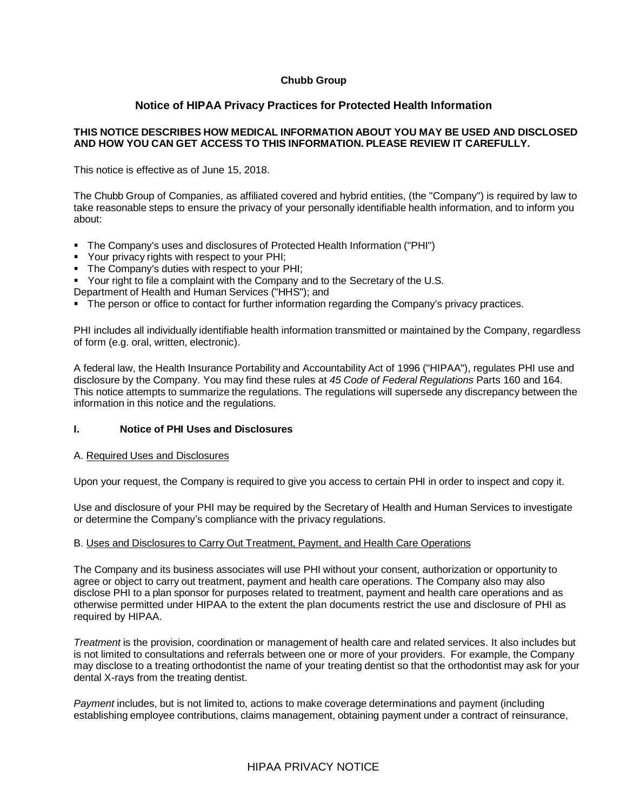### **Chubb Group**

### **Notice of HIPAA Privacy Practices for Protected Health Information**

### **THIS NOTICE DESCRIBES HOW MEDICAL INFORMATION ABOUT YOU MAY BE USED AND DISCLOSED AND HOW YOU CAN GET ACCESS TO THIS INFORMATION. PLEASE REVIEW IT CAREFULLY.**

This notice is effective as of June 15, 2018.

The Chubb Group of Companies, as affiliated covered and hybrid entities, (the "Company") is required by law to take reasonable steps to ensure the privacy of your personally identifiable health information, and to inform you about:

- The Company's uses and disclosures of Protected Health Information ("PHI")
- Your privacy rights with respect to your PHI;
- The Company's duties with respect to your PHI;
- Your right to file a complaint with the Company and to the Secretary of the U.S.
- Department of Health and Human Services ("HHS"); and
- **The person or office to contact for further information regarding the Company's privacy practices.**

PHI includes all individually identifiable health information transmitted or maintained by the Company, regardless of form (e.g. oral, written, electronic).

A federal law, the Health Insurance Portability and Accountability Act of 1996 ("HIPAA"), regulates PHI use and disclosure by the Company. You may find these rules at *45 Code of Federal Regulations* Parts 160 and 164. This notice attempts to summarize the regulations. The regulations will supersede any discrepancy between the information in this notice and the regulations.

### **I. Notice of PHI Uses and Disclosures**

### A. Required Uses and Disclosures

Upon your request, the Company is required to give you access to certain PHI in order to inspect and copy it.

Use and disclosure of your PHI may be required by the Secretary of Health and Human Services to investigate or determine the Company's compliance with the privacy regulations.

### B. Uses and Disclosures to Carry Out Treatment, Payment, and Health Care Operations

The Company and its business associates will use PHI without your consent, authorization or opportunity to agree or object to carry out treatment, payment and health care operations. The Company also may also disclose PHI to a plan sponsor for purposes related to treatment, payment and health care operations and as otherwise permitted under HIPAA to the extent the plan documents restrict the use and disclosure of PHI as required by HIPAA.

*Treatment* is the provision, coordination or management of health care and related services. It also includes but is not limited to consultations and referrals between one or more of your providers. For example, the Company may disclose to a treating orthodontist the name of your treating dentist so that the orthodontist may ask for your dental X-rays from the treating dentist.

*Payment* includes, but is not limited to, actions to make coverage determinations and payment (including establishing employee contributions, claims management, obtaining payment under a contract of reinsurance,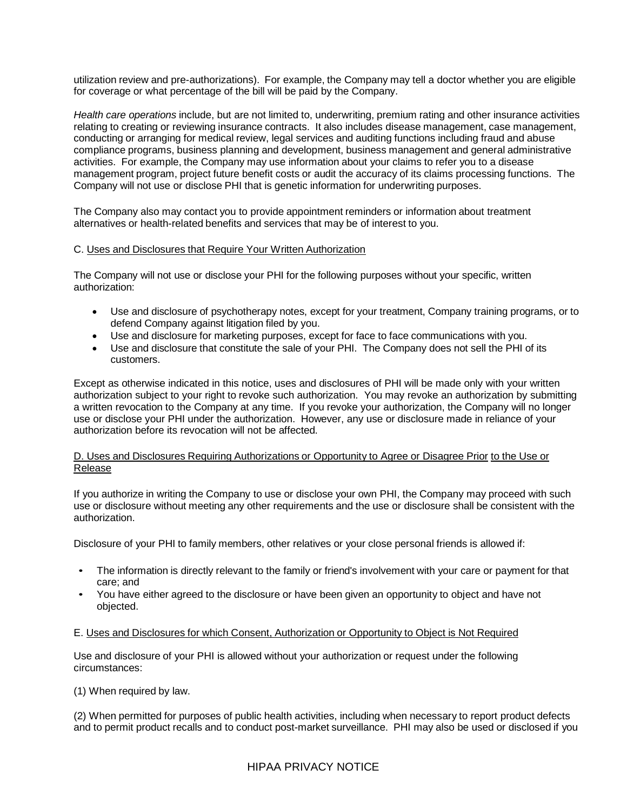utilization review and pre-authorizations). For example, the Company may tell a doctor whether you are eligible for coverage or what percentage of the bill will be paid by the Company.

*Health care operations* include, but are not limited to, underwriting, premium rating and other insurance activities relating to creating or reviewing insurance contracts. It also includes disease management, case management, conducting or arranging for medical review, legal services and auditing functions including fraud and abuse compliance programs, business planning and development, business management and general administrative activities. For example, the Company may use information about your claims to refer you to a disease management program, project future benefit costs or audit the accuracy of its claims processing functions. The Company will not use or disclose PHI that is genetic information for underwriting purposes.

The Company also may contact you to provide appointment reminders or information about treatment alternatives or health-related benefits and services that may be of interest to you.

### C. Uses and Disclosures that Require Your Written Authorization

The Company will not use or disclose your PHI for the following purposes without your specific, written authorization:

- Use and disclosure of psychotherapy notes, except for your treatment, Company training programs, or to defend Company against litigation filed by you.
- Use and disclosure for marketing purposes, except for face to face communications with you.
- Use and disclosure that constitute the sale of your PHI. The Company does not sell the PHI of its customers.

Except as otherwise indicated in this notice, uses and disclosures of PHI will be made only with your written authorization subject to your right to revoke such authorization. You may revoke an authorization by submitting a written revocation to the Company at any time. If you revoke your authorization, the Company will no longer use or disclose your PHI under the authorization. However, any use or disclosure made in reliance of your authorization before its revocation will not be affected.

### D. Uses and Disclosures Requiring Authorizations or Opportunity to Agree or Disagree Prior to the Use or Release

If you authorize in writing the Company to use or disclose your own PHI, the Company may proceed with such use or disclosure without meeting any other requirements and the use or disclosure shall be consistent with the authorization.

Disclosure of your PHI to family members, other relatives or your close personal friends is allowed if:

- The information is directly relevant to the family or friend's involvement with your care or payment for that care; and
- You have either agreed to the disclosure or have been given an opportunity to object and have not objected.

### E. Uses and Disclosures for which Consent, Authorization or Opportunity to Object is Not Required

Use and disclosure of your PHI is allowed without your authorization or request under the following circumstances:

(1) When required by law.

(2) When permitted for purposes of public health activities, including when necessary to report product defects and to permit product recalls and to conduct post-market surveillance. PHI may also be used or disclosed if you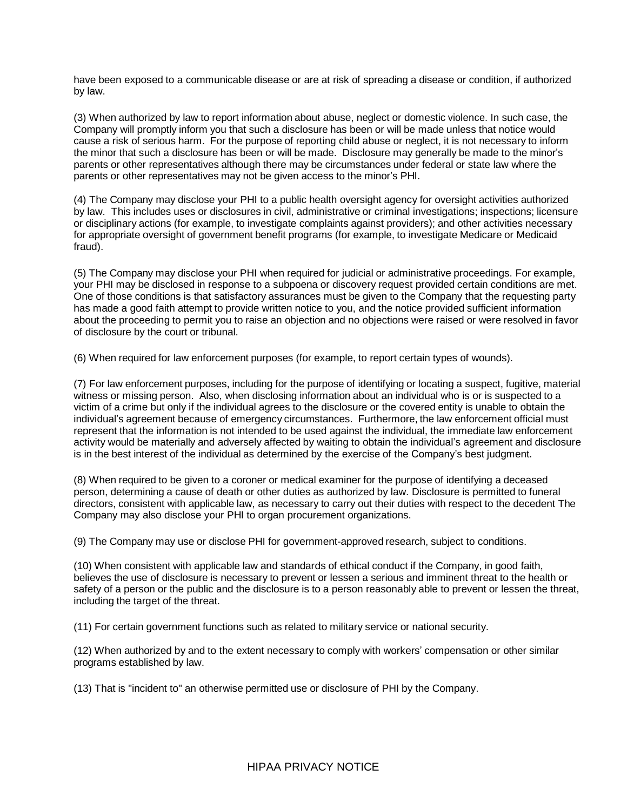have been exposed to a communicable disease or are at risk of spreading a disease or condition, if authorized by law.

(3) When authorized by law to report information about abuse, neglect or domestic violence. In such case, the Company will promptly inform you that such a disclosure has been or will be made unless that notice would cause a risk of serious harm. For the purpose of reporting child abuse or neglect, it is not necessary to inform the minor that such a disclosure has been or will be made. Disclosure may generally be made to the minor's parents or other representatives although there may be circumstances under federal or state law where the parents or other representatives may not be given access to the minor's PHI.

(4) The Company may disclose your PHI to a public health oversight agency for oversight activities authorized by law. This includes uses or disclosures in civil, administrative or criminal investigations; inspections; licensure or disciplinary actions (for example, to investigate complaints against providers); and other activities necessary for appropriate oversight of government benefit programs (for example, to investigate Medicare or Medicaid fraud).

(5) The Company may disclose your PHI when required for judicial or administrative proceedings. For example, your PHI may be disclosed in response to a subpoena or discovery request provided certain conditions are met. One of those conditions is that satisfactory assurances must be given to the Company that the requesting party has made a good faith attempt to provide written notice to you, and the notice provided sufficient information about the proceeding to permit you to raise an objection and no objections were raised or were resolved in favor of disclosure by the court or tribunal.

(6) When required for law enforcement purposes (for example, to report certain types of wounds).

(7) For law enforcement purposes, including for the purpose of identifying or locating a suspect, fugitive, material witness or missing person. Also, when disclosing information about an individual who is or is suspected to a victim of a crime but only if the individual agrees to the disclosure or the covered entity is unable to obtain the individual's agreement because of emergency circumstances. Furthermore, the law enforcement official must represent that the information is not intended to be used against the individual, the immediate law enforcement activity would be materially and adversely affected by waiting to obtain the individual's agreement and disclosure is in the best interest of the individual as determined by the exercise of the Company's best judgment.

(8) When required to be given to a coroner or medical examiner for the purpose of identifying a deceased person, determining a cause of death or other duties as authorized by law. Disclosure is permitted to funeral directors, consistent with applicable law, as necessary to carry out their duties with respect to the decedent The Company may also disclose your PHI to organ procurement organizations.

(9) The Company may use or disclose PHI for government-approved research, subject to conditions.

(10) When consistent with applicable law and standards of ethical conduct if the Company, in good faith, believes the use of disclosure is necessary to prevent or lessen a serious and imminent threat to the health or safety of a person or the public and the disclosure is to a person reasonably able to prevent or lessen the threat, including the target of the threat.

(11) For certain government functions such as related to military service or national security.

(12) When authorized by and to the extent necessary to comply with workers' compensation or other similar programs established by law.

(13) That is "incident to" an otherwise permitted use or disclosure of PHI by the Company.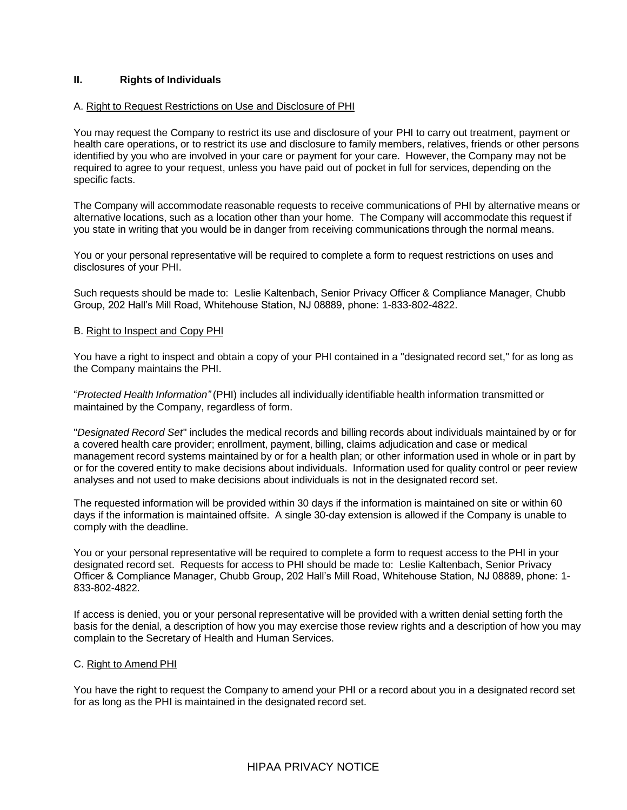### **II. Rights of Individuals**

### A. Right to Request Restrictions on Use and Disclosure of PHI

You may request the Company to restrict its use and disclosure of your PHI to carry out treatment, payment or health care operations, or to restrict its use and disclosure to family members, relatives, friends or other persons identified by you who are involved in your care or payment for your care. However, the Company may not be required to agree to your request, unless you have paid out of pocket in full for services, depending on the specific facts.

The Company will accommodate reasonable requests to receive communications of PHI by alternative means or alternative locations, such as a location other than your home. The Company will accommodate this request if you state in writing that you would be in danger from receiving communications through the normal means.

You or your personal representative will be required to complete a form to request restrictions on uses and disclosures of your PHI.

Such requests should be made to: Leslie Kaltenbach, Senior Privacy Officer & Compliance Manager, Chubb Group, 202 Hall's Mill Road, Whitehouse Station, NJ 08889, phone: 1-833-802-4822.

### B. Right to Inspect and Copy PHI

You have a right to inspect and obtain a copy of your PHI contained in a "designated record set," for as long as the Company maintains the PHI.

"*Protected Health Information"* (PHI) includes all individually identifiable health information transmitted or maintained by the Company, regardless of form.

"*Designated Record Set*" includes the medical records and billing records about individuals maintained by or for a covered health care provider; enrollment, payment, billing, claims adjudication and case or medical management record systems maintained by or for a health plan; or other information used in whole or in part by or for the covered entity to make decisions about individuals. Information used for quality control or peer review analyses and not used to make decisions about individuals is not in the designated record set.

The requested information will be provided within 30 days if the information is maintained on site or within 60 days if the information is maintained offsite. A single 30-day extension is allowed if the Company is unable to comply with the deadline.

You or your personal representative will be required to complete a form to request access to the PHI in your designated record set. Requests for access to PHI should be made to: Leslie Kaltenbach, Senior Privacy Officer & Compliance Manager, Chubb Group, 202 Hall's Mill Road, Whitehouse Station, NJ 08889, phone: 1- 833-802-4822.

If access is denied, you or your personal representative will be provided with a written denial setting forth the basis for the denial, a description of how you may exercise those review rights and a description of how you may complain to the Secretary of Health and Human Services.

### C. Right to Amend PHI

You have the right to request the Company to amend your PHI or a record about you in a designated record set for as long as the PHI is maintained in the designated record set.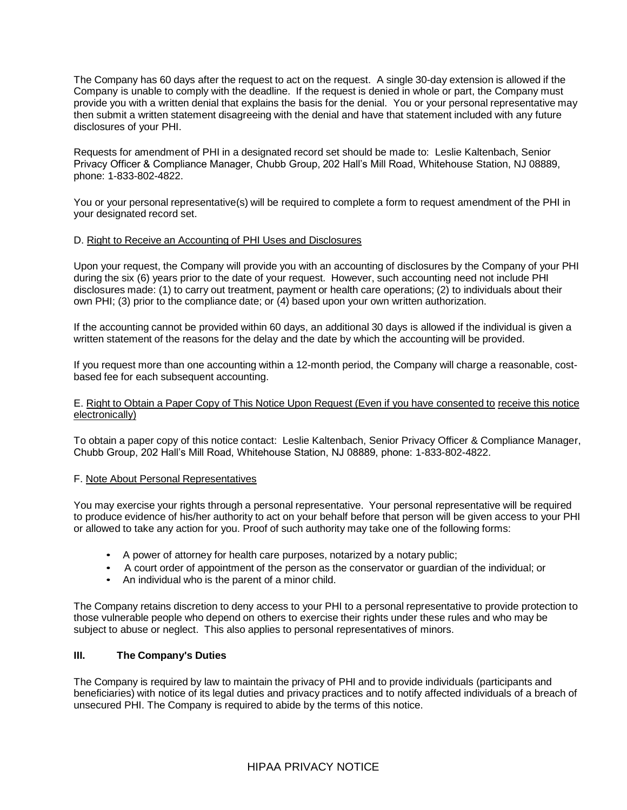The Company has 60 days after the request to act on the request. A single 30-day extension is allowed if the Company is unable to comply with the deadline. If the request is denied in whole or part, the Company must provide you with a written denial that explains the basis for the denial. You or your personal representative may then submit a written statement disagreeing with the denial and have that statement included with any future disclosures of your PHI.

Requests for amendment of PHI in a designated record set should be made to: Leslie Kaltenbach, Senior Privacy Officer & Compliance Manager, Chubb Group, 202 Hall's Mill Road, Whitehouse Station, NJ 08889, phone: 1-833-802-4822.

You or your personal representative(s) will be required to complete a form to request amendment of the PHI in your designated record set.

### D. Right to Receive an Accounting of PHI Uses and Disclosures

Upon your request, the Company will provide you with an accounting of disclosures by the Company of your PHI during the six (6) years prior to the date of your request. However, such accounting need not include PHI disclosures made: (1) to carry out treatment, payment or health care operations; (2) to individuals about their own PHI; (3) prior to the compliance date; or (4) based upon your own written authorization.

If the accounting cannot be provided within 60 days, an additional 30 days is allowed if the individual is given a written statement of the reasons for the delay and the date by which the accounting will be provided.

If you request more than one accounting within a 12-month period, the Company will charge a reasonable, costbased fee for each subsequent accounting.

### E. Right to Obtain a Paper Copy of This Notice Upon Request (Even if you have consented to receive this notice electronically)

To obtain a paper copy of this notice contact: Leslie Kaltenbach, Senior Privacy Officer & Compliance Manager, Chubb Group, 202 Hall's Mill Road, Whitehouse Station, NJ 08889, phone: 1-833-802-4822.

### F. Note About Personal Representatives

You may exercise your rights through a personal representative. Your personal representative will be required to produce evidence of his/her authority to act on your behalf before that person will be given access to your PHI or allowed to take any action for you. Proof of such authority may take one of the following forms:

- A power of attorney for health care purposes, notarized by a notary public;
- A court order of appointment of the person as the conservator or guardian of the individual; or
- An individual who is the parent of a minor child.

The Company retains discretion to deny access to your PHI to a personal representative to provide protection to those vulnerable people who depend on others to exercise their rights under these rules and who may be subject to abuse or neglect. This also applies to personal representatives of minors.

### **III. The Company's Duties**

The Company is required by law to maintain the privacy of PHI and to provide individuals (participants and beneficiaries) with notice of its legal duties and privacy practices and to notify affected individuals of a breach of unsecured PHI. The Company is required to abide by the terms of this notice.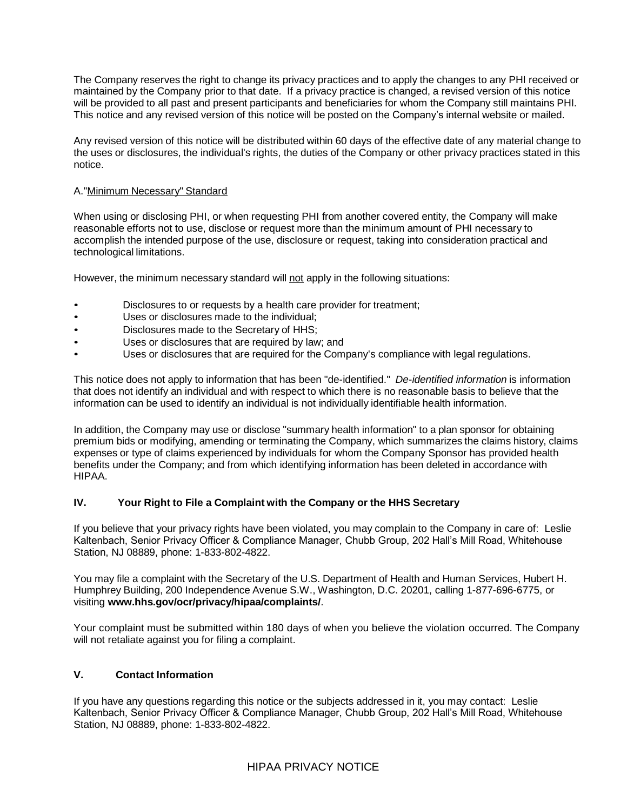The Company reserves the right to change its privacy practices and to apply the changes to any PHI received or maintained by the Company prior to that date. If a privacy practice is changed, a revised version of this notice will be provided to all past and present participants and beneficiaries for whom the Company still maintains PHI. This notice and any revised version of this notice will be posted on the Company's internal website or mailed.

Any revised version of this notice will be distributed within 60 days of the effective date of any material change to the uses or disclosures, the individual's rights, the duties of the Company or other privacy practices stated in this notice.

### A."Minimum Necessary" Standard

When using or disclosing PHI, or when requesting PHI from another covered entity, the Company will make reasonable efforts not to use, disclose or request more than the minimum amount of PHI necessary to accomplish the intended purpose of the use, disclosure or request, taking into consideration practical and technological limitations.

However, the minimum necessary standard will not apply in the following situations:

- Disclosures to or requests by a health care provider for treatment;
- Uses or disclosures made to the individual;
- Disclosures made to the Secretary of HHS;
- Uses or disclosures that are required by law; and
- Uses or disclosures that are required for the Company's compliance with legal regulations.

This notice does not apply to information that has been "de-identified." *De-identified information* is information that does not identify an individual and with respect to which there is no reasonable basis to believe that the information can be used to identify an individual is not individually identifiable health information.

In addition, the Company may use or disclose "summary health information" to a plan sponsor for obtaining premium bids or modifying, amending or terminating the Company, which summarizes the claims history, claims expenses or type of claims experienced by individuals for whom the Company Sponsor has provided health benefits under the Company; and from which identifying information has been deleted in accordance with HIPAA.

### **IV. Your Right to File a Complaint with the Company or the HHS Secretary**

If you believe that your privacy rights have been violated, you may complain to the Company in care of: Leslie Kaltenbach, Senior Privacy Officer & Compliance Manager, Chubb Group, 202 Hall's Mill Road, Whitehouse Station, NJ 08889, phone: 1-833-802-4822.

You may file a complaint with the Secretary of the U.S. Department of Health and Human Services, Hubert H. Humphrey Building, 200 Independence Avenue S.W., Washington, D.C. 20201, calling 1-877-696-6775, or visiting **www.hhs.gov/ocr/privacy/hipaa/complaints/**.

Your complaint must be submitted within 180 days of when you believe the violation occurred. The Company will not retaliate against you for filing a complaint.

### **V. Contact Information**

If you have any questions regarding this notice or the subjects addressed in it, you may contact: Leslie Kaltenbach, Senior Privacy Officer & Compliance Manager, Chubb Group, 202 Hall's Mill Road, Whitehouse Station, NJ 08889, phone: 1-833-802-4822.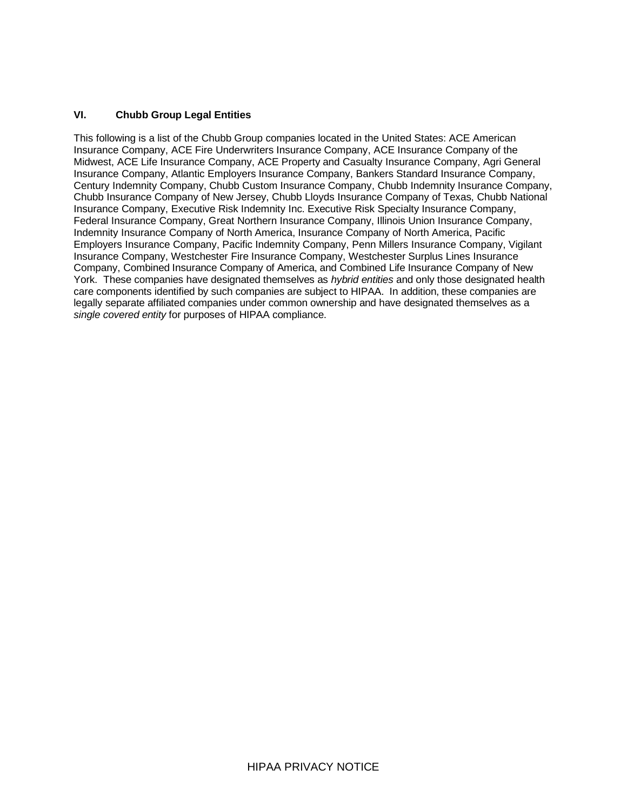### **VI. Chubb Group Legal Entities**

This following is a list of the Chubb Group companies located in the United States: ACE American Insurance Company, ACE Fire Underwriters Insurance Company, ACE Insurance Company of the Midwest, ACE Life Insurance Company, ACE Property and Casualty Insurance Company, Agri General Insurance Company, Atlantic Employers Insurance Company, Bankers Standard Insurance Company, Century Indemnity Company, Chubb Custom Insurance Company, Chubb Indemnity Insurance Company, Chubb Insurance Company of New Jersey, Chubb Lloyds Insurance Company of Texas, Chubb National Insurance Company, Executive Risk Indemnity Inc. Executive Risk Specialty Insurance Company, Federal Insurance Company, Great Northern Insurance Company, Illinois Union Insurance Company, Indemnity Insurance Company of North America, Insurance Company of North America, Pacific Employers Insurance Company, Pacific Indemnity Company, Penn Millers Insurance Company, Vigilant Insurance Company, Westchester Fire Insurance Company, Westchester Surplus Lines Insurance Company, Combined Insurance Company of America, and Combined Life Insurance Company of New York. These companies have designated themselves as *hybrid entities* and only those designated health care components identified by such companies are subject to HIPAA. In addition, these companies are legally separate affiliated companies under common ownership and have designated themselves as a *single covered entity* for purposes of HIPAA compliance.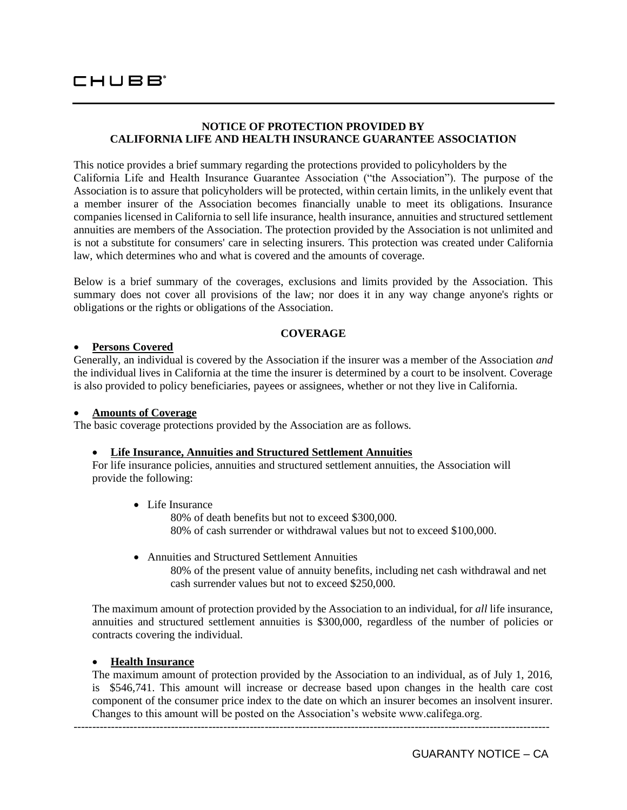# **NOTICE OF PROTECTION PROVIDED BY CALIFORNIA LIFE AND HEALTH INSURANCE GUARANTEE ASSOCIATION**

This notice provides a brief summary regarding the protections provided to policyholders by the California Life and Health Insurance Guarantee Association ("the Association"). The purpose of the Association is to assure that policyholders will be protected, within certain limits, in the unlikely event that a member insurer of the Association becomes financially unable to meet its obligations. Insurance companies licensed in California to sell life insurance, health insurance, annuities and structured settlement annuities are members of the Association. The protection provided by the Association is not unlimited and is not a substitute for consumers' care in selecting insurers. This protection was created under California law, which determines who and what is covered and the amounts of coverage.

Below is a brief summary of the coverages, exclusions and limits provided by the Association. This summary does not cover all provisions of the law; nor does it in any way change anyone's rights or obligations or the rights or obligations of the Association.

### **COVERAGE**

### Persons Covered

Generally, an individual is covered by the Association if the insurer was a member of the Association *and*  the individual lives in California at the time the insurer is determined by a court to be insolvent. Coverage is also provided to policy beneficiaries, payees or assignees, whether or not they live in California.

### • **Amounts of Coverage**

The basic coverage protections provided by the Association are as follows.

### • **Life Insurance, Annuities and Structured Settlement Annuities**

For life insurance policies, annuities and structured settlement annuities, the Association will provide the following:

- Life Insurance 80% of death benefits but not to exceed \$300,000. 80% of cash surrender or withdrawal values but not to exceed \$100,000.
- Annuities and Structured Settlement Annuities 80% of the present value of annuity benefits, including net cash withdrawal and net cash surrender values but not to exceed \$250,000.

The maximum amount of protection provided by the Association to an individual, for *all* life insurance, annuities and structured settlement annuities is \$300,000, regardless of the number of policies or contracts covering the individual.

### • **Health Insurance**

The maximum amount of protection provided by the Association to an individual, as of July 1, 2016, is \$546,741. This amount will increase or decrease based upon changes in the health care cost component of the consumer price index to the date on which an insurer becomes an insolvent insurer. Changes to this amount will be posted on the Association's website www.califega.org.

-------------------------------------------------------------------------------------------------------------------------------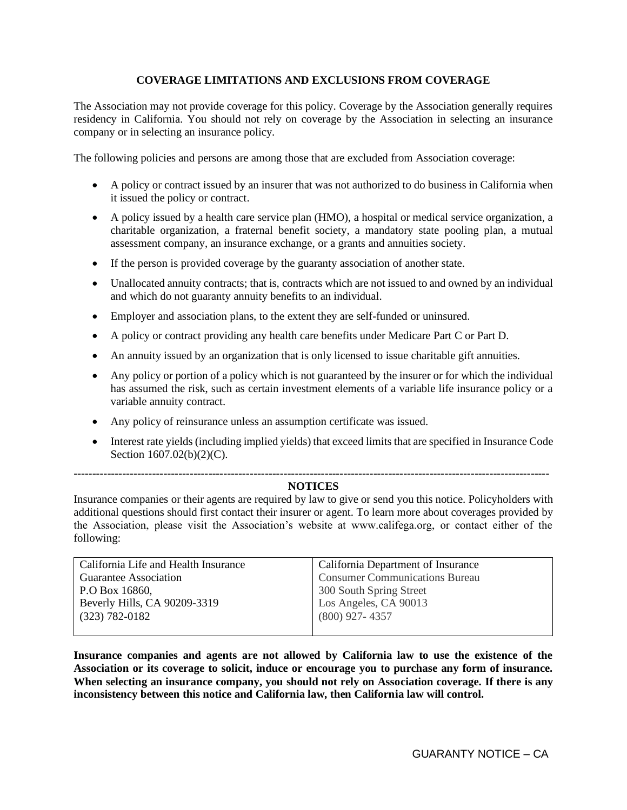### **COVERAGE LIMITATIONS AND EXCLUSIONS FROM COVERAGE**

The Association may not provide coverage for this policy. Coverage by the Association generally requires residency in California. You should not rely on coverage by the Association in selecting an insurance company or in selecting an insurance policy.

The following policies and persons are among those that are excluded from Association coverage:

- A policy or contract issued by an insurer that was not authorized to do business in California when it issued the policy or contract.
- A policy issued by a health care service plan (HMO), a hospital or medical service organization, a charitable organization, a fraternal benefit society, a mandatory state pooling plan, a mutual assessment company, an insurance exchange, or a grants and annuities society.
- If the person is provided coverage by the guaranty association of another state.
- Unallocated annuity contracts; that is, contracts which are not issued to and owned by an individual and which do not guaranty annuity benefits to an individual.
- Employer and association plans, to the extent they are self-funded or uninsured.
- A policy or contract providing any health care benefits under Medicare Part C or Part D.
- An annuity issued by an organization that is only licensed to issue charitable gift annuities.
- Any policy or portion of a policy which is not guaranteed by the insurer or for which the individual has assumed the risk, such as certain investment elements of a variable life insurance policy or a variable annuity contract.
- Any policy of reinsurance unless an assumption certificate was issued.
- Interest rate yields (including implied yields) that exceed limits that are specified in Insurance Code Section 1607.02(b)(2)(C).

#### ------------------------------------------------------------------------------------------------------------------------------- **NOTICES**

Insurance companies or their agents are required by law to give or send you this notice. Policyholders with additional questions should first contact their insurer or agent. To learn more about coverages provided by the Association, please visit the Association's website at www.califega.org, or contact either of the following:

| California Life and Health Insurance | California Department of Insurance    |
|--------------------------------------|---------------------------------------|
| <b>Guarantee Association</b>         | <b>Consumer Communications Bureau</b> |
| P.O Box 16860,                       | 300 South Spring Street               |
| Beverly Hills, CA 90209-3319         | Los Angeles, CA 90013                 |
| $(323) 782 - 0182$                   | $(800)$ 927-4357                      |
|                                      |                                       |

**Insurance companies and agents are not allowed by California law to use the existence of the Association or its coverage to solicit, induce or encourage you to purchase any form of insurance. When selecting an insurance company, you should not rely on Association coverage. If there is any inconsistency between this notice and California law, then California law will control.**